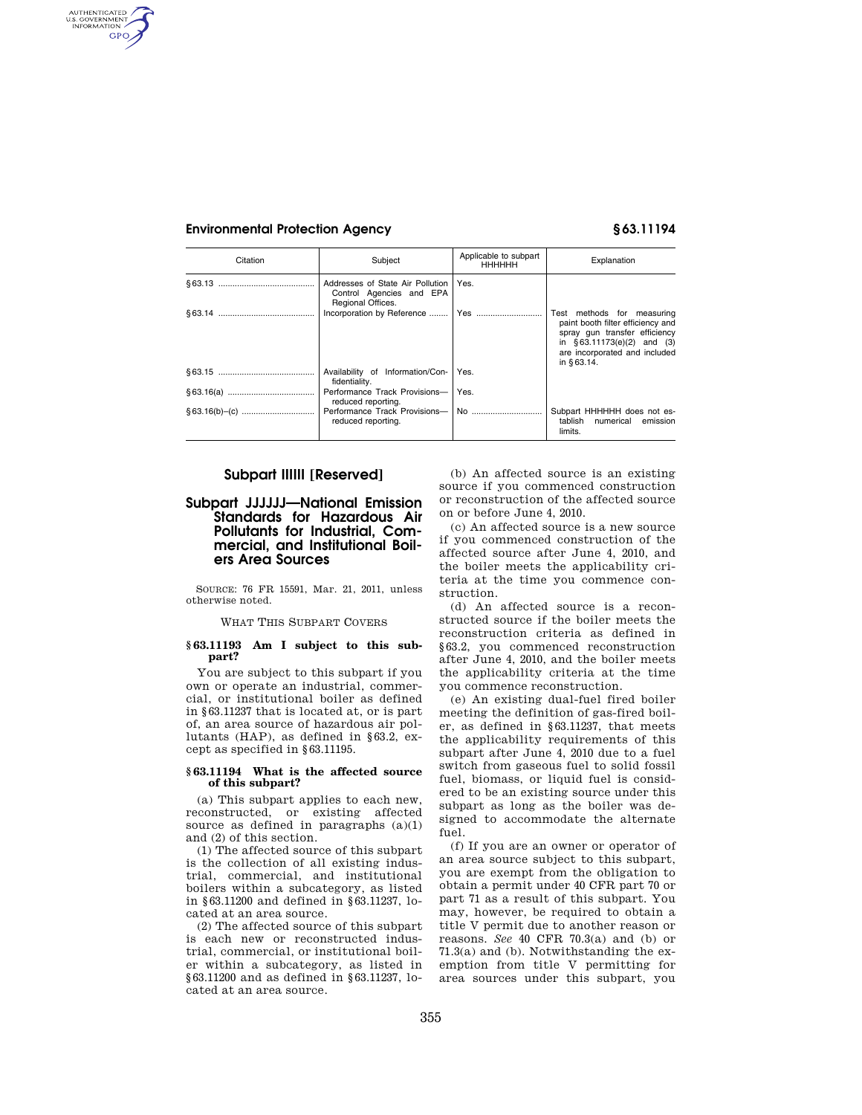AUTHENTICATED<br>U.S. GOVERNMENT<br>INFORMATION **GPO** 

| Citation | Subject                                                                           | Applicable to subpart<br><b>HHHHHH</b> | Explanation                                                                                                                                                                     |
|----------|-----------------------------------------------------------------------------------|----------------------------------------|---------------------------------------------------------------------------------------------------------------------------------------------------------------------------------|
|          | Addresses of State Air Pollution<br>Control Agencies and EPA<br>Regional Offices. | Yes.                                   |                                                                                                                                                                                 |
|          |                                                                                   |                                        | Test methods for measuring<br>paint booth filter efficiency and<br>spray gun transfer efficiency<br>in $§63.11173(e)(2)$ and (3)<br>are incorporated and included<br>in §63.14. |
|          | Availability of Information/Con-<br>fidentiality.                                 | Yes.                                   |                                                                                                                                                                                 |
|          | Performance Track Provisions-   Yes.<br>reduced reporting.                        |                                        |                                                                                                                                                                                 |
|          | reduced reporting.                                                                |                                        | Subpart HHHHHH does not es-<br>tablish<br>numerical<br>emission<br>limits.                                                                                                      |

# **Subpart IIIIII [Reserved]**

# **Subpart JJJJJJ—National Emission Standards for Hazardous Air Pollutants for Industrial, Commercial, and Institutional Boilers Area Sources**

SOURCE: 76 FR 15591, Mar. 21, 2011, unless otherwise noted.

WHAT THIS SUBPART COVERS

#### **§ 63.11193 Am I subject to this subpart?**

You are subject to this subpart if you own or operate an industrial, commercial, or institutional boiler as defined in §63.11237 that is located at, or is part of, an area source of hazardous air pollutants (HAP), as defined in §63.2, except as specified in §63.11195.

#### **§ 63.11194 What is the affected source of this subpart?**

(a) This subpart applies to each new, reconstructed, or existing affected source as defined in paragraphs  $(a)(1)$ and (2) of this section.

(1) The affected source of this subpart is the collection of all existing industrial, commercial, and institutional boilers within a subcategory, as listed in §63.11200 and defined in §63.11237, located at an area source.

(2) The affected source of this subpart is each new or reconstructed industrial, commercial, or institutional boiler within a subcategory, as listed in §63.11200 and as defined in §63.11237, located at an area source.

(b) An affected source is an existing source if you commenced construction or reconstruction of the affected source on or before June 4, 2010.

(c) An affected source is a new source if you commenced construction of the affected source after June 4, 2010, and the boiler meets the applicability criteria at the time you commence construction.

(d) An affected source is a reconstructed source if the boiler meets the reconstruction criteria as defined in §63.2, you commenced reconstruction after June 4, 2010, and the boiler meets the applicability criteria at the time you commence reconstruction.

(e) An existing dual-fuel fired boiler meeting the definition of gas-fired boiler, as defined in §63.11237, that meets the applicability requirements of this subpart after June 4, 2010 due to a fuel switch from gaseous fuel to solid fossil fuel, biomass, or liquid fuel is considered to be an existing source under this subpart as long as the boiler was designed to accommodate the alternate fuel.

(f) If you are an owner or operator of an area source subject to this subpart, you are exempt from the obligation to obtain a permit under 40 CFR part 70 or part 71 as a result of this subpart. You may, however, be required to obtain a title V permit due to another reason or reasons. *See* 40 CFR 70.3(a) and (b) or 71.3(a) and (b). Notwithstanding the exemption from title V permitting for area sources under this subpart, you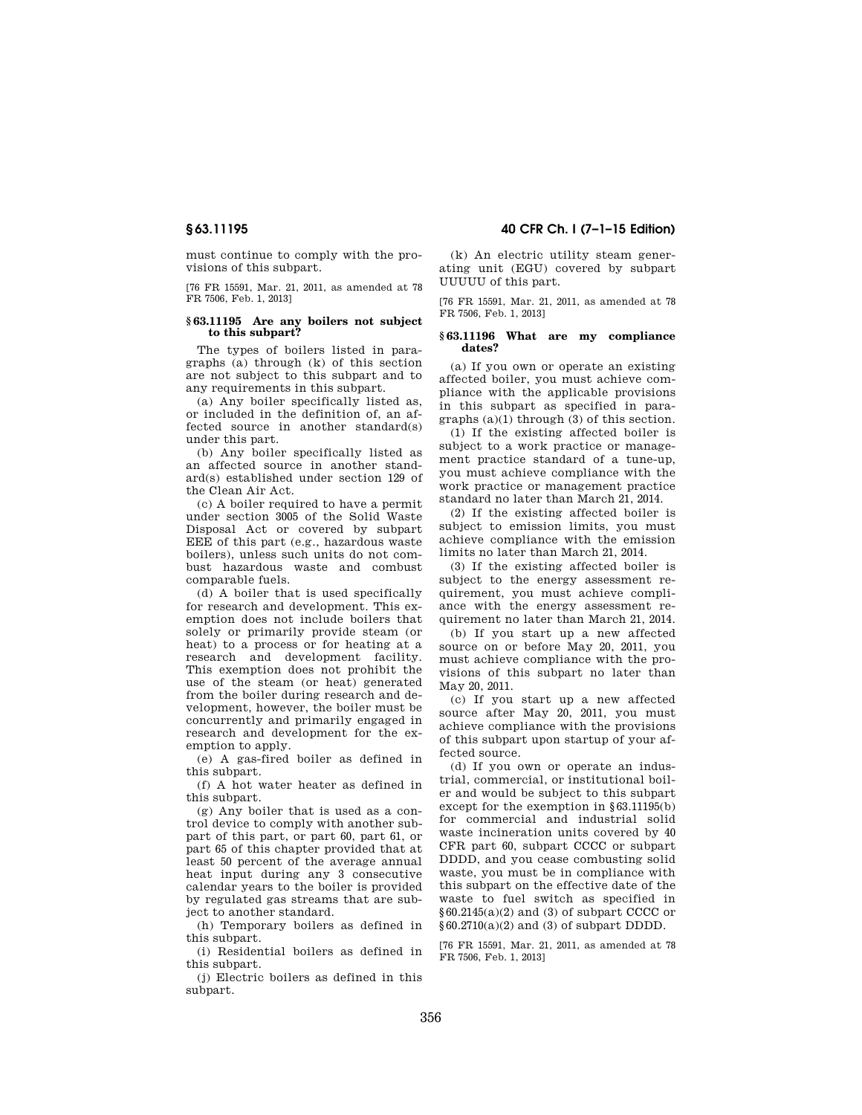must continue to comply with the provisions of this subpart.

[76 FR 15591, Mar. 21, 2011, as amended at 78 FR 7506, Feb. 1, 2013]

### **§ 63.11195 Are any boilers not subject to this subpart?**

The types of boilers listed in paragraphs (a) through (k) of this section are not subject to this subpart and to any requirements in this subpart.

(a) Any boiler specifically listed as, or included in the definition of, an affected source in another standard(s) under this part.

(b) Any boiler specifically listed as an affected source in another standard(s) established under section 129 of the Clean Air Act.

(c) A boiler required to have a permit under section 3005 of the Solid Waste Disposal Act or covered by subpart EEE of this part (e.g., hazardous waste boilers), unless such units do not combust hazardous waste and combust comparable fuels.

(d) A boiler that is used specifically for research and development. This exemption does not include boilers that solely or primarily provide steam (or heat) to a process or for heating at a research and development facility. This exemption does not prohibit the use of the steam (or heat) generated from the boiler during research and development, however, the boiler must be concurrently and primarily engaged in research and development for the exemption to apply.

(e) A gas-fired boiler as defined in this subpart.

(f) A hot water heater as defined in this subpart.

(g) Any boiler that is used as a control device to comply with another subpart of this part, or part 60, part 61, or part 65 of this chapter provided that at least 50 percent of the average annual heat input during any 3 consecutive calendar years to the boiler is provided by regulated gas streams that are subject to another standard.

(h) Temporary boilers as defined in this subpart.

(i) Residential boilers as defined in this subpart.

(j) Electric boilers as defined in this subpart.

# **§ 63.11195 40 CFR Ch. I (7–1–15 Edition)**

(k) An electric utility steam generating unit (EGU) covered by subpart UUUUU of this part.

[76 FR 15591, Mar. 21, 2011, as amended at 78 FR 7506, Feb. 1, 2013]

# **§ 63.11196 What are my compliance dates?**

(a) If you own or operate an existing affected boiler, you must achieve compliance with the applicable provisions in this subpart as specified in paragraphs (a)(1) through (3) of this section.

(1) If the existing affected boiler is subject to a work practice or management practice standard of a tune-up, you must achieve compliance with the work practice or management practice standard no later than March 21, 2014.

(2) If the existing affected boiler is subject to emission limits, you must achieve compliance with the emission limits no later than March 21, 2014.

(3) If the existing affected boiler is subject to the energy assessment requirement, you must achieve compliance with the energy assessment requirement no later than March 21, 2014.

(b) If you start up a new affected source on or before May 20, 2011, you must achieve compliance with the provisions of this subpart no later than May 20, 2011.

(c) If you start up a new affected source after May 20, 2011, you must achieve compliance with the provisions of this subpart upon startup of your affected source.

(d) If you own or operate an industrial, commercial, or institutional boiler and would be subject to this subpart except for the exemption in §63.11195(b) for commercial and industrial solid waste incineration units covered by 40 CFR part 60, subpart CCCC or subpart DDDD, and you cease combusting solid waste, you must be in compliance with this subpart on the effective date of the waste to fuel switch as specified in  $§60.2145(a)(2)$  and (3) of subpart CCCC or §60.2710(a)(2) and (3) of subpart DDDD.

[76 FR 15591, Mar. 21, 2011, as amended at 78 FR 7506, Feb. 1, 2013]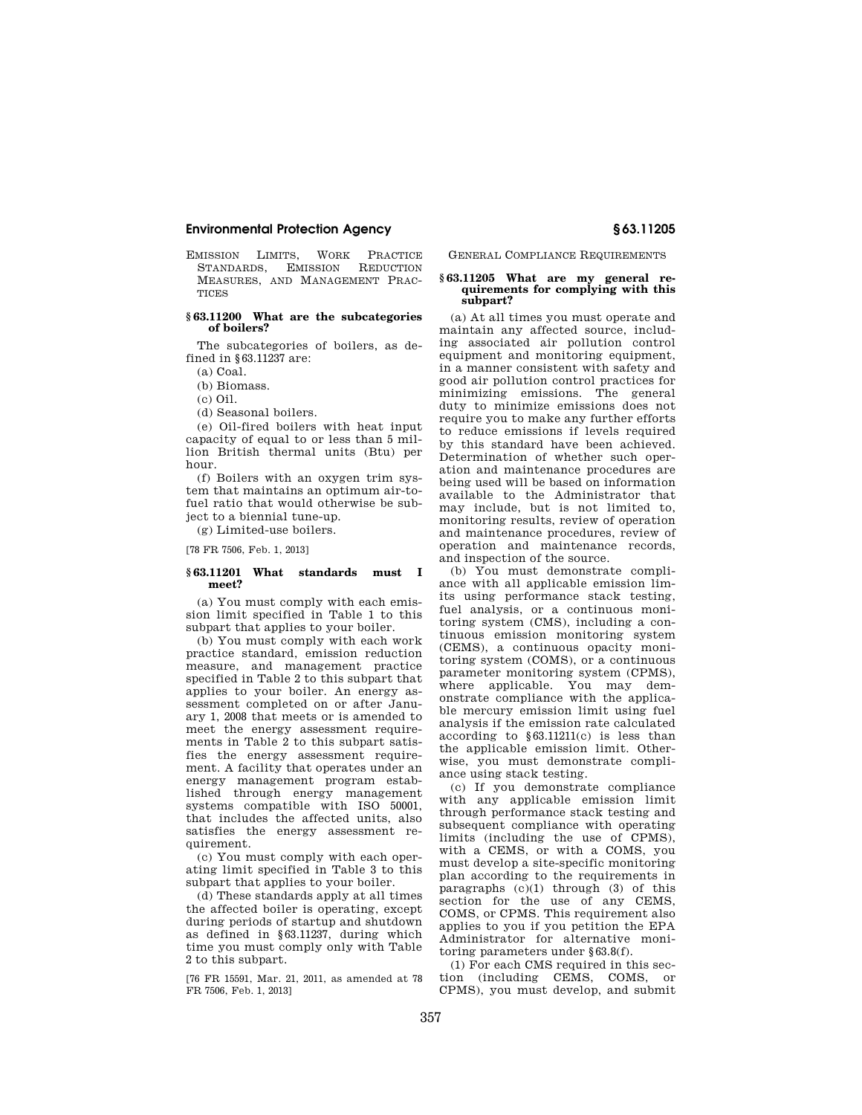EMISSION LIMITS, WORK PRACTICE<br>STANDARDS. EMISSION REDUCTION STANDARDS, EMISSION MEASURES, AND MANAGEMENT PRAC-**TICES** 

### **§ 63.11200 What are the subcategories of boilers?**

The subcategories of boilers, as defined in §63.11237 are:

 $(a)$  Coal.

(b) Biomass.

(c) Oil.

(d) Seasonal boilers.

(e) Oil-fired boilers with heat input capacity of equal to or less than 5 million British thermal units (Btu) per hour.

(f) Boilers with an oxygen trim system that maintains an optimum air-tofuel ratio that would otherwise be subject to a biennial tune-up.

(g) Limited-use boilers.

[78 FR 7506, Feb. 1, 2013]

#### **§ 63.11201 What standards must I meet?**

(a) You must comply with each emission limit specified in Table 1 to this subpart that applies to your boiler.

(b) You must comply with each work practice standard, emission reduction measure, and management practice specified in Table 2 to this subpart that applies to your boiler. An energy assessment completed on or after January 1, 2008 that meets or is amended to meet the energy assessment requirements in Table 2 to this subpart satisfies the energy assessment requirement. A facility that operates under an energy management program established through energy management systems compatible with ISO 50001, that includes the affected units, also satisfies the energy assessment requirement.

(c) You must comply with each operating limit specified in Table 3 to this subpart that applies to your boiler.

(d) These standards apply at all times the affected boiler is operating, except during periods of startup and shutdown as defined in §63.11237, during which time you must comply only with Table 2 to this subpart.

[76 FR 15591, Mar. 21, 2011, as amended at 78 FR 7506, Feb. 1, 2013]

GENERAL COMPLIANCE REQUIREMENTS

#### **§ 63.11205 What are my general requirements for complying with this subpart?**

(a) At all times you must operate and maintain any affected source, including associated air pollution control equipment and monitoring equipment, in a manner consistent with safety and good air pollution control practices for minimizing emissions. The general duty to minimize emissions does not require you to make any further efforts to reduce emissions if levels required by this standard have been achieved. Determination of whether such operation and maintenance procedures are being used will be based on information available to the Administrator that may include, but is not limited to, monitoring results, review of operation and maintenance procedures, review of operation and maintenance records, and inspection of the source.

(b) You must demonstrate compliance with all applicable emission limits using performance stack testing, fuel analysis, or a continuous monitoring system (CMS), including a continuous emission monitoring system (CEMS), a continuous opacity monitoring system (COMS), or a continuous parameter monitoring system (CPMS), where applicable. You may demonstrate compliance with the applicable mercury emission limit using fuel analysis if the emission rate calculated according to §63.11211(c) is less than the applicable emission limit. Otherwise, you must demonstrate compliance using stack testing.

(c) If you demonstrate compliance with any applicable emission limit through performance stack testing and subsequent compliance with operating limits (including the use of CPMS), with a CEMS, or with a COMS, you must develop a site-specific monitoring plan according to the requirements in paragraphs  $(c)(1)$  through  $(3)$  of this section for the use of any CEMS, COMS, or CPMS. This requirement also applies to you if you petition the EPA Administrator for alternative monitoring parameters under §63.8(f).

(1) For each CMS required in this section (including CEMS, COMS, or CPMS), you must develop, and submit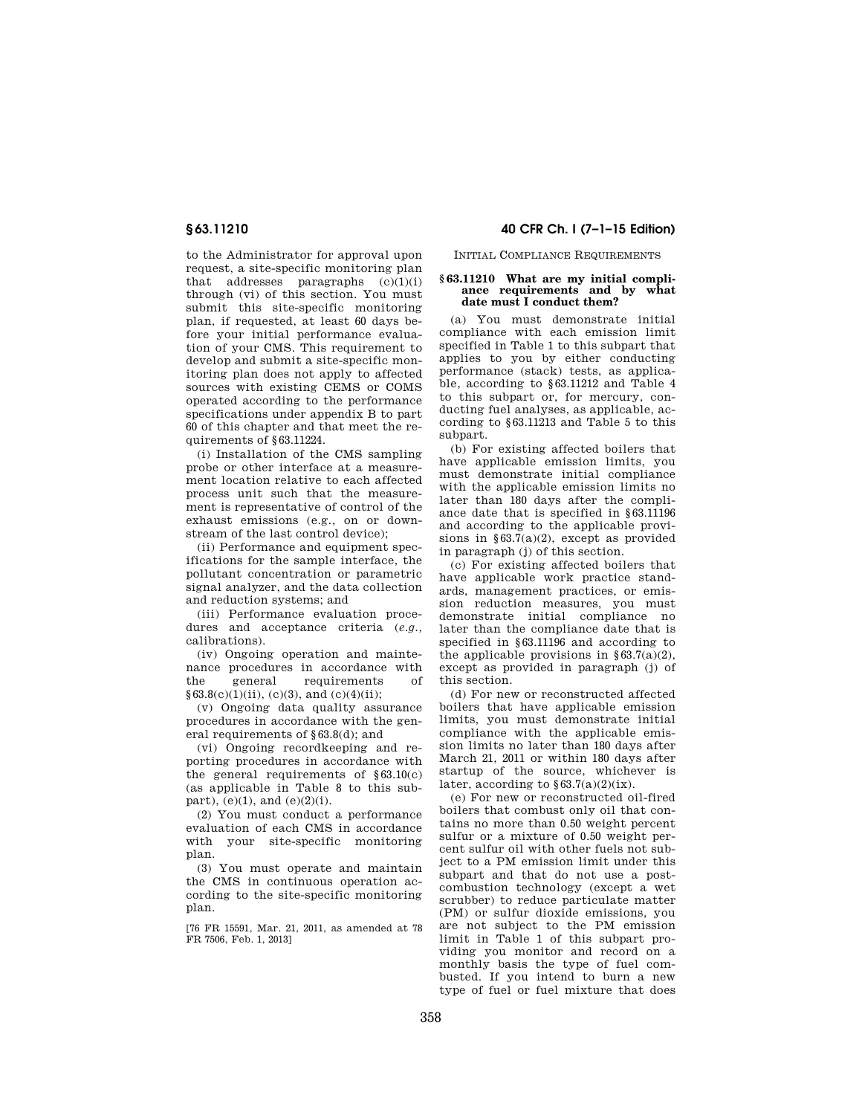to the Administrator for approval upon request, a site-specific monitoring plan that addresses paragraphs  $(c)(1)(i)$ through (vi) of this section. You must submit this site-specific monitoring plan, if requested, at least 60 days before your initial performance evaluation of your CMS. This requirement to develop and submit a site-specific monitoring plan does not apply to affected sources with existing CEMS or COMS operated according to the performance specifications under appendix B to part 60 of this chapter and that meet the requirements of §63.11224.

(i) Installation of the CMS sampling probe or other interface at a measurement location relative to each affected process unit such that the measurement is representative of control of the exhaust emissions (e.g., on or downstream of the last control device);

(ii) Performance and equipment specifications for the sample interface, the pollutant concentration or parametric signal analyzer, and the data collection and reduction systems; and

(iii) Performance evaluation procedures and acceptance criteria (*e.g.,*  calibrations).

(iv) Ongoing operation and maintenance procedures in accordance with the general requirements of  $§63.8(c)(1)(ii)$ , (c)(3), and (c)(4)(ii);

(v) Ongoing data quality assurance procedures in accordance with the general requirements of §63.8(d); and

(vi) Ongoing recordkeeping and reporting procedures in accordance with the general requirements of  $§63.10(c)$ (as applicable in Table 8 to this subpart), (e)(1), and (e)(2)(i).

(2) You must conduct a performance evaluation of each CMS in accordance with your site-specific monitoring plan.

(3) You must operate and maintain the CMS in continuous operation according to the site-specific monitoring plan.

[76 FR 15591, Mar. 21, 2011, as amended at 78 FR 7506, Feb. 1, 2013]

**§ 63.11210 40 CFR Ch. I (7–1–15 Edition)** 

INITIAL COMPLIANCE REQUIREMENTS

#### **§ 63.11210 What are my initial compliance requirements and by what date must I conduct them?**

(a) You must demonstrate initial compliance with each emission limit specified in Table 1 to this subpart that applies to you by either conducting performance (stack) tests, as applicable, according to §63.11212 and Table 4 to this subpart or, for mercury, conducting fuel analyses, as applicable, according to §63.11213 and Table 5 to this subpart.

(b) For existing affected boilers that have applicable emission limits, you must demonstrate initial compliance with the applicable emission limits no later than 180 days after the compliance date that is specified in §63.11196 and according to the applicable provisions in  $§63.7(a)(2)$ , except as provided in paragraph (j) of this section.

(c) For existing affected boilers that have applicable work practice standards, management practices, or emission reduction measures, you must demonstrate initial compliance no later than the compliance date that is specified in §63.11196 and according to the applicable provisions in  $§63.7(a)(2),$ except as provided in paragraph (j) of this section.

(d) For new or reconstructed affected boilers that have applicable emission limits, you must demonstrate initial compliance with the applicable emission limits no later than 180 days after March 21, 2011 or within 180 days after startup of the source, whichever is later, according to  $§ 63.7(a)(2)(ix)$ .

(e) For new or reconstructed oil-fired boilers that combust only oil that contains no more than 0.50 weight percent sulfur or a mixture of 0.50 weight percent sulfur oil with other fuels not subject to a PM emission limit under this subpart and that do not use a postcombustion technology (except a wet scrubber) to reduce particulate matter (PM) or sulfur dioxide emissions, you are not subject to the PM emission limit in Table 1 of this subpart providing you monitor and record on a monthly basis the type of fuel combusted. If you intend to burn a new type of fuel or fuel mixture that does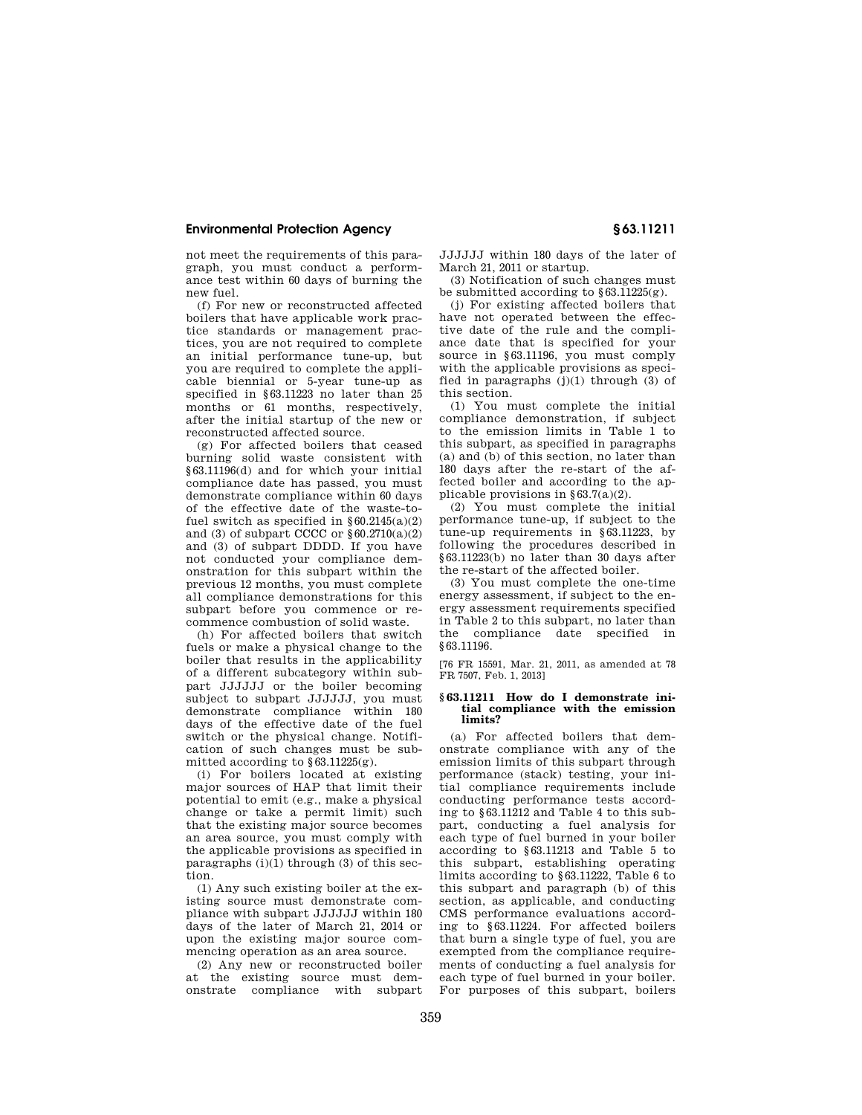not meet the requirements of this paragraph, you must conduct a performance test within 60 days of burning the new fuel.

(f) For new or reconstructed affected boilers that have applicable work practice standards or management practices, you are not required to complete an initial performance tune-up, but you are required to complete the applicable biennial or 5-year tune-up as specified in §63.11223 no later than 25 months or 61 months, respectively, after the initial startup of the new or reconstructed affected source.

(g) For affected boilers that ceased burning solid waste consistent with §63.11196(d) and for which your initial compliance date has passed, you must demonstrate compliance within 60 days of the effective date of the waste-tofuel switch as specified in  $§ 60.2145(a)(2)$ and (3) of subpart CCCC or  $§60.2710(a)(2)$ and (3) of subpart DDDD. If you have not conducted your compliance demonstration for this subpart within the previous 12 months, you must complete all compliance demonstrations for this subpart before you commence or recommence combustion of solid waste.

(h) For affected boilers that switch fuels or make a physical change to the boiler that results in the applicability of a different subcategory within subpart JJJJJJ or the boiler becoming subject to subpart JJJJJJ, you must demonstrate compliance within 180 days of the effective date of the fuel switch or the physical change. Notification of such changes must be submitted according to  $§63.11225(g)$ .

(i) For boilers located at existing major sources of HAP that limit their potential to emit (e.g., make a physical change or take a permit limit) such that the existing major source becomes an area source, you must comply with the applicable provisions as specified in paragraphs  $(i)(1)$  through  $(3)$  of this section.

(1) Any such existing boiler at the existing source must demonstrate compliance with subpart JJJJJJ within 180 days of the later of March 21, 2014 or upon the existing major source commencing operation as an area source.

(2) Any new or reconstructed boiler at the existing source must demonstrate compliance with subpart JJJJJJ within 180 days of the later of March 21, 2011 or startup.

(3) Notification of such changes must be submitted according to §63.11225(g).

(j) For existing affected boilers that have not operated between the effective date of the rule and the compliance date that is specified for your source in §63.11196, you must comply with the applicable provisions as specified in paragraphs  $(j)(1)$  through  $(3)$  of this section.

(1) You must complete the initial compliance demonstration, if subject to the emission limits in Table 1 to this subpart, as specified in paragraphs (a) and (b) of this section, no later than 180 days after the re-start of the affected boiler and according to the applicable provisions in  $§ 63.7(a)(2)$ .

(2) You must complete the initial performance tune-up, if subject to the tune-up requirements in §63.11223, by following the procedures described in §63.11223(b) no later than 30 days after the re-start of the affected boiler.

(3) You must complete the one-time energy assessment, if subject to the energy assessment requirements specified in Table 2 to this subpart, no later than the compliance date specified in §63.11196.

[76 FR 15591, Mar. 21, 2011, as amended at 78 FR 7507, Feb. 1, 2013]

#### **§ 63.11211 How do I demonstrate initial compliance with the emission limits?**

(a) For affected boilers that demonstrate compliance with any of the emission limits of this subpart through performance (stack) testing, your initial compliance requirements include conducting performance tests according to §63.11212 and Table 4 to this subpart, conducting a fuel analysis for each type of fuel burned in your boiler according to §63.11213 and Table 5 to this subpart, establishing operating limits according to §63.11222, Table 6 to this subpart and paragraph (b) of this section, as applicable, and conducting CMS performance evaluations according to §63.11224. For affected boilers that burn a single type of fuel, you are exempted from the compliance requirements of conducting a fuel analysis for each type of fuel burned in your boiler. For purposes of this subpart, boilers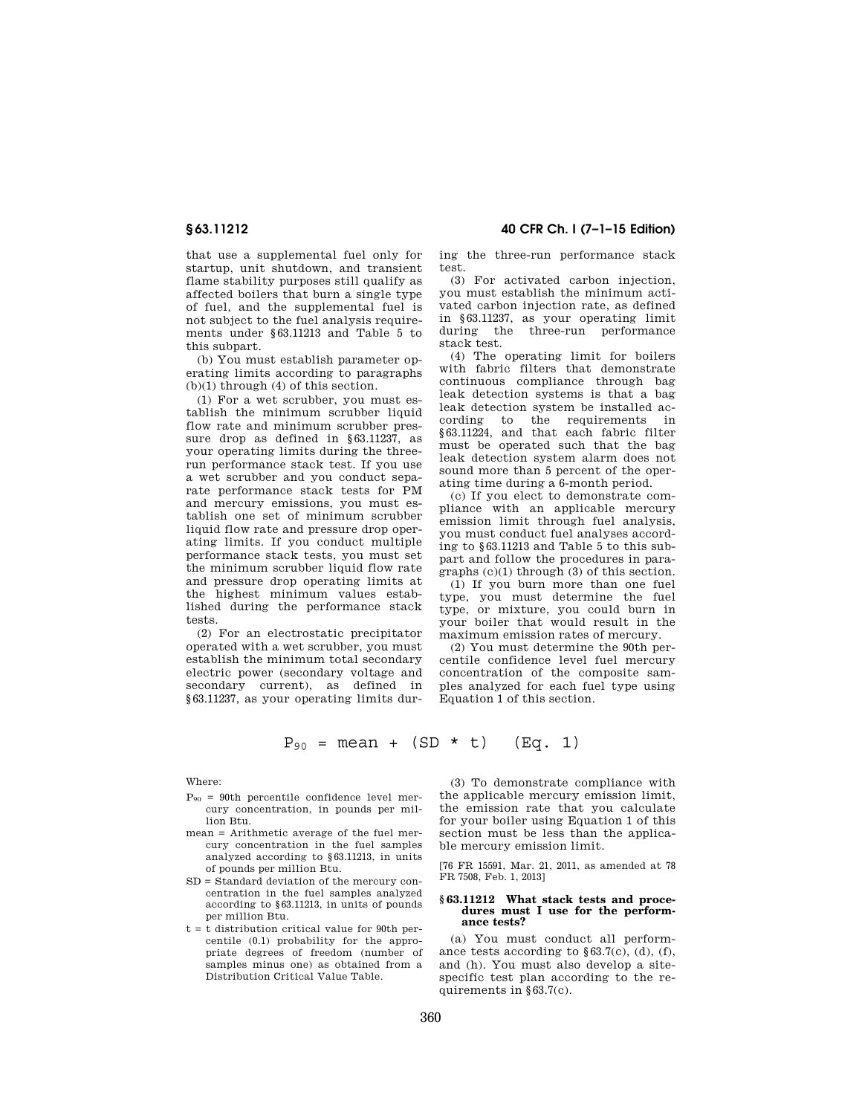that use a supplemental fuel only for startup, unit shutdown, and transient flame stability purposes still qualify as affected boilers that burn a single type of fuel, and the supplemental fuel is not subject to the fuel analysis requirements under §63.11213 and Table 5 to this subpart.

(b) You must establish parameter operating limits according to paragraphs (b)(1) through (4) of this section.

(1) For a wet scrubber, you must establish the minimum scrubber liquid flow rate and minimum scrubber pressure drop as defined in §63.11237, as your operating limits during the threerun performance stack test. If you use a wet scrubber and you conduct separate performance stack tests for PM and mercury emissions, you must establish one set of minimum scrubber liquid flow rate and pressure drop operating limits. If you conduct multiple performance stack tests, you must set the minimum scrubber liquid flow rate and pressure drop operating limits at the highest minimum values established during the performance stack tests.

(2) For an electrostatic precipitator operated with a wet scrubber, you must establish the minimum total secondary electric power (secondary voltage and secondary current), as defined in §63.11237, as your operating limits dur-

**§ 63.11212 40 CFR Ch. I (7–1–15 Edition)** 

ing the three-run performance stack test.

(3) For activated carbon injection, you must establish the minimum activated carbon injection rate, as defined in §63.11237, as your operating limit during the three-run performance stack test.

(4) The operating limit for boilers with fabric filters that demonstrate continuous compliance through bag leak detection systems is that a bag leak detection system be installed according to the requirements in §63.11224, and that each fabric filter must be operated such that the bag leak detection system alarm does not sound more than 5 percent of the operating time during a 6-month period.

(c) If you elect to demonstrate compliance with an applicable mercury emission limit through fuel analysis, you must conduct fuel analyses according to §63.11213 and Table 5 to this subpart and follow the procedures in paragraphs (c)(1) through (3) of this section.

(1) If you burn more than one fuel type, you must determine the fuel type, or mixture, you could burn in your boiler that would result in the maximum emission rates of mercury.

(2) You must determine the 90th percentile confidence level fuel mercury concentration of the composite samples analyzed for each fuel type using Equation 1 of this section.

 $P_{90}$  = mean + (SD \* t)  $(Eq. 1)$ 

Where:

- $P_{90}$  = 90th percentile confidence level mercury concentration, in pounds per million Btu.
- mean = Arithmetic average of the fuel mercury concentration in the fuel samples analyzed according to §63.11213, in units of pounds per million Btu.
- SD = Standard deviation of the mercury concentration in the fuel samples analyzed according to §63.11213, in units of pounds per million Btu.
- t = t distribution critical value for 90th percentile (0.1) probability for the appropriate degrees of freedom (number of samples minus one) as obtained from a Distribution Critical Value Table.

(3) To demonstrate compliance with the applicable mercury emission limit, the emission rate that you calculate for your boiler using Equation 1 of this section must be less than the applicable mercury emission limit.

[76 FR 15591, Mar. 21, 2011, as amended at 78 FR 7508, Feb. 1, 2013]

#### **§ 63.11212 What stack tests and procedures must I use for the performance tests?**

(a) You must conduct all performance tests according to  $§63.7(c)$ , (d), (f), and (h). You must also develop a sitespecific test plan according to the requirements in §63.7(c).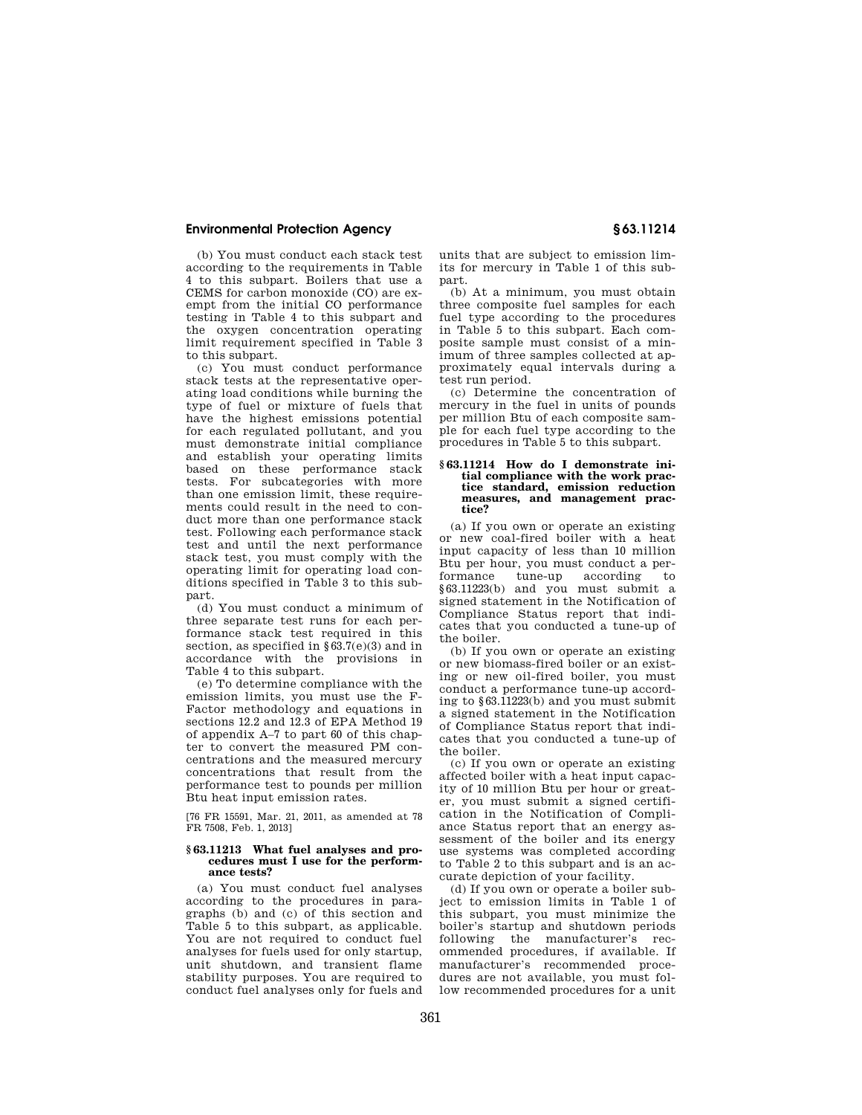(b) You must conduct each stack test according to the requirements in Table 4 to this subpart. Boilers that use a CEMS for carbon monoxide (CO) are exempt from the initial CO performance testing in Table 4 to this subpart and the oxygen concentration operating limit requirement specified in Table 3 to this subpart.

(c) You must conduct performance stack tests at the representative operating load conditions while burning the type of fuel or mixture of fuels that have the highest emissions potential for each regulated pollutant, and you must demonstrate initial compliance and establish your operating limits based on these performance stack tests. For subcategories with more than one emission limit, these requirements could result in the need to conduct more than one performance stack test. Following each performance stack test and until the next performance stack test, you must comply with the operating limit for operating load conditions specified in Table 3 to this subpart.

(d) You must conduct a minimum of three separate test runs for each performance stack test required in this section, as specified in §63.7(e)(3) and in accordance with the provisions in Table 4 to this subpart.

(e) To determine compliance with the emission limits, you must use the F-Factor methodology and equations in sections 12.2 and 12.3 of EPA Method 19 of appendix A–7 to part 60 of this chapter to convert the measured PM concentrations and the measured mercury concentrations that result from the performance test to pounds per million Btu heat input emission rates.

[76 FR 15591, Mar. 21, 2011, as amended at 78 FR 7508, Feb. 1, 2013]

### **§ 63.11213 What fuel analyses and procedures must I use for the performance tests?**

(a) You must conduct fuel analyses according to the procedures in paragraphs (b) and (c) of this section and Table 5 to this subpart, as applicable. You are not required to conduct fuel analyses for fuels used for only startup, unit shutdown, and transient flame stability purposes. You are required to conduct fuel analyses only for fuels and

units that are subject to emission limits for mercury in Table 1 of this subpart.

(b) At a minimum, you must obtain three composite fuel samples for each fuel type according to the procedures in Table 5 to this subpart. Each composite sample must consist of a minimum of three samples collected at approximately equal intervals during a test run period.

(c) Determine the concentration of mercury in the fuel in units of pounds per million Btu of each composite sample for each fuel type according to the procedures in Table 5 to this subpart.

#### **§ 63.11214 How do I demonstrate initial compliance with the work practice standard, emission reduction measures, and management practice?**

(a) If you own or operate an existing or new coal-fired boiler with a heat input capacity of less than 10 million Btu per hour, you must conduct a performance tune-up according to §63.11223(b) and you must submit a signed statement in the Notification of Compliance Status report that indicates that you conducted a tune-up of the boiler.

(b) If you own or operate an existing or new biomass-fired boiler or an existing or new oil-fired boiler, you must conduct a performance tune-up according to §63.11223(b) and you must submit a signed statement in the Notification of Compliance Status report that indicates that you conducted a tune-up of the boiler.

(c) If you own or operate an existing affected boiler with a heat input capacity of 10 million Btu per hour or greater, you must submit a signed certification in the Notification of Compliance Status report that an energy assessment of the boiler and its energy use systems was completed according to Table 2 to this subpart and is an accurate depiction of your facility.

(d) If you own or operate a boiler subject to emission limits in Table 1 of this subpart, you must minimize the boiler's startup and shutdown periods following the manufacturer's recommended procedures, if available. If manufacturer's recommended procedures are not available, you must follow recommended procedures for a unit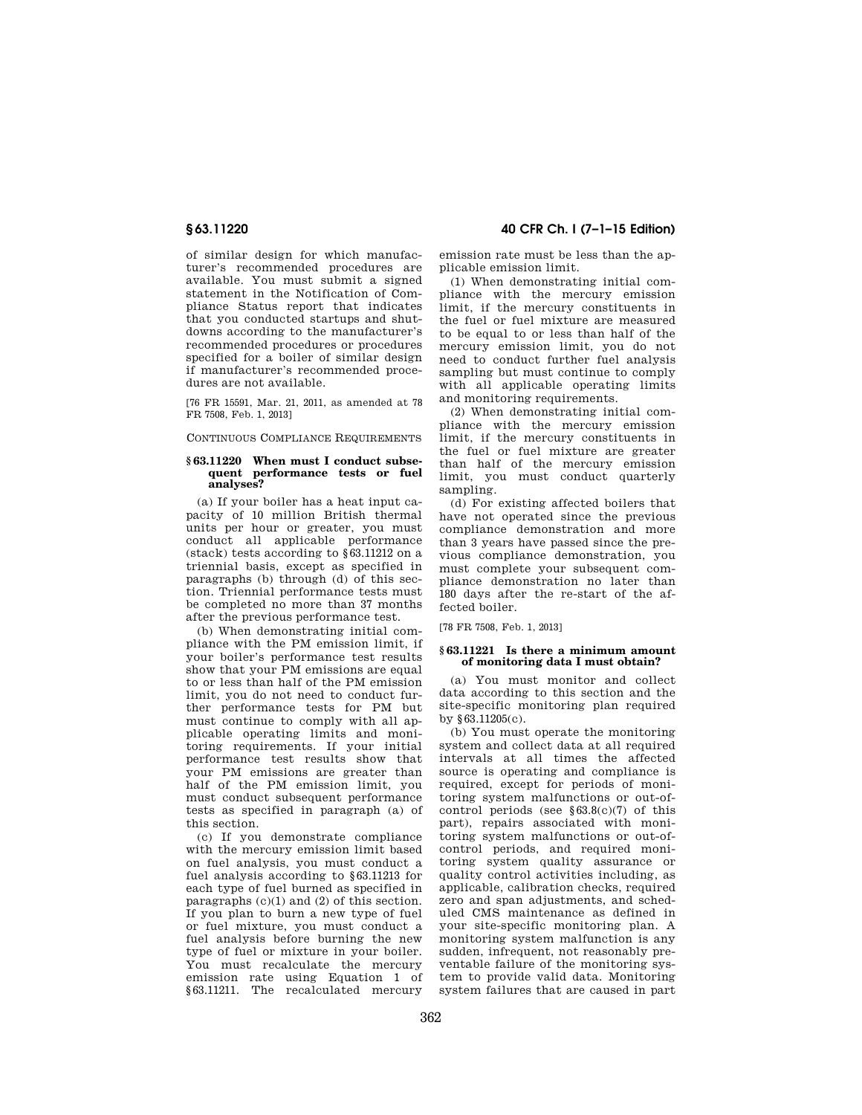of similar design for which manufacturer's recommended procedures are available. You must submit a signed statement in the Notification of Compliance Status report that indicates that you conducted startups and shutdowns according to the manufacturer's recommended procedures or procedures specified for a boiler of similar design if manufacturer's recommended procedures are not available.

[76 FR 15591, Mar. 21, 2011, as amended at 78 FR 7508, Feb. 1, 2013]

CONTINUOUS COMPLIANCE REQUIREMENTS

#### **§ 63.11220 When must I conduct subsequent performance tests or fuel analyses?**

(a) If your boiler has a heat input capacity of 10 million British thermal units per hour or greater, you must conduct all applicable performance (stack) tests according to §63.11212 on a triennial basis, except as specified in paragraphs (b) through (d) of this section. Triennial performance tests must be completed no more than 37 months after the previous performance test.

(b) When demonstrating initial compliance with the PM emission limit, if your boiler's performance test results show that your PM emissions are equal to or less than half of the PM emission limit, you do not need to conduct further performance tests for PM but must continue to comply with all applicable operating limits and monitoring requirements. If your initial performance test results show that your PM emissions are greater than half of the PM emission limit, you must conduct subsequent performance tests as specified in paragraph (a) of this section.

(c) If you demonstrate compliance with the mercury emission limit based on fuel analysis, you must conduct a fuel analysis according to §63.11213 for each type of fuel burned as specified in paragraphs (c)(1) and (2) of this section. If you plan to burn a new type of fuel or fuel mixture, you must conduct a fuel analysis before burning the new type of fuel or mixture in your boiler. You must recalculate the mercury emission rate using Equation 1 of §63.11211. The recalculated mercury

**§ 63.11220 40 CFR Ch. I (7–1–15 Edition)** 

emission rate must be less than the applicable emission limit.

(1) When demonstrating initial compliance with the mercury emission limit, if the mercury constituents in the fuel or fuel mixture are measured to be equal to or less than half of the mercury emission limit, you do not need to conduct further fuel analysis sampling but must continue to comply with all applicable operating limits and monitoring requirements.

(2) When demonstrating initial compliance with the mercury emission limit, if the mercury constituents in the fuel or fuel mixture are greater than half of the mercury emission limit, you must conduct quarterly sampling.

(d) For existing affected boilers that have not operated since the previous compliance demonstration and more than 3 years have passed since the previous compliance demonstration, you must complete your subsequent compliance demonstration no later than 180 days after the re-start of the affected boiler.

[78 FR 7508, Feb. 1, 2013]

#### **§ 63.11221 Is there a minimum amount of monitoring data I must obtain?**

(a) You must monitor and collect data according to this section and the site-specific monitoring plan required by §63.11205(c).

(b) You must operate the monitoring system and collect data at all required intervals at all times the affected source is operating and compliance is required, except for periods of monitoring system malfunctions or out-ofcontrol periods (see  $§63.8(c)(7)$  of this part), repairs associated with monitoring system malfunctions or out-ofcontrol periods, and required monitoring system quality assurance or quality control activities including, as applicable, calibration checks, required zero and span adjustments, and scheduled CMS maintenance as defined in your site-specific monitoring plan. A monitoring system malfunction is any sudden, infrequent, not reasonably preventable failure of the monitoring system to provide valid data. Monitoring system failures that are caused in part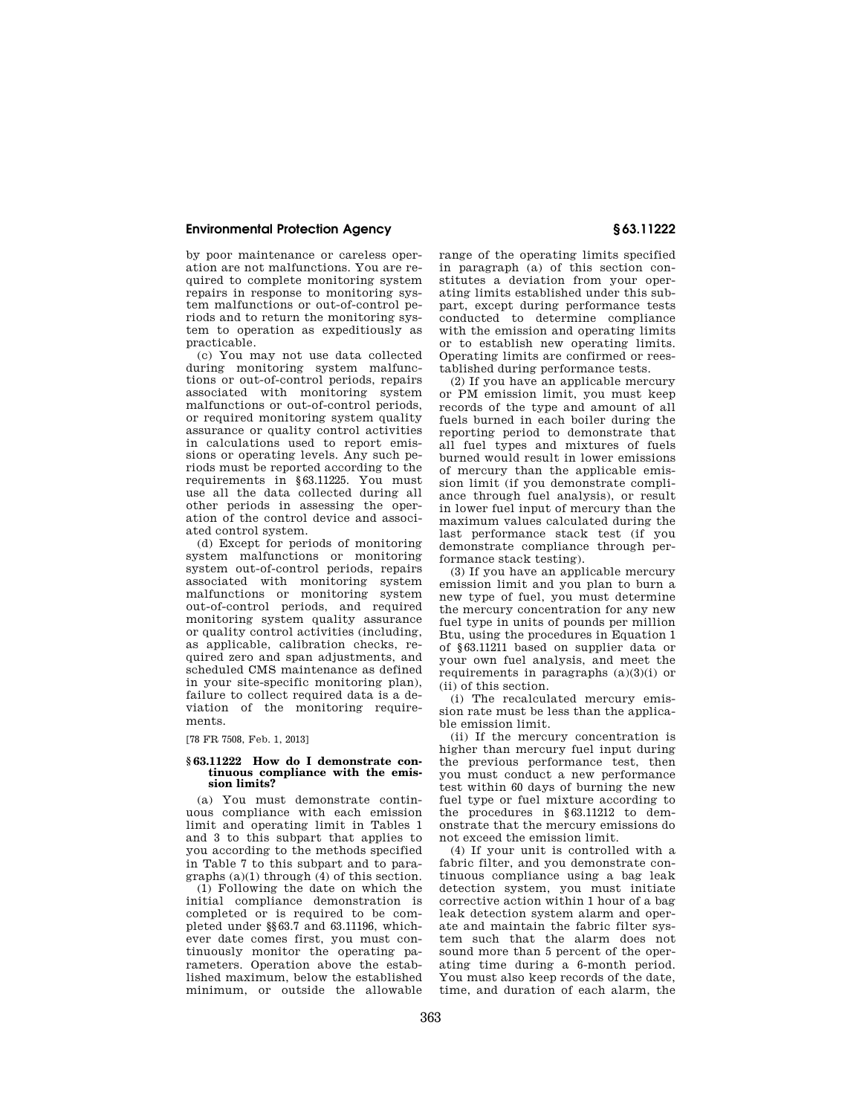by poor maintenance or careless operation are not malfunctions. You are required to complete monitoring system repairs in response to monitoring system malfunctions or out-of-control periods and to return the monitoring system to operation as expeditiously as practicable.

(c) You may not use data collected during monitoring system malfunctions or out-of-control periods, repairs associated with monitoring system malfunctions or out-of-control periods, or required monitoring system quality assurance or quality control activities in calculations used to report emissions or operating levels. Any such periods must be reported according to the requirements in §63.11225. You must use all the data collected during all other periods in assessing the operation of the control device and associated control system.

(d) Except for periods of monitoring system malfunctions or monitoring system out-of-control periods, repairs associated with monitoring system malfunctions or monitoring system out-of-control periods, and required monitoring system quality assurance or quality control activities (including, as applicable, calibration checks, required zero and span adjustments, and scheduled CMS maintenance as defined in your site-specific monitoring plan), failure to collect required data is a deviation of the monitoring requirements.

[78 FR 7508, Feb. 1, 2013]

#### **§ 63.11222 How do I demonstrate continuous compliance with the emission limits?**

(a) You must demonstrate continuous compliance with each emission limit and operating limit in Tables 1 and 3 to this subpart that applies to you according to the methods specified in Table 7 to this subpart and to paragraphs (a)(1) through (4) of this section.

(1) Following the date on which the initial compliance demonstration is completed or is required to be completed under §§63.7 and 63.11196, whichever date comes first, you must continuously monitor the operating parameters. Operation above the established maximum, below the established minimum, or outside the allowable range of the operating limits specified in paragraph (a) of this section constitutes a deviation from your operating limits established under this subpart, except during performance tests conducted to determine compliance with the emission and operating limits or to establish new operating limits. Operating limits are confirmed or reestablished during performance tests.

(2) If you have an applicable mercury or PM emission limit, you must keep records of the type and amount of all fuels burned in each boiler during the reporting period to demonstrate that all fuel types and mixtures of fuels burned would result in lower emissions of mercury than the applicable emission limit (if you demonstrate compliance through fuel analysis), or result in lower fuel input of mercury than the maximum values calculated during the last performance stack test (if you demonstrate compliance through performance stack testing).

(3) If you have an applicable mercury emission limit and you plan to burn a new type of fuel, you must determine the mercury concentration for any new fuel type in units of pounds per million Btu, using the procedures in Equation 1 of §63.11211 based on supplier data or your own fuel analysis, and meet the requirements in paragraphs (a)(3)(i) or (ii) of this section.

(i) The recalculated mercury emission rate must be less than the applicable emission limit.

(ii) If the mercury concentration is higher than mercury fuel input during the previous performance test, then you must conduct a new performance test within 60 days of burning the new fuel type or fuel mixture according to the procedures in §63.11212 to demonstrate that the mercury emissions do not exceed the emission limit.

(4) If your unit is controlled with a fabric filter, and you demonstrate continuous compliance using a bag leak detection system, you must initiate corrective action within 1 hour of a bag leak detection system alarm and operate and maintain the fabric filter system such that the alarm does not sound more than 5 percent of the operating time during a 6-month period. You must also keep records of the date, time, and duration of each alarm, the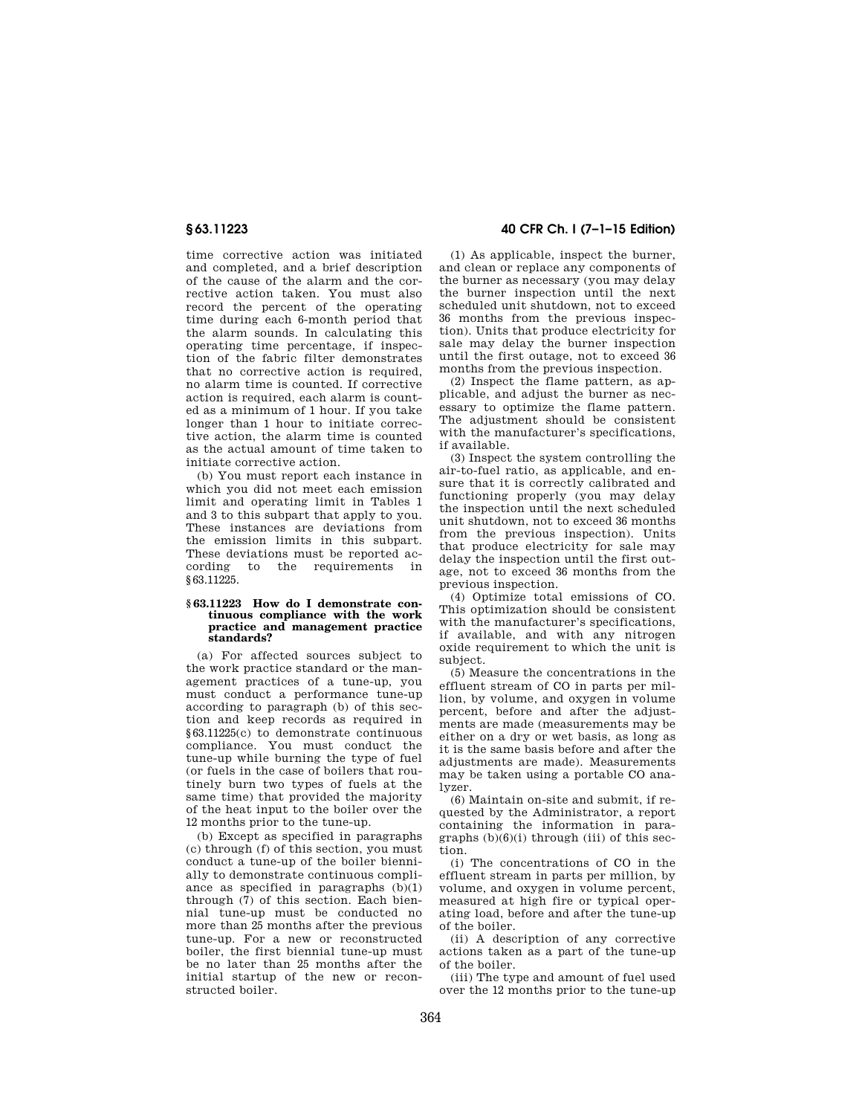time corrective action was initiated and completed, and a brief description of the cause of the alarm and the corrective action taken. You must also record the percent of the operating time during each 6-month period that the alarm sounds. In calculating this operating time percentage, if inspection of the fabric filter demonstrates that no corrective action is required, no alarm time is counted. If corrective action is required, each alarm is counted as a minimum of 1 hour. If you take longer than 1 hour to initiate corrective action, the alarm time is counted as the actual amount of time taken to initiate corrective action.

(b) You must report each instance in which you did not meet each emission limit and operating limit in Tables 1 and 3 to this subpart that apply to you. These instances are deviations from the emission limits in this subpart. These deviations must be reported according to the requirements in §63.11225.

#### **§ 63.11223 How do I demonstrate continuous compliance with the work practice and management practice standards?**

(a) For affected sources subject to the work practice standard or the management practices of a tune-up, you must conduct a performance tune-up according to paragraph (b) of this section and keep records as required in §63.11225(c) to demonstrate continuous compliance. You must conduct the tune-up while burning the type of fuel (or fuels in the case of boilers that routinely burn two types of fuels at the same time) that provided the majority of the heat input to the boiler over the 12 months prior to the tune-up.

(b) Except as specified in paragraphs (c) through (f) of this section, you must conduct a tune-up of the boiler biennially to demonstrate continuous compliance as specified in paragraphs (b)(1) through (7) of this section. Each biennial tune-up must be conducted no more than 25 months after the previous tune-up. For a new or reconstructed boiler, the first biennial tune-up must be no later than 25 months after the initial startup of the new or reconstructed boiler.

**§ 63.11223 40 CFR Ch. I (7–1–15 Edition)** 

(1) As applicable, inspect the burner, and clean or replace any components of the burner as necessary (you may delay the burner inspection until the next scheduled unit shutdown, not to exceed 36 months from the previous inspection). Units that produce electricity for sale may delay the burner inspection until the first outage, not to exceed 36 months from the previous inspection.

(2) Inspect the flame pattern, as applicable, and adjust the burner as necessary to optimize the flame pattern. The adjustment should be consistent with the manufacturer's specifications, if available.

(3) Inspect the system controlling the air-to-fuel ratio, as applicable, and ensure that it is correctly calibrated and functioning properly (you may delay the inspection until the next scheduled unit shutdown, not to exceed 36 months from the previous inspection). Units that produce electricity for sale may delay the inspection until the first outage, not to exceed 36 months from the previous inspection.

(4) Optimize total emissions of CO. This optimization should be consistent with the manufacturer's specifications, if available, and with any nitrogen oxide requirement to which the unit is subject.

(5) Measure the concentrations in the effluent stream of CO in parts per million, by volume, and oxygen in volume percent, before and after the adjustments are made (measurements may be either on a dry or wet basis, as long as it is the same basis before and after the adjustments are made). Measurements may be taken using a portable CO analyzer.

(6) Maintain on-site and submit, if requested by the Administrator, a report containing the information in paragraphs  $(b)(6)(i)$  through (iii) of this section.

(i) The concentrations of CO in the effluent stream in parts per million, by volume, and oxygen in volume percent, measured at high fire or typical operating load, before and after the tune-up of the boiler.

(ii) A description of any corrective actions taken as a part of the tune-up of the boiler.

(iii) The type and amount of fuel used over the 12 months prior to the tune-up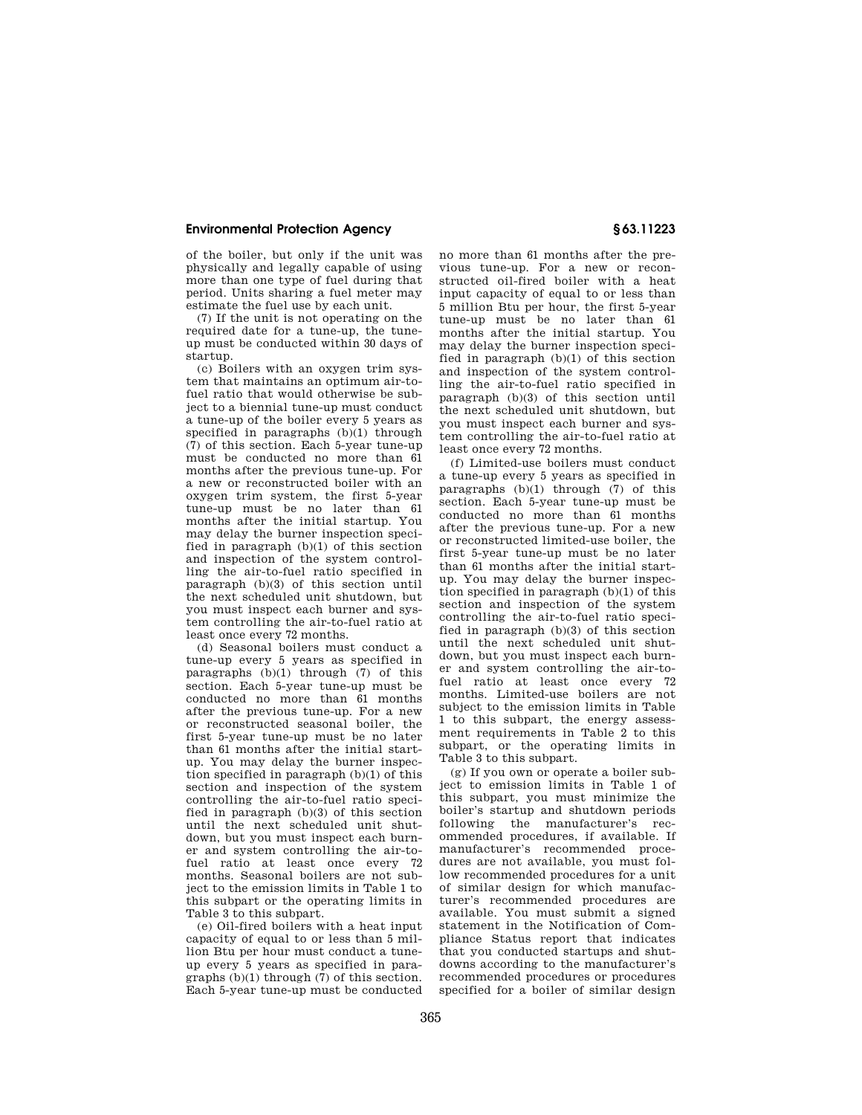of the boiler, but only if the unit was physically and legally capable of using more than one type of fuel during that period. Units sharing a fuel meter may estimate the fuel use by each unit.

(7) If the unit is not operating on the required date for a tune-up, the tuneup must be conducted within 30 days of startup.

(c) Boilers with an oxygen trim system that maintains an optimum air-tofuel ratio that would otherwise be subject to a biennial tune-up must conduct a tune-up of the boiler every 5 years as specified in paragraphs (b)(1) through (7) of this section. Each 5-year tune-up must be conducted no more than 61 months after the previous tune-up. For a new or reconstructed boiler with an oxygen trim system, the first 5-year tune-up must be no later than 61 months after the initial startup. You may delay the burner inspection specified in paragraph (b)(1) of this section and inspection of the system controlling the air-to-fuel ratio specified in paragraph (b)(3) of this section until the next scheduled unit shutdown, but you must inspect each burner and system controlling the air-to-fuel ratio at least once every 72 months.

(d) Seasonal boilers must conduct a tune-up every 5 years as specified in paragraphs  $(b)(1)$  through  $(7)$  of this section. Each 5-year tune-up must be conducted no more than 61 months after the previous tune-up. For a new or reconstructed seasonal boiler, the first 5-year tune-up must be no later than 61 months after the initial startup. You may delay the burner inspection specified in paragraph (b)(1) of this section and inspection of the system controlling the air-to-fuel ratio specified in paragraph (b)(3) of this section until the next scheduled unit shutdown, but you must inspect each burner and system controlling the air-tofuel ratio at least once every 72 months. Seasonal boilers are not subject to the emission limits in Table 1 to this subpart or the operating limits in Table 3 to this subpart.

(e) Oil-fired boilers with a heat input capacity of equal to or less than 5 million Btu per hour must conduct a tuneup every 5 years as specified in paragraphs (b)(1) through (7) of this section. Each 5-year tune-up must be conducted

no more than 61 months after the previous tune-up. For a new or reconstructed oil-fired boiler with a heat input capacity of equal to or less than 5 million Btu per hour, the first 5-year tune-up must be no later than 61 months after the initial startup. You may delay the burner inspection specified in paragraph (b)(1) of this section and inspection of the system controlling the air-to-fuel ratio specified in paragraph (b)(3) of this section until the next scheduled unit shutdown, but you must inspect each burner and system controlling the air-to-fuel ratio at least once every 72 months.

(f) Limited-use boilers must conduct a tune-up every 5 years as specified in paragraphs (b)(1) through (7) of this section. Each 5-year tune-up must be conducted no more than 61 months after the previous tune-up. For a new or reconstructed limited-use boiler, the first 5-year tune-up must be no later than 61 months after the initial startup. You may delay the burner inspection specified in paragraph (b)(1) of this section and inspection of the system controlling the air-to-fuel ratio specified in paragraph (b)(3) of this section until the next scheduled unit shutdown, but you must inspect each burner and system controlling the air-tofuel ratio at least once every 72 months. Limited-use boilers are not subject to the emission limits in Table 1 to this subpart, the energy assessment requirements in Table 2 to this subpart, or the operating limits in Table 3 to this subpart.

(g) If you own or operate a boiler subject to emission limits in Table 1 of this subpart, you must minimize the boiler's startup and shutdown periods following the manufacturer's recommended procedures, if available. If manufacturer's recommended procedures are not available, you must follow recommended procedures for a unit of similar design for which manufacturer's recommended procedures are available. You must submit a signed statement in the Notification of Compliance Status report that indicates that you conducted startups and shutdowns according to the manufacturer's recommended procedures or procedures specified for a boiler of similar design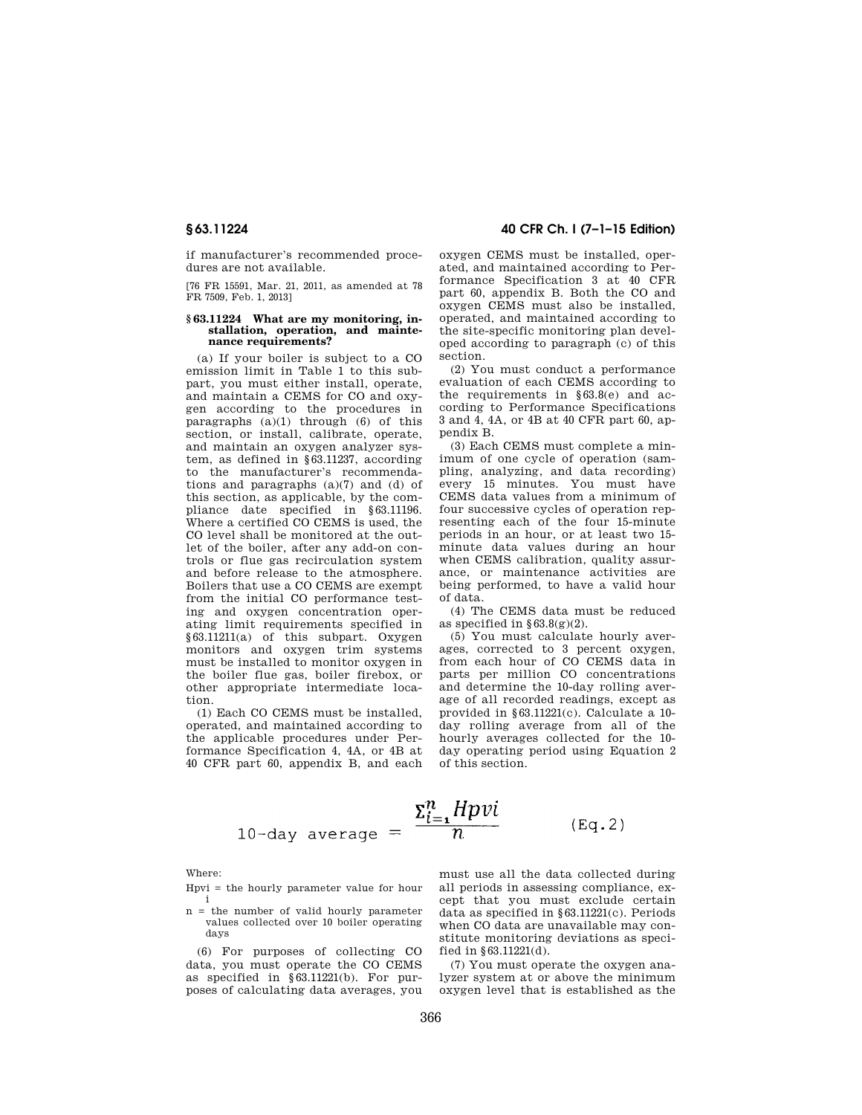if manufacturer's recommended procedures are not available.

[76 FR 15591, Mar. 21, 2011, as amended at 78 FR 7509, Feb. 1, 2013]

#### **§ 63.11224 What are my monitoring, installation, operation, and maintenance requirements?**

(a) If your boiler is subject to a CO emission limit in Table 1 to this subpart, you must either install, operate, and maintain a CEMS for CO and oxygen according to the procedures in paragraphs (a)(1) through (6) of this section, or install, calibrate, operate, and maintain an oxygen analyzer system, as defined in §63.11237, according to the manufacturer's recommendations and paragraphs (a)(7) and (d) of this section, as applicable, by the compliance date specified in §63.11196. Where a certified CO CEMS is used, the CO level shall be monitored at the outlet of the boiler, after any add-on controls or flue gas recirculation system and before release to the atmosphere. Boilers that use a CO CEMS are exempt from the initial CO performance testing and oxygen concentration operating limit requirements specified in §63.11211(a) of this subpart. Oxygen monitors and oxygen trim systems must be installed to monitor oxygen in the boiler flue gas, boiler firebox, or other appropriate intermediate location.

(1) Each CO CEMS must be installed, operated, and maintained according to the applicable procedures under Performance Specification 4, 4A, or 4B at 40 CFR part 60, appendix B, and each

**§ 63.11224 40 CFR Ch. I (7–1–15 Edition)** 

oxygen CEMS must be installed, operated, and maintained according to Performance Specification 3 at 40 CFR part 60, appendix B. Both the CO and oxygen CEMS must also be installed, operated, and maintained according to the site-specific monitoring plan developed according to paragraph (c) of this section.

(2) You must conduct a performance evaluation of each CEMS according to the requirements in  $§63.8(e)$  and according to Performance Specifications 3 and 4, 4A, or 4B at 40 CFR part 60, appendix B.

(3) Each CEMS must complete a minimum of one cycle of operation (sampling, analyzing, and data recording) every 15 minutes. You must have CEMS data values from a minimum of four successive cycles of operation representing each of the four 15-minute periods in an hour, or at least two 15 minute data values during an hour when CEMS calibration, quality assurance, or maintenance activities are being performed, to have a valid hour of data.

(4) The CEMS data must be reduced as specified in  $\S 63.8(g)(2)$ .

(5) You must calculate hourly averages, corrected to 3 percent oxygen, from each hour of CO CEMS data in parts per million CO concentrations and determine the 10-day rolling average of all recorded readings, except as provided in §63.11221(c). Calculate a 10 day rolling average from all of the hourly averages collected for the 10 day operating period using Equation 2 of this section.

$$
\Sigma_{i=1}^{n} H p v i
$$
\n
$$
10-\text{day average} = \frac{\Sigma_{i=1}^{n} H p v i}{n} \qquad (\text{Eq. 2})
$$

Where:

- Hpvi = the hourly parameter value for hour i
- n = the number of valid hourly parameter values collected over 10 boiler operating days

(6) For purposes of collecting CO data, you must operate the CO CEMS as specified in §63.11221(b). For purposes of calculating data averages, you

must use all the data collected during all periods in assessing compliance, except that you must exclude certain data as specified in §63.11221(c). Periods when CO data are unavailable may constitute monitoring deviations as specified in §63.11221(d).

(7) You must operate the oxygen analyzer system at or above the minimum oxygen level that is established as the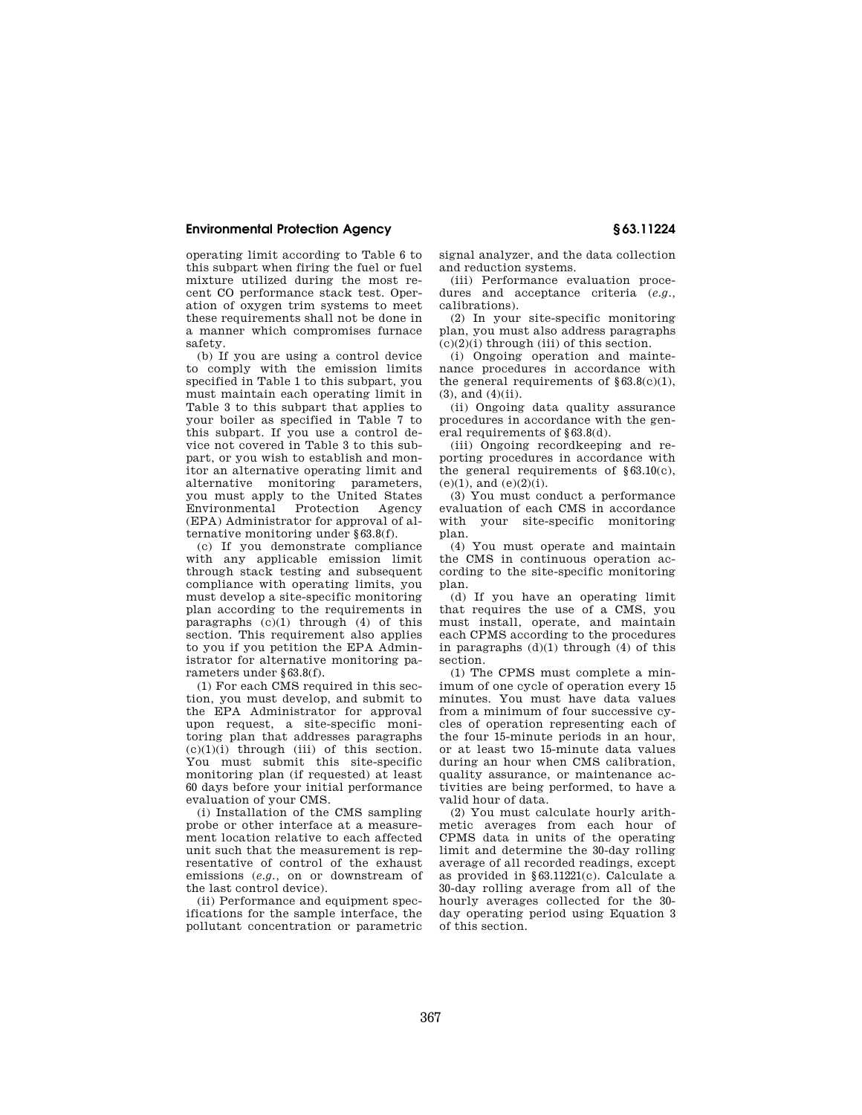operating limit according to Table 6 to this subpart when firing the fuel or fuel mixture utilized during the most recent CO performance stack test. Operation of oxygen trim systems to meet these requirements shall not be done in a manner which compromises furnace safety.

(b) If you are using a control device to comply with the emission limits specified in Table 1 to this subpart, you must maintain each operating limit in Table 3 to this subpart that applies to your boiler as specified in Table 7 to this subpart. If you use a control device not covered in Table 3 to this subpart, or you wish to establish and monitor an alternative operating limit and alternative monitoring parameters, you must apply to the United States<br>Environmental Protection Agency Environmental Protection Agency (EPA) Administrator for approval of alternative monitoring under §63.8(f).

(c) If you demonstrate compliance with any applicable emission limit through stack testing and subsequent compliance with operating limits, you must develop a site-specific monitoring plan according to the requirements in paragraphs  $(c)(1)$  through  $(4)$  of this section. This requirement also applies to you if you petition the EPA Administrator for alternative monitoring parameters under §63.8(f).

(1) For each CMS required in this section, you must develop, and submit to the EPA Administrator for approval upon request, a site-specific monitoring plan that addresses paragraphs  $(c)(1)(i)$  through (iii) of this section. You must submit this site-specific monitoring plan (if requested) at least 60 days before your initial performance evaluation of your CMS.

(i) Installation of the CMS sampling probe or other interface at a measurement location relative to each affected unit such that the measurement is representative of control of the exhaust emissions (*e.g.,* on or downstream of the last control device).

(ii) Performance and equipment specifications for the sample interface, the pollutant concentration or parametric signal analyzer, and the data collection and reduction systems.

(iii) Performance evaluation procedures and acceptance criteria (*e.g.,*  calibrations).

(2) In your site-specific monitoring plan, you must also address paragraphs  $(c)(2)(i)$  through (iii) of this section.

(i) Ongoing operation and maintenance procedures in accordance with the general requirements of  $§63.8(c)(1)$ , (3), and (4)(ii).

(ii) Ongoing data quality assurance procedures in accordance with the general requirements of \$63.8(d).

(iii) Ongoing recordkeeping and reporting procedures in accordance with the general requirements of  $§63.10(c)$ ,  $(e)(1)$ , and  $(e)(2)(i)$ .

(3) You must conduct a performance evaluation of each CMS in accordance with your site-specific monitoring plan.

(4) You must operate and maintain the CMS in continuous operation according to the site-specific monitoring plan.

(d) If you have an operating limit that requires the use of a CMS, you must install, operate, and maintain each CPMS according to the procedures in paragraphs  $(d)(1)$  through  $(4)$  of this section.

(1) The CPMS must complete a minimum of one cycle of operation every 15 minutes. You must have data values from a minimum of four successive cycles of operation representing each of the four 15-minute periods in an hour, or at least two 15-minute data values during an hour when CMS calibration, quality assurance, or maintenance activities are being performed, to have a valid hour of data.

(2) You must calculate hourly arithmetic averages from each hour of CPMS data in units of the operating limit and determine the 30-day rolling average of all recorded readings, except as provided in §63.11221(c). Calculate a 30-day rolling average from all of the hourly averages collected for the 30 day operating period using Equation 3 of this section.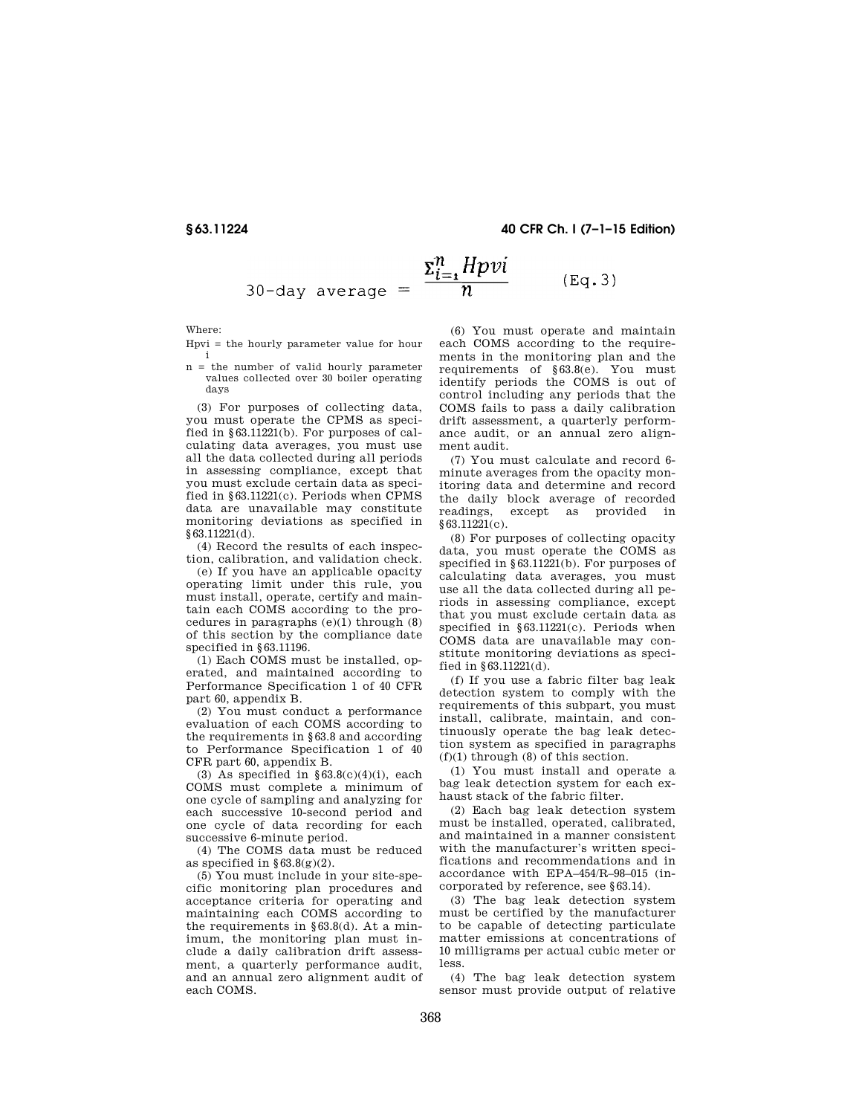#### **§ 63.11224 40 CFR Ch. I (7–1–15 Edition)**

$$
30-\text{day average} = \frac{\Sigma_{i=1}^{n} Hpvi}{n} \qquad (\text{Eq. 3})
$$

Where:

Hpvi = the hourly parameter value for hour i

n = the number of valid hourly parameter values collected over 30 boiler operating days

(3) For purposes of collecting data, you must operate the CPMS as specified in  $$63.11221(b)$ . For purposes of calculating data averages, you must use all the data collected during all periods in assessing compliance, except that you must exclude certain data as specified in §63.11221(c). Periods when CPMS data are unavailable may constitute monitoring deviations as specified in §63.11221(d).

(4) Record the results of each inspection, calibration, and validation check.

(e) If you have an applicable opacity operating limit under this rule, you must install, operate, certify and maintain each COMS according to the procedures in paragraphs (e)(1) through (8) of this section by the compliance date specified in  $$63.11196$ .

(1) Each COMS must be installed, operated, and maintained according to Performance Specification 1 of 40 CFR part 60, appendix B.

(2) You must conduct a performance evaluation of each COMS according to the requirements in §63.8 and according to Performance Specification 1 of 40 CFR part 60, appendix B.

(3) As specified in  $§63.8(c)(4)(i)$ , each COMS must complete a minimum of one cycle of sampling and analyzing for each successive 10-second period and one cycle of data recording for each successive 6-minute period.

(4) The COMS data must be reduced as specified in  $$63.8(g)(2)$ .

(5) You must include in your site-specific monitoring plan procedures and acceptance criteria for operating and maintaining each COMS according to the requirements in §63.8(d). At a minimum, the monitoring plan must include a daily calibration drift assessment, a quarterly performance audit, and an annual zero alignment audit of each COMS.

(6) You must operate and maintain each COMS according to the requirements in the monitoring plan and the requirements of §63.8(e). You must identify periods the COMS is out of control including any periods that the COMS fails to pass a daily calibration drift assessment, a quarterly performance audit, or an annual zero alignment audit.

(7) You must calculate and record 6 minute averages from the opacity monitoring data and determine and record the daily block average of recorded readings, except as provided in §63.11221(c).

(8) For purposes of collecting opacity data, you must operate the COMS as specified in §63.11221(b). For purposes of calculating data averages, you must use all the data collected during all periods in assessing compliance, except that you must exclude certain data as specified in §63.11221(c). Periods when COMS data are unavailable may constitute monitoring deviations as specified in §63.11221(d).

(f) If you use a fabric filter bag leak detection system to comply with the requirements of this subpart, you must install, calibrate, maintain, and continuously operate the bag leak detection system as specified in paragraphs  $(f)(1)$  through  $(8)$  of this section.

(1) You must install and operate a bag leak detection system for each exhaust stack of the fabric filter.

(2) Each bag leak detection system must be installed, operated, calibrated, and maintained in a manner consistent with the manufacturer's written specifications and recommendations and in accordance with EPA–454/R–98–015 (incorporated by reference, see §63.14).

(3) The bag leak detection system must be certified by the manufacturer to be capable of detecting particulate matter emissions at concentrations of 10 milligrams per actual cubic meter or less.

(4) The bag leak detection system sensor must provide output of relative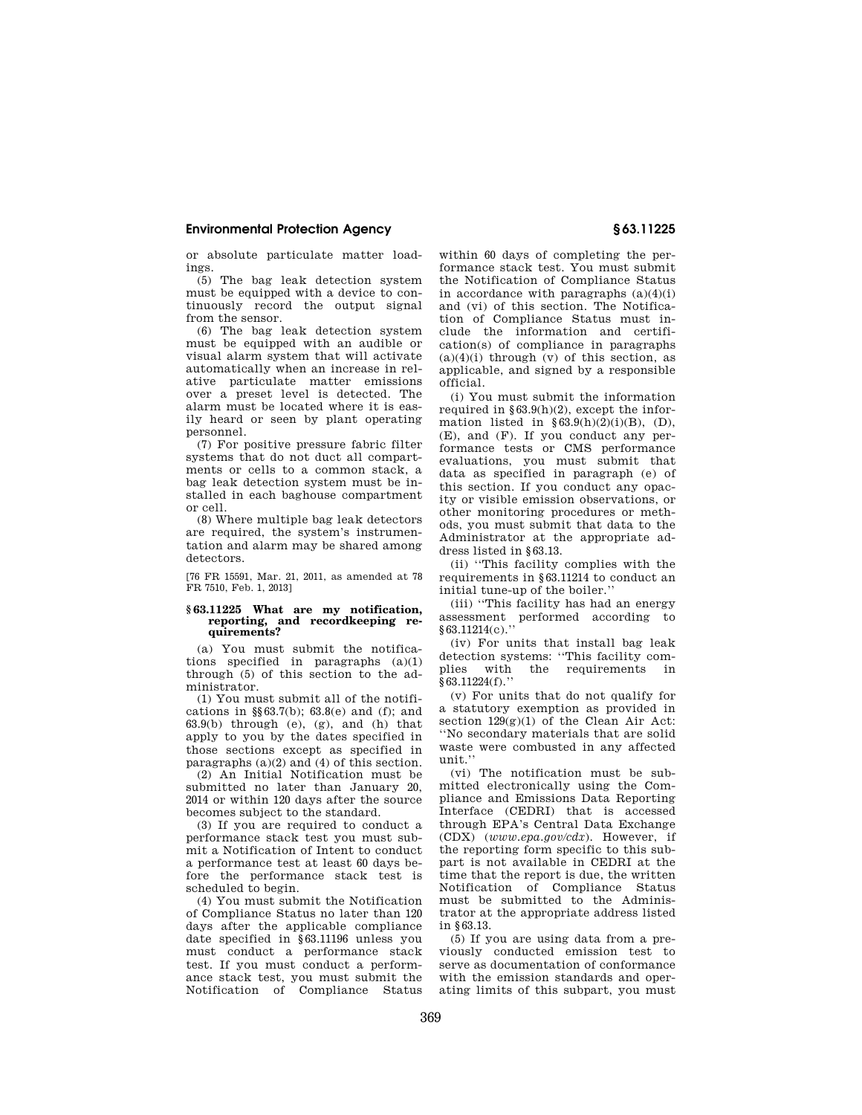or absolute particulate matter loadings.

(5) The bag leak detection system must be equipped with a device to continuously record the output signal from the sensor.

(6) The bag leak detection system must be equipped with an audible or visual alarm system that will activate automatically when an increase in relative particulate matter emissions over a preset level is detected. The alarm must be located where it is easily heard or seen by plant operating personnel.

(7) For positive pressure fabric filter systems that do not duct all compartments or cells to a common stack, a bag leak detection system must be installed in each baghouse compartment or cell.

(8) Where multiple bag leak detectors are required, the system's instrumentation and alarm may be shared among detectors.

[76 FR 15591, Mar. 21, 2011, as amended at 78 FR 7510, Feb. 1, 2013]

#### **§ 63.11225 What are my notification, reporting, and recordkeeping requirements?**

(a) You must submit the notifications specified in paragraphs  $(a)(1)$ through (5) of this section to the administrator.

(1) You must submit all of the notifications in  $\S 63.7(b)$ ;  $63.8(e)$  and (f); and  $63.9(b)$  through (e), (g), and (h) that apply to you by the dates specified in those sections except as specified in paragraphs (a)(2) and (4) of this section.

(2) An Initial Notification must be submitted no later than January 20, 2014 or within 120 days after the source becomes subject to the standard.

(3) If you are required to conduct a performance stack test you must submit a Notification of Intent to conduct a performance test at least 60 days before the performance stack test is scheduled to begin.

(4) You must submit the Notification of Compliance Status no later than 120 days after the applicable compliance date specified in §63.11196 unless you must conduct a performance stack test. If you must conduct a performance stack test, you must submit the Notification of Compliance Status

within 60 days of completing the performance stack test. You must submit the Notification of Compliance Status in accordance with paragraphs (a)(4)(i) and (vi) of this section. The Notification of Compliance Status must include the information and certification(s) of compliance in paragraphs  $(a)(4)(i)$  through  $(v)$  of this section, as applicable, and signed by a responsible official.

(i) You must submit the information required in  $\S 63.9(h)(2)$ , except the information listed in  $§63.9(h)(2)(i)(B)$ , (D), (E), and (F). If you conduct any performance tests or CMS performance evaluations, you must submit that data as specified in paragraph (e) of this section. If you conduct any opacity or visible emission observations, or other monitoring procedures or methods, you must submit that data to the Administrator at the appropriate address listed in §63.13.

(ii) ''This facility complies with the requirements in §63.11214 to conduct an initial tune-up of the boiler.''

(iii) ''This facility has had an energy assessment performed according to §63.11214(c).''

(iv) For units that install bag leak detection systems: "This facility com-<br>plies with the requirements in the requirements in  $§63.11224(f).$ 

(v) For units that do not qualify for a statutory exemption as provided in section  $129(g)(1)$  of the Clean Air Act: ''No secondary materials that are solid waste were combusted in any affected unit.''

(vi) The notification must be submitted electronically using the Compliance and Emissions Data Reporting -<br>Interface (CEDRI) that is accessed through EPA's Central Data Exchange (CDX) (*www.epa.gov/cdx*). However, if the reporting form specific to this subpart is not available in CEDRI at the time that the report is due, the written Notification of Compliance Status must be submitted to the Administrator at the appropriate address listed in §63.13.

(5) If you are using data from a previously conducted emission test to serve as documentation of conformance with the emission standards and operating limits of this subpart, you must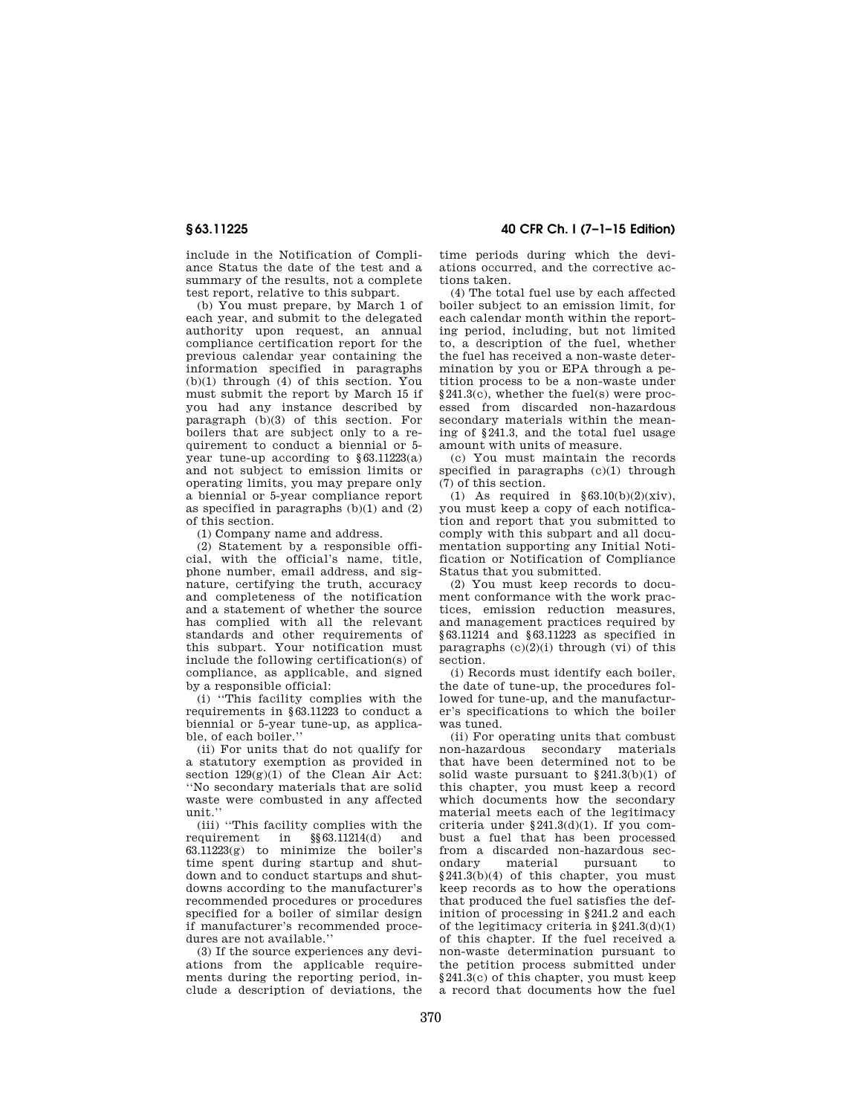include in the Notification of Compliance Status the date of the test and a summary of the results, not a complete test report, relative to this subpart.

(b) You must prepare, by March 1 of each year, and submit to the delegated authority upon request, an annual compliance certification report for the previous calendar year containing the information specified in paragraphs (b)(1) through (4) of this section. You must submit the report by March 15 if you had any instance described by paragraph (b)(3) of this section. For boilers that are subject only to a requirement to conduct a biennial or 5 year tune-up according to §63.11223(a) and not subject to emission limits or operating limits, you may prepare only a biennial or 5-year compliance report as specified in paragraphs (b)(1) and (2) of this section.

(1) Company name and address.

(2) Statement by a responsible official, with the official's name, title, phone number, email address, and signature, certifying the truth, accuracy and completeness of the notification and a statement of whether the source has complied with all the relevant standards and other requirements of this subpart. Your notification must include the following certification(s) of compliance, as applicable, and signed by a responsible official:

(i) ''This facility complies with the requirements in §63.11223 to conduct a biennial or 5-year tune-up, as applicable, of each boiler.''

(ii) For units that do not qualify for a statutory exemption as provided in section  $129(g)(1)$  of the Clean Air Act: ''No secondary materials that are solid waste were combusted in any affected unit.''

(iii) "This facility complies with the equirement in  $\S 63.11214(d)$  and requirement in §§63.11214(d) and 63.11223(g) to minimize the boiler's time spent during startup and shutdown and to conduct startups and shutdowns according to the manufacturer's recommended procedures or procedures specified for a boiler of similar design if manufacturer's recommended procedures are not available.''

(3) If the source experiences any deviations from the applicable requirements during the reporting period, include a description of deviations, the

**§ 63.11225 40 CFR Ch. I (7–1–15 Edition)** 

time periods during which the deviations occurred, and the corrective actions taken.

(4) The total fuel use by each affected boiler subject to an emission limit, for each calendar month within the reporting period, including, but not limited to, a description of the fuel, whether the fuel has received a non-waste determination by you or EPA through a petition process to be a non-waste under §241.3(c), whether the fuel(s) were processed from discarded non-hazardous secondary materials within the meaning of §241.3, and the total fuel usage amount with units of measure.

(c) You must maintain the records specified in paragraphs (c)(1) through (7) of this section.

 $(1)$  As required in §63.10(b)(2)(xiv), you must keep a copy of each notification and report that you submitted to comply with this subpart and all documentation supporting any Initial Notification or Notification of Compliance Status that you submitted.

(2) You must keep records to document conformance with the work practices, emission reduction measures, and management practices required by §63.11214 and §63.11223 as specified in paragraphs  $(c)(2)(i)$  through  $(vi)$  of this section.

(i) Records must identify each boiler, the date of tune-up, the procedures followed for tune-up, and the manufacturer's specifications to which the boiler was tuned.

(ii) For operating units that combust non-hazardous secondary materials that have been determined not to be solid waste pursuant to  $§241.3(b)(1)$  of this chapter, you must keep a record which documents how the secondary material meets each of the legitimacy criteria under  $§241.3(d)(1)$ . If you combust a fuel that has been processed from a discarded non-hazardous sec-<br>ondary material pursuant to material pursuant to §241.3(b)(4) of this chapter, you must keep records as to how the operations that produced the fuel satisfies the definition of processing in §241.2 and each of the legitimacy criteria in §241.3(d)(1) of this chapter. If the fuel received a non-waste determination pursuant to the petition process submitted under §241.3(c) of this chapter, you must keep a record that documents how the fuel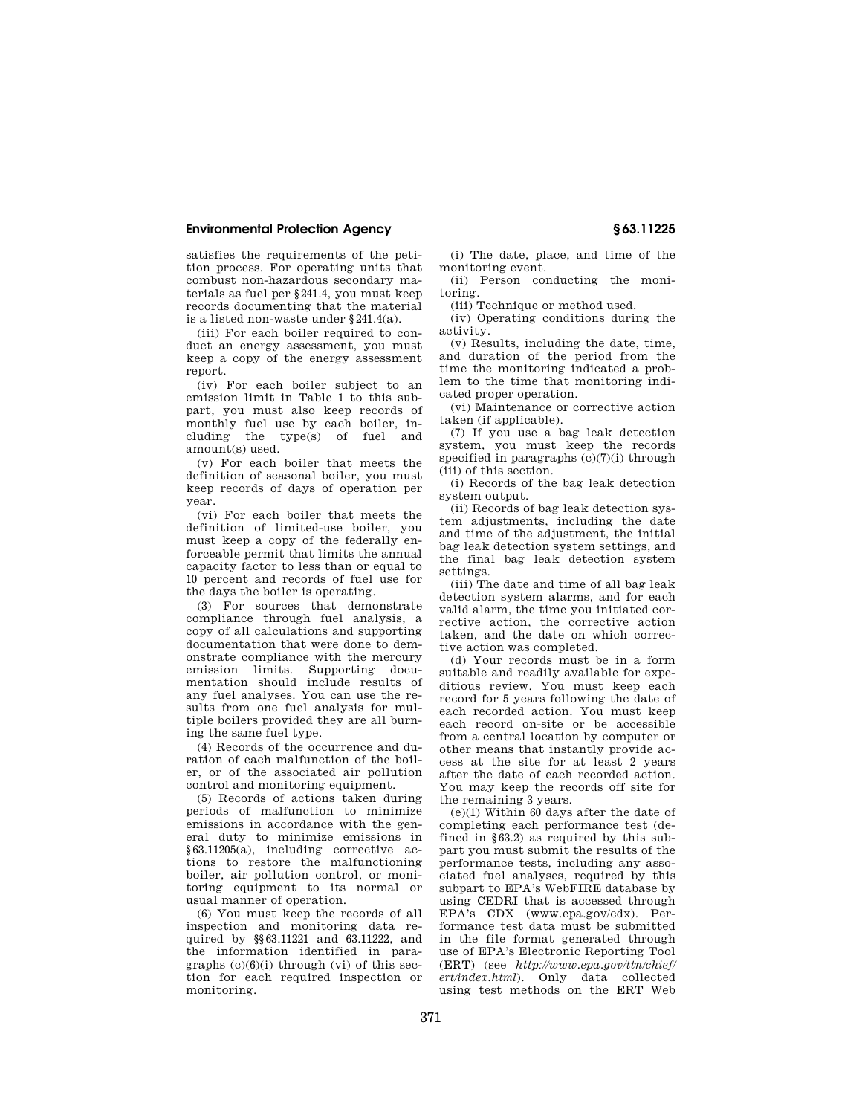satisfies the requirements of the petition process. For operating units that combust non-hazardous secondary materials as fuel per §241.4, you must keep records documenting that the material is a listed non-waste under §241.4(a).

(iii) For each boiler required to conduct an energy assessment, you must keep a copy of the energy assessment report.

(iv) For each boiler subject to an emission limit in Table 1 to this subpart, you must also keep records of monthly fuel use by each boiler, including the type(s) of fuel and amount(s) used.

(v) For each boiler that meets the definition of seasonal boiler, you must keep records of days of operation per year.

(vi) For each boiler that meets the definition of limited-use boiler, you must keep a copy of the federally enforceable permit that limits the annual capacity factor to less than or equal to 10 percent and records of fuel use for the days the boiler is operating.

(3) For sources that demonstrate compliance through fuel analysis, a copy of all calculations and supporting documentation that were done to demonstrate compliance with the mercury emission limits. Supporting documentation should include results of any fuel analyses. You can use the results from one fuel analysis for multiple boilers provided they are all burning the same fuel type.

(4) Records of the occurrence and duration of each malfunction of the boiler, or of the associated air pollution control and monitoring equipment.

(5) Records of actions taken during periods of malfunction to minimize emissions in accordance with the general duty to minimize emissions in §63.11205(a), including corrective actions to restore the malfunctioning boiler, air pollution control, or monitoring equipment to its normal or usual manner of operation.

(6) You must keep the records of all inspection and monitoring data required by §§63.11221 and 63.11222, and the information identified in paragraphs  $(c)(6)(i)$  through  $(vi)$  of this section for each required inspection or monitoring.

(i) The date, place, and time of the monitoring event.

(ii) Person conducting the monitoring. (iii) Technique or method used.

(iv) Operating conditions during the activity.

(v) Results, including the date, time, and duration of the period from the time the monitoring indicated a problem to the time that monitoring indicated proper operation.

(vi) Maintenance or corrective action taken (if applicable).

(7) If you use a bag leak detection system, you must keep the records specified in paragraphs (c)(7)(i) through (iii) of this section.

(i) Records of the bag leak detection system output.

(ii) Records of bag leak detection system adjustments, including the date and time of the adjustment, the initial bag leak detection system settings, and the final bag leak detection system settings.

(iii) The date and time of all bag leak detection system alarms, and for each valid alarm, the time you initiated corrective action, the corrective action taken, and the date on which corrective action was completed.

(d) Your records must be in a form suitable and readily available for expeditious review. You must keep each record for 5 years following the date of each recorded action. You must keep each record on-site or be accessible from a central location by computer or other means that instantly provide access at the site for at least 2 years after the date of each recorded action. You may keep the records off site for the remaining 3 years.

(e)(1) Within 60 days after the date of completing each performance test (defined in §63.2) as required by this subpart you must submit the results of the performance tests, including any associated fuel analyses, required by this subpart to EPA's WebFIRE database by using CEDRI that is accessed through EPA's CDX (www.epa.gov/cdx). Performance test data must be submitted in the file format generated through use of EPA's Electronic Reporting Tool (ERT) (see *http://www.epa.gov/ttn/chief/ ert/index.html*). Only data collected using test methods on the ERT Web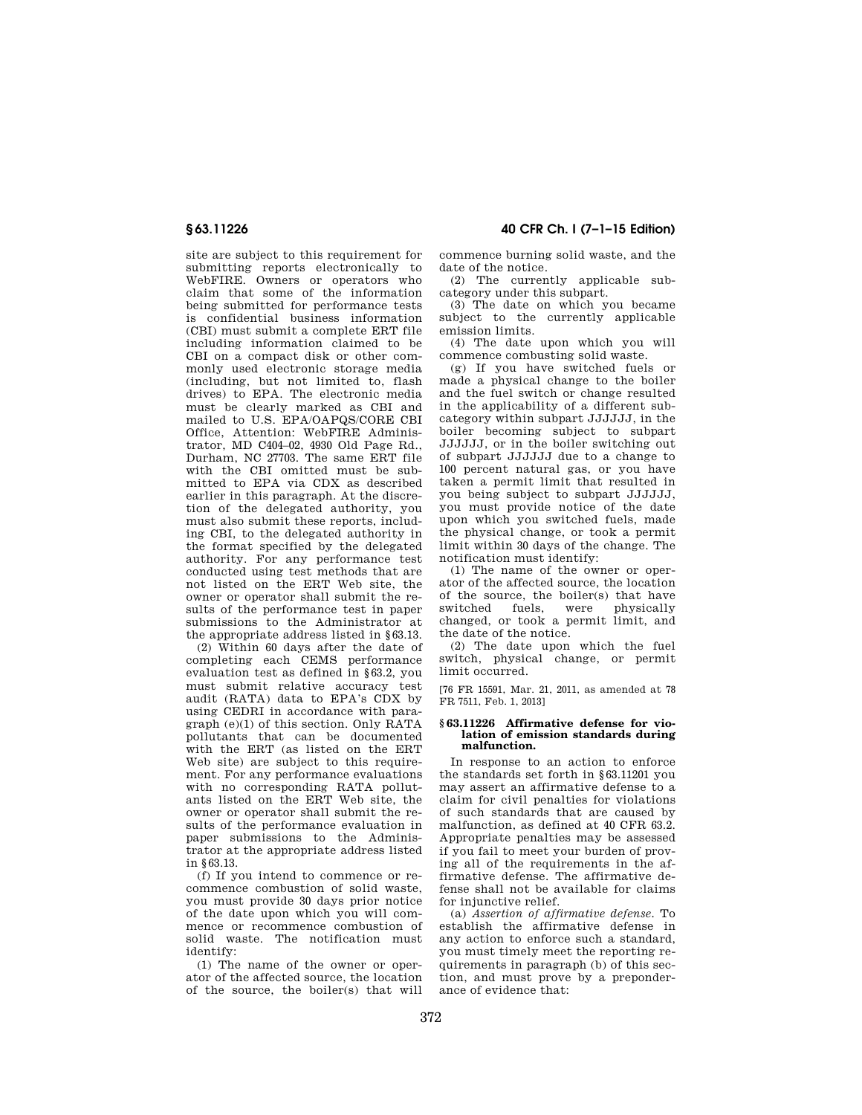site are subject to this requirement for submitting reports electronically to WebFIRE. Owners or operators who claim that some of the information being submitted for performance tests is confidential business information (CBI) must submit a complete ERT file including information claimed to be CBI on a compact disk or other commonly used electronic storage media (including, but not limited to, flash drives) to EPA. The electronic media must be clearly marked as CBI and mailed to U.S. EPA/OAPQS/CORE CBI Office, Attention: WebFIRE Administrator, MD C404–02, 4930 Old Page Rd., Durham, NC 27703. The same ERT file with the CBI omitted must be submitted to EPA via CDX as described earlier in this paragraph. At the discretion of the delegated authority, you must also submit these reports, including CBI, to the delegated authority in the format specified by the delegated authority. For any performance test conducted using test methods that are not listed on the ERT Web site, the owner or operator shall submit the results of the performance test in paper submissions to the Administrator at the appropriate address listed in §63.13.

(2) Within 60 days after the date of completing each CEMS performance evaluation test as defined in §63.2, you must submit relative accuracy test audit (RATA) data to EPA's CDX by using CEDRI in accordance with paragraph (e)(1) of this section. Only RATA pollutants that can be documented with the ERT (as listed on the ERT Web site) are subject to this requirement. For any performance evaluations with no corresponding RATA pollutants listed on the ERT Web site, the owner or operator shall submit the results of the performance evaluation in paper submissions to the Administrator at the appropriate address listed in §63.13.

(f) If you intend to commence or recommence combustion of solid waste, you must provide 30 days prior notice of the date upon which you will commence or recommence combustion of solid waste. The notification must identify:

(1) The name of the owner or operator of the affected source, the location of the source, the boiler(s) that will

**§ 63.11226 40 CFR Ch. I (7–1–15 Edition)** 

commence burning solid waste, and the date of the notice.

(2) The currently applicable subcategory under this subpart.

(3) The date on which you became subject to the currently applicable emission limits.

(4) The date upon which you will commence combusting solid waste.

(g) If you have switched fuels or made a physical change to the boiler and the fuel switch or change resulted in the applicability of a different subcategory within subpart JJJJJJ, in the boiler becoming subject to subpart JJJJJJ, or in the boiler switching out of subpart JJJJJJ due to a change to 100 percent natural gas, or you have taken a permit limit that resulted in you being subject to subpart JJJJJJ, you must provide notice of the date upon which you switched fuels, made the physical change, or took a permit limit within 30 days of the change. The notification must identify:

(1) The name of the owner or operator of the affected source, the location of the source, the boiler(s) that have switched fuels, were physically changed, or took a permit limit, and the date of the notice.

(2) The date upon which the fuel switch, physical change, or permit limit occurred.

[76 FR 15591, Mar. 21, 2011, as amended at 78 FR 7511, Feb. 1, 2013]

#### **§ 63.11226 Affirmative defense for violation of emission standards during malfunction.**

In response to an action to enforce the standards set forth in §63.11201 you may assert an affirmative defense to a claim for civil penalties for violations of such standards that are caused by malfunction, as defined at 40 CFR 63.2. Appropriate penalties may be assessed if you fail to meet your burden of proving all of the requirements in the affirmative defense. The affirmative defense shall not be available for claims for injunctive relief.

(a) *Assertion of affirmative defense.* To establish the affirmative defense in any action to enforce such a standard, you must timely meet the reporting requirements in paragraph (b) of this section, and must prove by a preponderance of evidence that: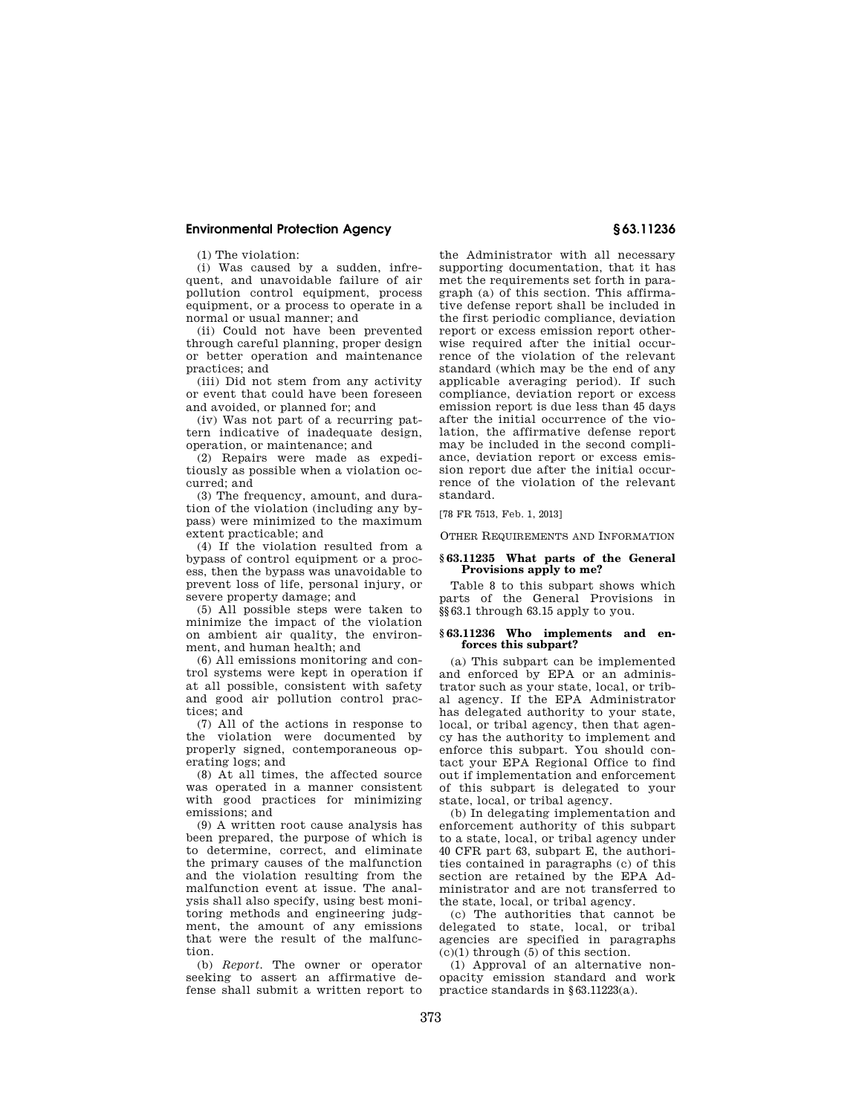(1) The violation:

(i) Was caused by a sudden, infrequent, and unavoidable failure of air pollution control equipment, process equipment, or a process to operate in a normal or usual manner; and

(ii) Could not have been prevented through careful planning, proper design or better operation and maintenance practices; and

(iii) Did not stem from any activity or event that could have been foreseen and avoided, or planned for; and

(iv) Was not part of a recurring pattern indicative of inadequate design, operation, or maintenance; and

(2) Repairs were made as expeditiously as possible when a violation occurred; and

(3) The frequency, amount, and duration of the violation (including any bypass) were minimized to the maximum extent practicable; and

(4) If the violation resulted from a bypass of control equipment or a process, then the bypass was unavoidable to prevent loss of life, personal injury, or severe property damage; and

(5) All possible steps were taken to minimize the impact of the violation on ambient air quality, the environment, and human health; and

(6) All emissions monitoring and control systems were kept in operation if at all possible, consistent with safety and good air pollution control practices; and

(7) All of the actions in response to the violation were documented by properly signed, contemporaneous operating logs; and

(8) At all times, the affected source was operated in a manner consistent with good practices for minimizing emissions; and

(9) A written root cause analysis has been prepared, the purpose of which is to determine, correct, and eliminate the primary causes of the malfunction and the violation resulting from the malfunction event at issue. The analysis shall also specify, using best monitoring methods and engineering judgment, the amount of any emissions that were the result of the malfunction.

(b) *Report.* The owner or operator seeking to assert an affirmative defense shall submit a written report to

the Administrator with all necessary supporting documentation, that it has met the requirements set forth in paragraph (a) of this section. This affirmative defense report shall be included in the first periodic compliance, deviation report or excess emission report otherwise required after the initial occurrence of the violation of the relevant standard (which may be the end of any applicable averaging period). If such compliance, deviation report or excess emission report is due less than 45 days after the initial occurrence of the violation, the affirmative defense report may be included in the second compliance, deviation report or excess emission report due after the initial occurrence of the violation of the relevant standard.

[78 FR 7513, Feb. 1, 2013]

OTHER REQUIREMENTS AND INFORMATION

### **§ 63.11235 What parts of the General Provisions apply to me?**

Table 8 to this subpart shows which parts of the General Provisions in §§63.1 through 63.15 apply to you.

#### **§ 63.11236 Who implements and enforces this subpart?**

(a) This subpart can be implemented and enforced by EPA or an administrator such as your state, local, or tribal agency. If the EPA Administrator has delegated authority to your state, local, or tribal agency, then that agency has the authority to implement and enforce this subpart. You should contact your EPA Regional Office to find out if implementation and enforcement of this subpart is delegated to your state, local, or tribal agency.

(b) In delegating implementation and enforcement authority of this subpart to a state, local, or tribal agency under 40 CFR part 63, subpart E, the authorities contained in paragraphs (c) of this section are retained by the EPA Administrator and are not transferred to the state, local, or tribal agency.

(c) The authorities that cannot be delegated to state, local, or tribal agencies are specified in paragraphs (c)(1) through (5) of this section.

(1) Approval of an alternative nonopacity emission standard and work practice standards in §63.11223(a).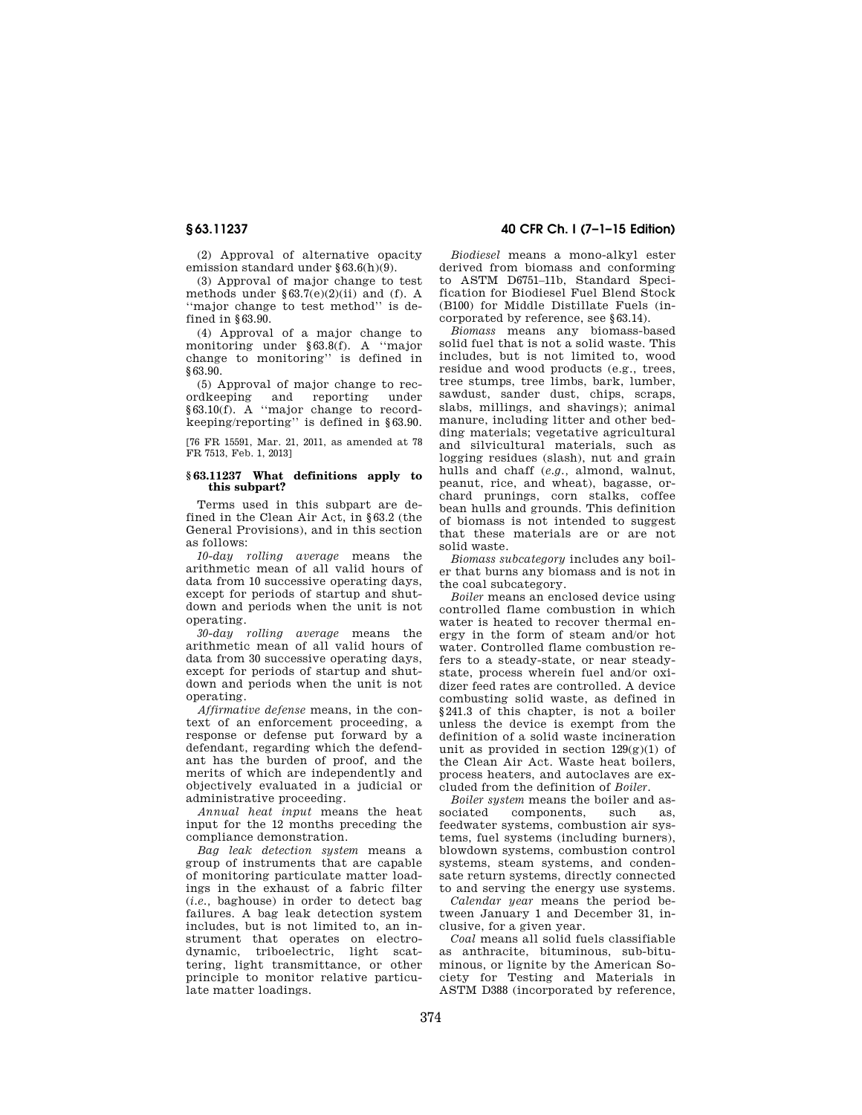(2) Approval of alternative opacity emission standard under §63.6(h)(9).

(3) Approval of major change to test methods under  $\S 63.7(e)(2)(ii)$  and (f). A ''major change to test method'' is defined in §63.90.

(4) Approval of a major change to monitoring under §63.8(f). A ''major change to monitoring'' is defined in §63.90.

(5) Approval of major change to recordkeeping and reporting under  $§63.10(f)$ . A "major change to recordkeeping/reporting'' is defined in §63.90.

[76 FR 15591, Mar. 21, 2011, as amended at 78 FR 7513, Feb. 1, 2013]

#### **§ 63.11237 What definitions apply to this subpart?**

Terms used in this subpart are defined in the Clean Air Act, in §63.2 (the General Provisions), and in this section as follows:

*10-day rolling average* means the arithmetic mean of all valid hours of data from 10 successive operating days, except for periods of startup and shutdown and periods when the unit is not operating.

*30-day rolling average* means the arithmetic mean of all valid hours of data from 30 successive operating days, except for periods of startup and shutdown and periods when the unit is not operating.

*Affirmative defense* means, in the context of an enforcement proceeding, a response or defense put forward by a defendant, regarding which the defendant has the burden of proof, and the merits of which are independently and objectively evaluated in a judicial or administrative proceeding.

*Annual heat input* means the heat input for the 12 months preceding the compliance demonstration.

*Bag leak detection system* means a group of instruments that are capable of monitoring particulate matter loadings in the exhaust of a fabric filter (*i.e.,* baghouse) in order to detect bag failures. A bag leak detection system includes, but is not limited to, an instrument that operates on electrodynamic, triboelectric, light scattering, light transmittance, or other principle to monitor relative particulate matter loadings.

# **§ 63.11237 40 CFR Ch. I (7–1–15 Edition)**

*Biodiesel* means a mono-alkyl ester derived from biomass and conforming to ASTM D6751–11b, Standard Specification for Biodiesel Fuel Blend Stock (B100) for Middle Distillate Fuels (incorporated by reference, see §63.14).

*Biomass* means any biomass-based solid fuel that is not a solid waste. This includes, but is not limited to, wood residue and wood products (e.g., trees, tree stumps, tree limbs, bark, lumber, sawdust, sander dust, chips, scraps, slabs, millings, and shavings); animal manure, including litter and other bedding materials; vegetative agricultural and silvicultural materials, such as logging residues (slash), nut and grain hulls and chaff (*e.g.,* almond, walnut, peanut, rice, and wheat), bagasse, orchard prunings, corn stalks, coffee bean hulls and grounds. This definition of biomass is not intended to suggest that these materials are or are not solid waste.

*Biomass subcategory* includes any boiler that burns any biomass and is not in the coal subcategory.

*Boiler* means an enclosed device using controlled flame combustion in which water is heated to recover thermal energy in the form of steam and/or hot water. Controlled flame combustion refers to a steady-state, or near steadystate, process wherein fuel and/or oxidizer feed rates are controlled. A device combusting solid waste, as defined in §241.3 of this chapter, is not a boiler unless the device is exempt from the definition of a solid waste incineration unit as provided in section  $129(g)(1)$  of the Clean Air Act. Waste heat boilers, process heaters, and autoclaves are excluded from the definition of *Boiler.* 

*Boiler system* means the boiler and as-<br>sociated components such as components, such as, feedwater systems, combustion air systems, fuel systems (including burners), blowdown systems, combustion control systems, steam systems, and condensate return systems, directly connected to and serving the energy use systems.

*Calendar year* means the period between January 1 and December 31, inclusive, for a given year.

*Coal* means all solid fuels classifiable as anthracite, bituminous, sub-bituminous, or lignite by the American Society for Testing and Materials in ASTM D388 (incorporated by reference,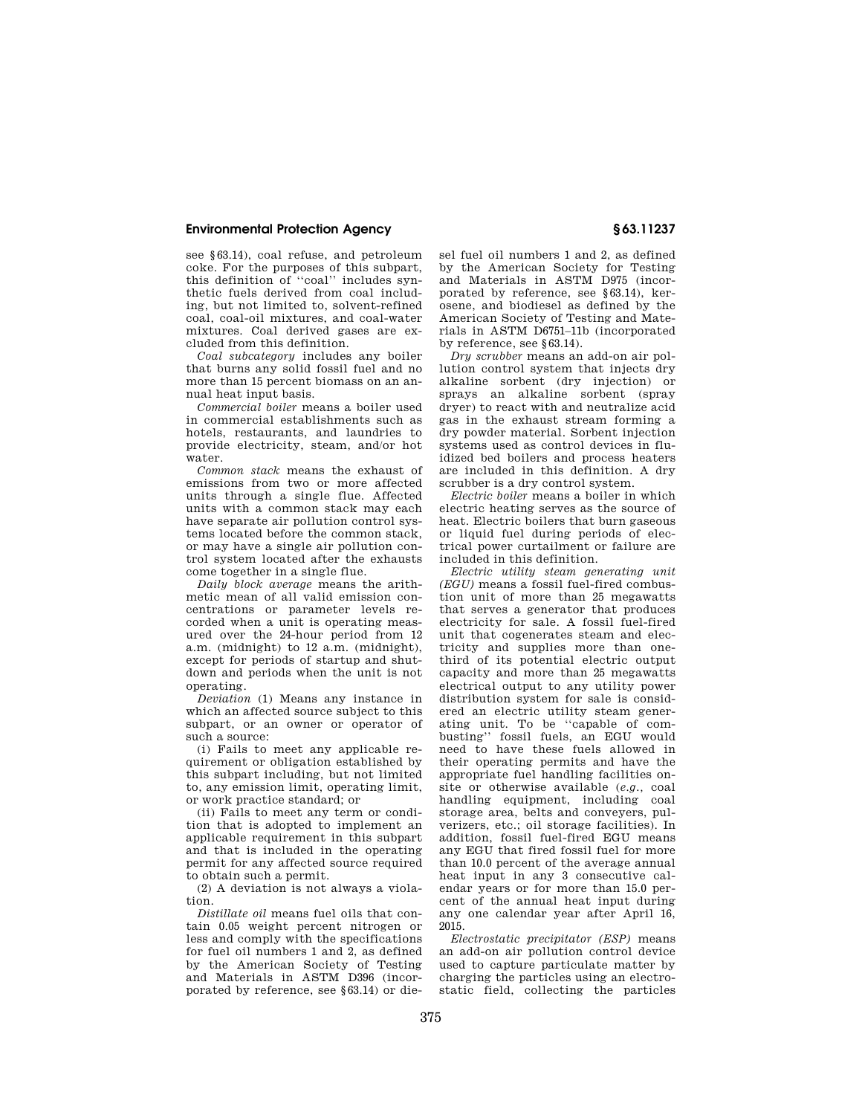see §63.14), coal refuse, and petroleum coke. For the purposes of this subpart, this definition of ''coal'' includes synthetic fuels derived from coal including, but not limited to, solvent-refined coal, coal-oil mixtures, and coal-water mixtures. Coal derived gases are excluded from this definition.

*Coal subcategory* includes any boiler that burns any solid fossil fuel and no more than 15 percent biomass on an annual heat input basis.

*Commercial boiler* means a boiler used in commercial establishments such as hotels, restaurants, and laundries to provide electricity, steam, and/or hot water.

*Common stack* means the exhaust of emissions from two or more affected units through a single flue. Affected units with a common stack may each have separate air pollution control systems located before the common stack, or may have a single air pollution control system located after the exhausts come together in a single flue.

*Daily block average* means the arithmetic mean of all valid emission concentrations or parameter levels recorded when a unit is operating measured over the 24-hour period from 12 a.m. (midnight) to 12 a.m. (midnight), except for periods of startup and shutdown and periods when the unit is not operating.

*Deviation* (1) Means any instance in which an affected source subject to this subpart, or an owner or operator of such a source:

(i) Fails to meet any applicable requirement or obligation established by this subpart including, but not limited to, any emission limit, operating limit, or work practice standard; or

(ii) Fails to meet any term or condition that is adopted to implement an applicable requirement in this subpart and that is included in the operating permit for any affected source required to obtain such a permit.

(2) A deviation is not always a violation.

*Distillate oil* means fuel oils that contain 0.05 weight percent nitrogen or less and comply with the specifications for fuel oil numbers 1 and 2, as defined by the American Society of Testing and Materials in ASTM D396 (incorporated by reference, see §63.14) or diesel fuel oil numbers 1 and 2, as defined by the American Society for Testing and Materials in ASTM D975 (incorporated by reference, see §63.14), kerosene, and biodiesel as defined by the American Society of Testing and Materials in ASTM D6751–11b (incorporated by reference, see §63.14).

*Dry scrubber* means an add-on air pollution control system that injects dry alkaline sorbent (dry injection) or sprays an alkaline sorbent (spray dryer) to react with and neutralize acid gas in the exhaust stream forming a dry powder material. Sorbent injection systems used as control devices in fluidized bed boilers and process heaters are included in this definition. A dry scrubber is a dry control system.

*Electric boiler* means a boiler in which electric heating serves as the source of heat. Electric boilers that burn gaseous or liquid fuel during periods of electrical power curtailment or failure are included in this definition.

*Electric utility steam generating unit (EGU)* means a fossil fuel-fired combustion unit of more than 25 megawatts that serves a generator that produces electricity for sale. A fossil fuel-fired unit that cogenerates steam and electricity and supplies more than onethird of its potential electric output capacity and more than 25 megawatts electrical output to any utility power distribution system for sale is considered an electric utility steam generating unit. To be ''capable of combusting'' fossil fuels, an EGU would need to have these fuels allowed in their operating permits and have the appropriate fuel handling facilities onsite or otherwise available (*e.g.,* coal handling equipment, including coal storage area, belts and conveyers, pulverizers, etc.; oil storage facilities). In addition, fossil fuel-fired EGU means any EGU that fired fossil fuel for more than 10.0 percent of the average annual heat input in any 3 consecutive calendar years or for more than 15.0 percent of the annual heat input during any one calendar year after April 16, 2015.

*Electrostatic precipitator (ESP)* means an add-on air pollution control device used to capture particulate matter by charging the particles using an electrostatic field, collecting the particles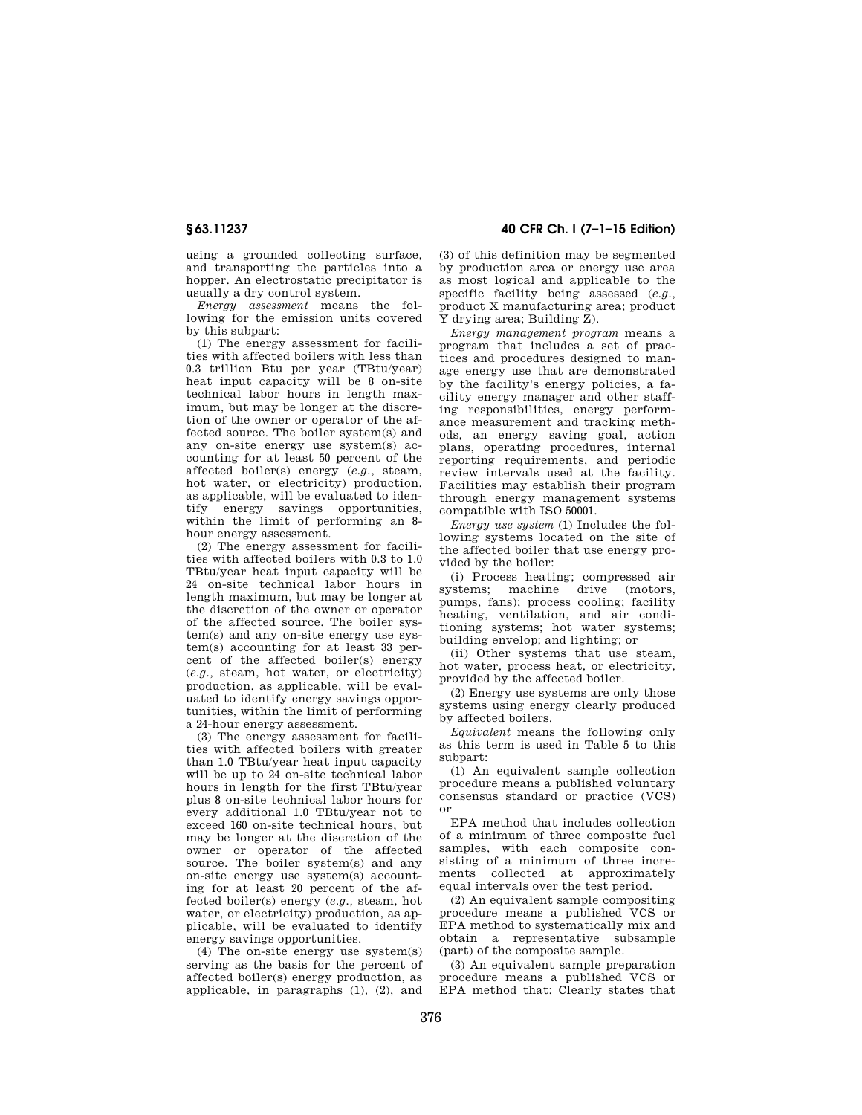using a grounded collecting surface, and transporting the particles into a hopper. An electrostatic precipitator is usually a dry control system.

*Energy assessment* means the following for the emission units covered by this subpart:

(1) The energy assessment for facilities with affected boilers with less than 0.3 trillion Btu per year (TBtu/year) heat input capacity will be 8 on-site technical labor hours in length maximum, but may be longer at the discretion of the owner or operator of the affected source. The boiler system(s) and any on-site energy use system(s) accounting for at least 50 percent of the affected boiler(s) energy (*e.g.,* steam, hot water, or electricity) production, as applicable, will be evaluated to identify energy savings opportunities, within the limit of performing an 8hour energy assessment.

(2) The energy assessment for facilities with affected boilers with 0.3 to 1.0 TBtu/year heat input capacity will be 24 on-site technical labor hours in length maximum, but may be longer at the discretion of the owner or operator of the affected source. The boiler system(s) and any on-site energy use system(s) accounting for at least 33 percent of the affected boiler(s) energy (*e.g.,* steam, hot water, or electricity) production, as applicable, will be evaluated to identify energy savings opportunities, within the limit of performing a 24-hour energy assessment.

(3) The energy assessment for facilities with affected boilers with greater than 1.0 TBtu/year heat input capacity will be up to 24 on-site technical labor hours in length for the first TBtu/year plus 8 on-site technical labor hours for every additional 1.0 TBtu/year not to exceed 160 on-site technical hours, but may be longer at the discretion of the owner or operator of the affected source. The boiler system(s) and any on-site energy use system(s) accounting for at least 20 percent of the affected boiler(s) energy (*e.g.,* steam, hot water, or electricity) production, as applicable, will be evaluated to identify energy savings opportunities.

(4) The on-site energy use system(s) serving as the basis for the percent of affected boiler(s) energy production, as applicable, in paragraphs (1), (2), and

**§ 63.11237 40 CFR Ch. I (7–1–15 Edition)** 

(3) of this definition may be segmented by production area or energy use area as most logical and applicable to the specific facility being assessed (*e.g.,*  product X manufacturing area; product Y drying area; Building Z).

*Energy management program* means a program that includes a set of practices and procedures designed to manage energy use that are demonstrated by the facility's energy policies, a facility energy manager and other staffing responsibilities, energy performance measurement and tracking methods, an energy saving goal, action plans, operating procedures, internal reporting requirements, and periodic review intervals used at the facility. Facilities may establish their program through energy management systems compatible with ISO 50001.

*Energy use system* (1) Includes the following systems located on the site of the affected boiler that use energy provided by the boiler:

(i) Process heating; compressed air systems; machine drive (motors, pumps, fans); process cooling; facility heating, ventilation, and air conditioning systems; hot water systems; building envelop; and lighting; or

(ii) Other systems that use steam, hot water, process heat, or electricity, provided by the affected boiler.

(2) Energy use systems are only those systems using energy clearly produced by affected boilers.

*Equivalent* means the following only as this term is used in Table 5 to this subpart:

(1) An equivalent sample collection procedure means a published voluntary consensus standard or practice (VCS) or

EPA method that includes collection of a minimum of three composite fuel samples, with each composite consisting of a minimum of three increments collected at approximately equal intervals over the test period.

(2) An equivalent sample compositing procedure means a published VCS or EPA method to systematically mix and obtain a representative subsample (part) of the composite sample.

(3) An equivalent sample preparation procedure means a published VCS or EPA method that: Clearly states that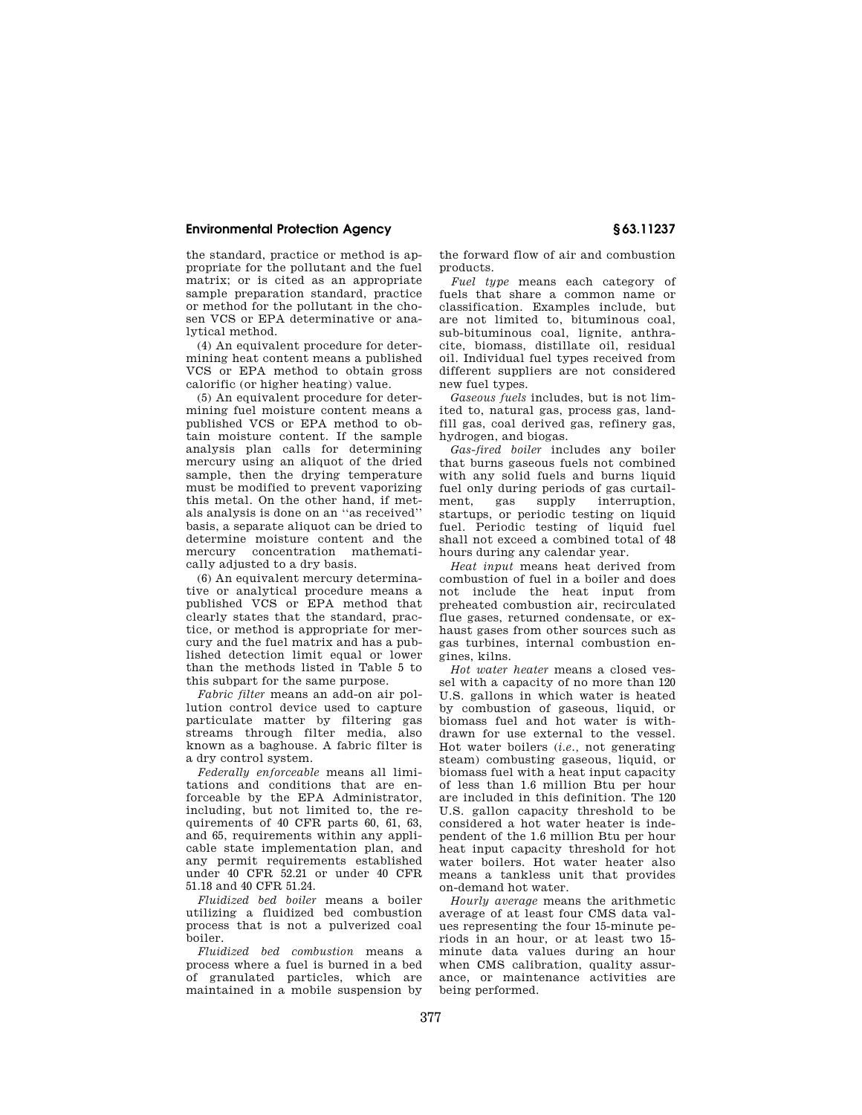the standard, practice or method is appropriate for the pollutant and the fuel matrix; or is cited as an appropriate sample preparation standard, practice or method for the pollutant in the chosen VCS or EPA determinative or analytical method.

(4) An equivalent procedure for determining heat content means a published VCS or EPA method to obtain gross calorific (or higher heating) value.

(5) An equivalent procedure for determining fuel moisture content means a published VCS or EPA method to obtain moisture content. If the sample analysis plan calls for determining mercury using an aliquot of the dried sample, then the drying temperature must be modified to prevent vaporizing this metal. On the other hand, if metals analysis is done on an ''as received'' basis, a separate aliquot can be dried to determine moisture content and the mercury concentration mathematically adjusted to a dry basis.

(6) An equivalent mercury determinative or analytical procedure means a published VCS or EPA method that clearly states that the standard, practice, or method is appropriate for mercury and the fuel matrix and has a published detection limit equal or lower than the methods listed in Table 5 to this subpart for the same purpose.

*Fabric filter* means an add-on air pollution control device used to capture particulate matter by filtering gas streams through filter media, also known as a baghouse. A fabric filter is a dry control system.

*Federally enforceable* means all limitations and conditions that are enforceable by the EPA Administrator, including, but not limited to, the requirements of 40 CFR parts 60, 61, 63, and 65, requirements within any applicable state implementation plan, and any permit requirements established under 40 CFR 52.21 or under 40 CFR 51.18 and 40 CFR 51.24.

*Fluidized bed boiler* means a boiler utilizing a fluidized bed combustion process that is not a pulverized coal boiler.

*Fluidized bed combustion* means a process where a fuel is burned in a bed of granulated particles, which are maintained in a mobile suspension by the forward flow of air and combustion products.

*Fuel type* means each category of fuels that share a common name or classification. Examples include, but are not limited to, bituminous coal, sub-bituminous coal, lignite, anthracite, biomass, distillate oil, residual oil. Individual fuel types received from different suppliers are not considered new fuel types.

*Gaseous fuels* includes, but is not limited to, natural gas, process gas, landfill gas, coal derived gas, refinery gas, hydrogen, and biogas.

*Gas-fired boiler* includes any boiler that burns gaseous fuels not combined with any solid fuels and burns liquid fuel only during periods of gas curtailment, gas supply interruption, startups, or periodic testing on liquid fuel. Periodic testing of liquid fuel shall not exceed a combined total of 48 hours during any calendar year.

*Heat input* means heat derived from combustion of fuel in a boiler and does not include the heat input from preheated combustion air, recirculated flue gases, returned condensate, or exhaust gases from other sources such as gas turbines, internal combustion engines, kilns.

*Hot water heater* means a closed vessel with a capacity of no more than 120 U.S. gallons in which water is heated by combustion of gaseous, liquid, or biomass fuel and hot water is withdrawn for use external to the vessel. Hot water boilers (*i.e.,* not generating steam) combusting gaseous, liquid, or biomass fuel with a heat input capacity of less than 1.6 million Btu per hour are included in this definition. The 120 U.S. gallon capacity threshold to be considered a hot water heater is independent of the 1.6 million Btu per hour heat input capacity threshold for hot water boilers. Hot water heater also means a tankless unit that provides on-demand hot water.

*Hourly average* means the arithmetic average of at least four CMS data values representing the four 15-minute periods in an hour, or at least two 15 minute data values during an hour when CMS calibration, quality assurance, or maintenance activities are being performed.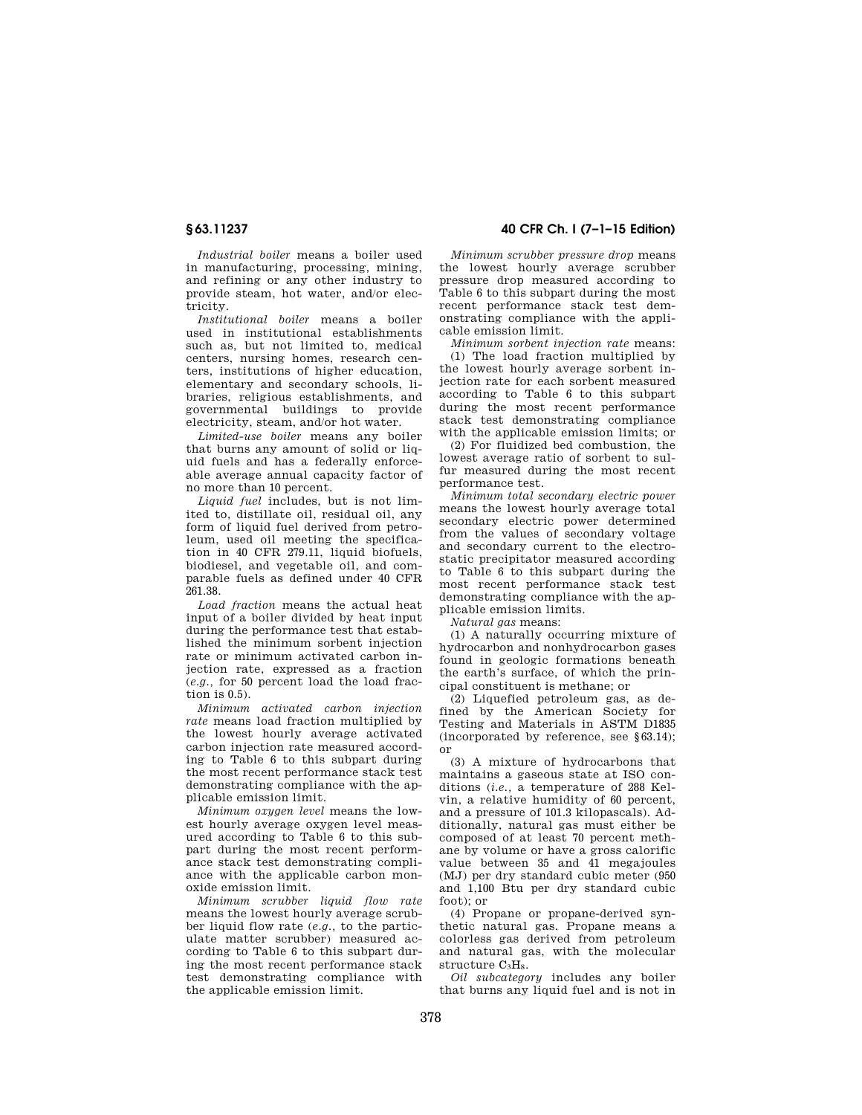*Industrial boiler* means a boiler used in manufacturing, processing, mining, and refining or any other industry to provide steam, hot water, and/or electricity.

*Institutional boiler* means a boiler used in institutional establishments such as, but not limited to, medical centers, nursing homes, research centers, institutions of higher education, elementary and secondary schools, libraries, religious establishments, and governmental buildings to provide electricity, steam, and/or hot water.

*Limited-use boiler* means any boiler that burns any amount of solid or liquid fuels and has a federally enforceable average annual capacity factor of no more than 10 percent.

*Liquid fuel* includes, but is not limited to, distillate oil, residual oil, any form of liquid fuel derived from petroleum, used oil meeting the specification in 40 CFR 279.11, liquid biofuels, biodiesel, and vegetable oil, and comparable fuels as defined under 40 CFR 261.38.

*Load fraction* means the actual heat input of a boiler divided by heat input during the performance test that established the minimum sorbent injection rate or minimum activated carbon injection rate, expressed as a fraction (*e.g.,* for 50 percent load the load fraction is 0.5).

*Minimum activated carbon injection rate* means load fraction multiplied by the lowest hourly average activated carbon injection rate measured according to Table 6 to this subpart during the most recent performance stack test demonstrating compliance with the applicable emission limit.

*Minimum oxygen level* means the lowest hourly average oxygen level measured according to Table 6 to this subpart during the most recent performance stack test demonstrating compliance with the applicable carbon monoxide emission limit.

*Minimum scrubber liquid flow rate*  means the lowest hourly average scrubber liquid flow rate (*e.g.,* to the particulate matter scrubber) measured according to Table 6 to this subpart during the most recent performance stack test demonstrating compliance with the applicable emission limit.

# **§ 63.11237 40 CFR Ch. I (7–1–15 Edition)**

*Minimum scrubber pressure drop* means the lowest hourly average scrubber pressure drop measured according to Table 6 to this subpart during the most recent performance stack test demonstrating compliance with the applicable emission limit.

*Minimum sorbent injection rate* means: (1) The load fraction multiplied by the lowest hourly average sorbent injection rate for each sorbent measured according to Table 6 to this subpart during the most recent performance stack test demonstrating compliance with the applicable emission limits; or

(2) For fluidized bed combustion, the lowest average ratio of sorbent to sulfur measured during the most recent performance test.

*Minimum total secondary electric power*  means the lowest hourly average total secondary electric power determined from the values of secondary voltage and secondary current to the electrostatic precipitator measured according to Table 6 to this subpart during the most recent performance stack test demonstrating compliance with the applicable emission limits.

*Natural gas* means:

(1) A naturally occurring mixture of hydrocarbon and nonhydrocarbon gases found in geologic formations beneath the earth's surface, of which the principal constituent is methane; or

(2) Liquefied petroleum gas, as defined by the American Society for Testing and Materials in ASTM D1835 (incorporated by reference, see §63.14); or

(3) A mixture of hydrocarbons that maintains a gaseous state at ISO conditions (*i.e.,* a temperature of 288 Kelvin, a relative humidity of 60 percent, and a pressure of 101.3 kilopascals). Additionally, natural gas must either be composed of at least 70 percent methane by volume or have a gross calorific value between 35 and 41 megajoules (MJ) per dry standard cubic meter (950 and 1,100 Btu per dry standard cubic foot); or

(4) Propane or propane-derived synthetic natural gas. Propane means a colorless gas derived from petroleum and natural gas, with the molecular structure  $C_3H_8$ .

*Oil subcategory* includes any boiler that burns any liquid fuel and is not in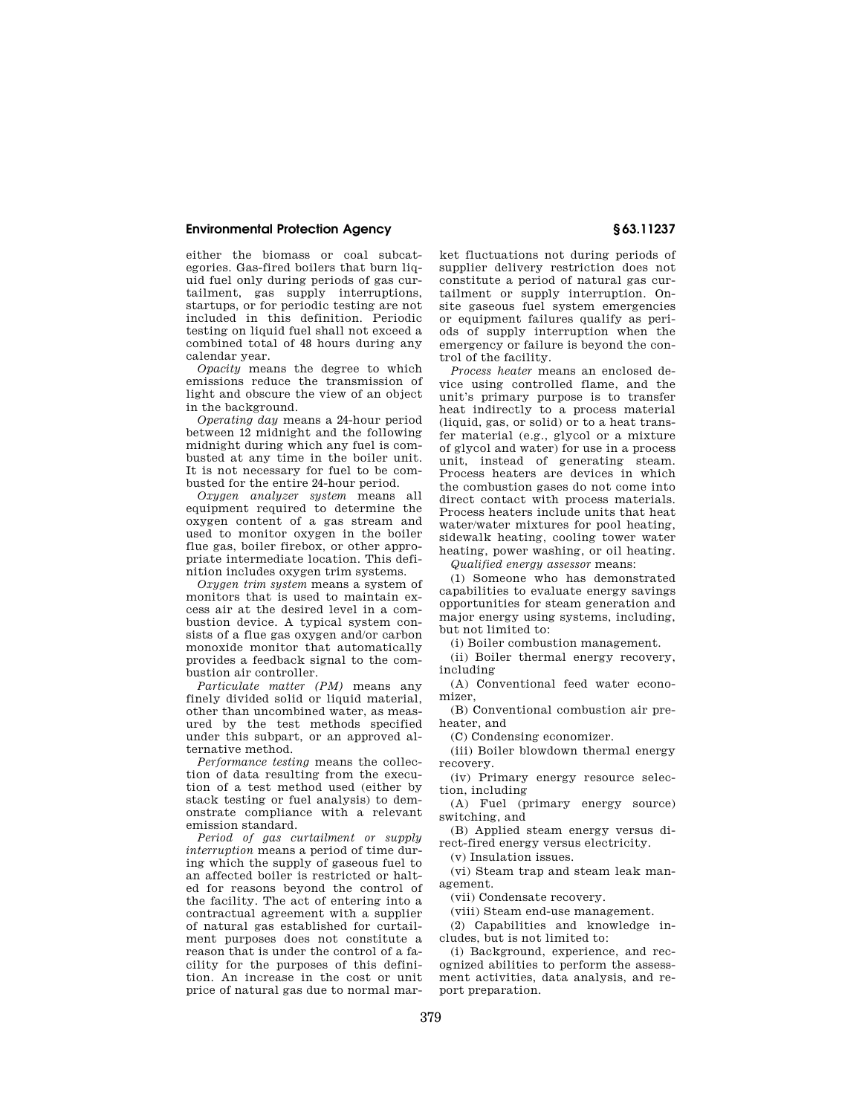either the biomass or coal subcategories. Gas-fired boilers that burn liquid fuel only during periods of gas curtailment, gas supply interruptions, startups, or for periodic testing are not included in this definition. Periodic testing on liquid fuel shall not exceed a combined total of 48 hours during any calendar year.

*Opacity* means the degree to which emissions reduce the transmission of light and obscure the view of an object in the background.

*Operating day* means a 24-hour period between 12 midnight and the following midnight during which any fuel is combusted at any time in the boiler unit. It is not necessary for fuel to be combusted for the entire 24-hour period.

*Oxygen analyzer system* means all equipment required to determine the oxygen content of a gas stream and used to monitor oxygen in the boiler flue gas, boiler firebox, or other appropriate intermediate location. This definition includes oxygen trim systems.

*Oxygen trim system* means a system of monitors that is used to maintain excess air at the desired level in a combustion device. A typical system consists of a flue gas oxygen and/or carbon monoxide monitor that automatically provides a feedback signal to the combustion air controller.

*Particulate matter (PM)* means any finely divided solid or liquid material, other than uncombined water, as measured by the test methods specified under this subpart, or an approved alternative method.

*Performance testing* means the collection of data resulting from the execution of a test method used (either by stack testing or fuel analysis) to demonstrate compliance with a relevant emission standard.

*Period of gas curtailment or supply interruption* means a period of time during which the supply of gaseous fuel to an affected boiler is restricted or halted for reasons beyond the control of the facility. The act of entering into a contractual agreement with a supplier of natural gas established for curtailment purposes does not constitute a reason that is under the control of a facility for the purposes of this definition. An increase in the cost or unit price of natural gas due to normal market fluctuations not during periods of supplier delivery restriction does not constitute a period of natural gas curtailment or supply interruption. Onsite gaseous fuel system emergencies or equipment failures qualify as periods of supply interruption when the emergency or failure is beyond the control of the facility.

*Process heater* means an enclosed device using controlled flame, and the unit's primary purpose is to transfer heat indirectly to a process material (liquid, gas, or solid) or to a heat transfer material (e.g., glycol or a mixture of glycol and water) for use in a process unit, instead of generating steam. Process heaters are devices in which the combustion gases do not come into direct contact with process materials. Process heaters include units that heat water/water mixtures for pool heating, sidewalk heating, cooling tower water heating, power washing, or oil heating.

*Qualified energy assessor* means:

(1) Someone who has demonstrated capabilities to evaluate energy savings opportunities for steam generation and major energy using systems, including, but not limited to:

(i) Boiler combustion management.

(ii) Boiler thermal energy recovery, including

(A) Conventional feed water economizer,

(B) Conventional combustion air preheater, and

(C) Condensing economizer.

(iii) Boiler blowdown thermal energy recovery.

(iv) Primary energy resource selection, including

(A) Fuel (primary energy source) switching, and

(B) Applied steam energy versus direct-fired energy versus electricity.

(v) Insulation issues.

(vi) Steam trap and steam leak management.

(vii) Condensate recovery.

(viii) Steam end-use management.

(2) Capabilities and knowledge includes, but is not limited to:

(i) Background, experience, and recognized abilities to perform the assessment activities, data analysis, and report preparation.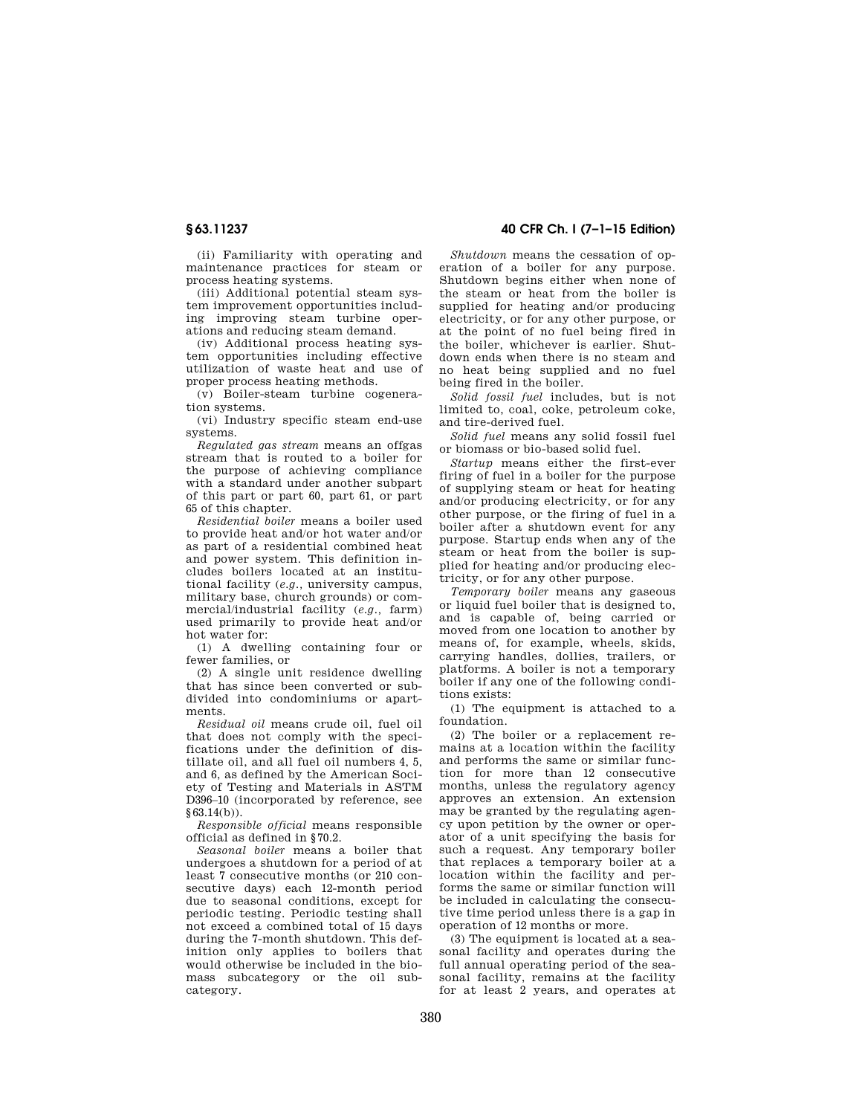(ii) Familiarity with operating and maintenance practices for steam or process heating systems.

(iii) Additional potential steam system improvement opportunities including improving steam turbine operations and reducing steam demand.

(iv) Additional process heating system opportunities including effective utilization of waste heat and use of proper process heating methods.

(v) Boiler-steam turbine cogeneration systems.

(vi) Industry specific steam end-use systems.

*Regulated gas stream* means an offgas stream that is routed to a boiler for the purpose of achieving compliance with a standard under another subpart of this part or part 60, part 61, or part 65 of this chapter.

*Residential boiler* means a boiler used to provide heat and/or hot water and/or as part of a residential combined heat and power system. This definition includes boilers located at an institutional facility (*e.g.,* university campus, military base, church grounds) or commercial/industrial facility (*e.g.,* farm) used primarily to provide heat and/or hot water for:

(1) A dwelling containing four or fewer families, or

(2) A single unit residence dwelling that has since been converted or subdivided into condominiums or apartments.

*Residual oil* means crude oil, fuel oil that does not comply with the specifications under the definition of distillate oil, and all fuel oil numbers 4, 5, and 6, as defined by the American Society of Testing and Materials in ASTM D396–10 (incorporated by reference, see §63.14(b)).

*Responsible official* means responsible official as defined in §70.2.

*Seasonal boiler* means a boiler that undergoes a shutdown for a period of at least 7 consecutive months (or 210 consecutive days) each 12-month period due to seasonal conditions, except for periodic testing. Periodic testing shall not exceed a combined total of 15 days during the 7-month shutdown. This definition only applies to boilers that would otherwise be included in the biomass subcategory or the oil subcategory.

# **§ 63.11237 40 CFR Ch. I (7–1–15 Edition)**

*Shutdown* means the cessation of operation of a boiler for any purpose. Shutdown begins either when none of the steam or heat from the boiler is supplied for heating and/or producing electricity, or for any other purpose, or at the point of no fuel being fired in the boiler, whichever is earlier. Shutdown ends when there is no steam and no heat being supplied and no fuel being fired in the boiler.

*Solid fossil fuel* includes, but is not limited to, coal, coke, petroleum coke, and tire-derived fuel.

*Solid fuel* means any solid fossil fuel or biomass or bio-based solid fuel.

*Startup* means either the first-ever firing of fuel in a boiler for the purpose of supplying steam or heat for heating and/or producing electricity, or for any other purpose, or the firing of fuel in a boiler after a shutdown event for any purpose. Startup ends when any of the steam or heat from the boiler is supplied for heating and/or producing electricity, or for any other purpose.

*Temporary boiler* means any gaseous or liquid fuel boiler that is designed to, and is capable of, being carried or moved from one location to another by means of, for example, wheels, skids, carrying handles, dollies, trailers, or platforms. A boiler is not a temporary boiler if any one of the following conditions exists:

(1) The equipment is attached to a foundation.

(2) The boiler or a replacement remains at a location within the facility and performs the same or similar function for more than 12 consecutive months, unless the regulatory agency approves an extension. An extension may be granted by the regulating agency upon petition by the owner or operator of a unit specifying the basis for such a request. Any temporary boiler that replaces a temporary boiler at a location within the facility and performs the same or similar function will be included in calculating the consecutive time period unless there is a gap in operation of 12 months or more.

(3) The equipment is located at a seasonal facility and operates during the full annual operating period of the seasonal facility, remains at the facility for at least 2 years, and operates at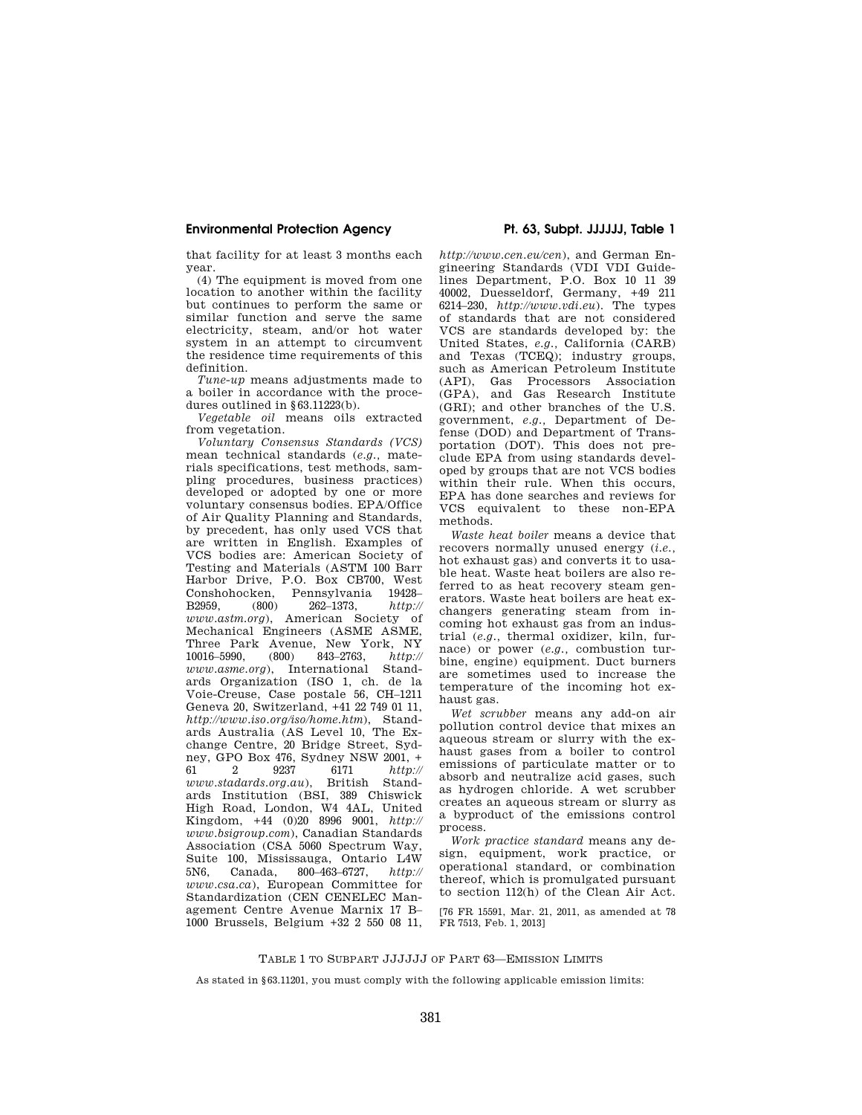### **Environmental Protection Agency Pt. 63, Subpt. JJJJJJ, Table 1**

that facility for at least 3 months each year.

(4) The equipment is moved from one location to another within the facility but continues to perform the same or similar function and serve the same electricity, steam, and/or hot water system in an attempt to circumvent the residence time requirements of this definition.

*Tune-up* means adjustments made to a boiler in accordance with the procedures outlined in §63.11223(b).

*Vegetable oil* means oils extracted from vegetation.

*Voluntary Consensus Standards (VCS)*  mean technical standards (*e.g.,* materials specifications, test methods, sampling procedures, business practices) developed or adopted by one or more voluntary consensus bodies. EPA/Office of Air Quality Planning and Standards, by precedent, has only used VCS that are written in English. Examples of VCS bodies are: American Society of Testing and Materials (ASTM 100 Barr Harbor Drive, P.O. Box CB700, West Conshohocken, Pennsylvania 19428–<br>B2959, (800) 262–1373,  $http://$ B2959, (800) 262–1373, *http:// www.astm.org*), American Society of Mechanical Engineers (ASME ASME, Three Park Avenue, New York, NY<br>10016-5990. (800) 843-2763. http:// 10016–5990, (800) 843–2763, *http:// www.asme.org*), International Standards Organization (ISO 1, ch. de la Voie-Creuse, Case postale 56, CH–1211 Geneva 20, Switzerland, +41 22 749 01 11, *http://www.iso.org/iso/home.htm*), Standards Australia (AS Level 10, The Exchange Centre, 20 Bridge Street, Sydney, GPO Box 476, Sydney NSW 2001, + 61 2 9237 6171 http:// http:// *www.stadards.org.au*), British Standards Institution (BSI, 389 Chiswick High Road, London, W4 4AL, United Kingdom, +44 (0)20 8996 9001, *http:// www.bsigroup.com*), Canadian Standards Association (CSA 5060 Spectrum Way, Suite 100, Mississauga, Ontario L4W 5N6, Canada, 800–463–6727, *http:// www.csa.ca*), European Committee for Standardization (CEN CENELEC Management Centre Avenue Marnix 17 B– 1000 Brussels, Belgium +32 2 550 08 11,

*http://www.cen.eu/cen*), and German Engineering Standards (VDI VDI Guidelines Department, P.O. Box 10 11 39 40002, Duesseldorf, Germany, +49 211 6214–230, *http://www.vdi.eu*). The types of standards that are not considered VCS are standards developed by: the United States, *e.g.,* California (CARB) and Texas (TCEQ); industry groups, such as American Petroleum Institute (API), Gas Processors Association (GPA), and Gas Research Institute (GRI); and other branches of the U.S. government, *e.g.,* Department of Defense (DOD) and Department of Transportation (DOT). This does not preclude EPA from using standards developed by groups that are not VCS bodies within their rule. When this occurs, EPA has done searches and reviews for VCS equivalent to these non-EPA methods.

*Waste heat boiler* means a device that recovers normally unused energy (*i.e.,*  hot exhaust gas) and converts it to usable heat. Waste heat boilers are also referred to as heat recovery steam generators. Waste heat boilers are heat exchangers generating steam from incoming hot exhaust gas from an industrial (*e.g.,* thermal oxidizer, kiln, furnace) or power (*e.g.,* combustion turbine, engine) equipment. Duct burners are sometimes used to increase the temperature of the incoming hot exhaust gas.

*Wet scrubber* means any add-on air pollution control device that mixes an aqueous stream or slurry with the exhaust gases from a boiler to control emissions of particulate matter or to absorb and neutralize acid gases, such as hydrogen chloride. A wet scrubber creates an aqueous stream or slurry as a byproduct of the emissions control process.

*Work practice standard* means any design, equipment, work practice, or operational standard, or combination thereof, which is promulgated pursuant to section 112(h) of the Clean Air Act.

[76 FR 15591, Mar. 21, 2011, as amended at 78 FR 7513, Feb. 1, 2013]

## TABLE 1 TO SUBPART JJJJJJ OF PART 63—EMISSION LIMITS

As stated in §63.11201, you must comply with the following applicable emission limits: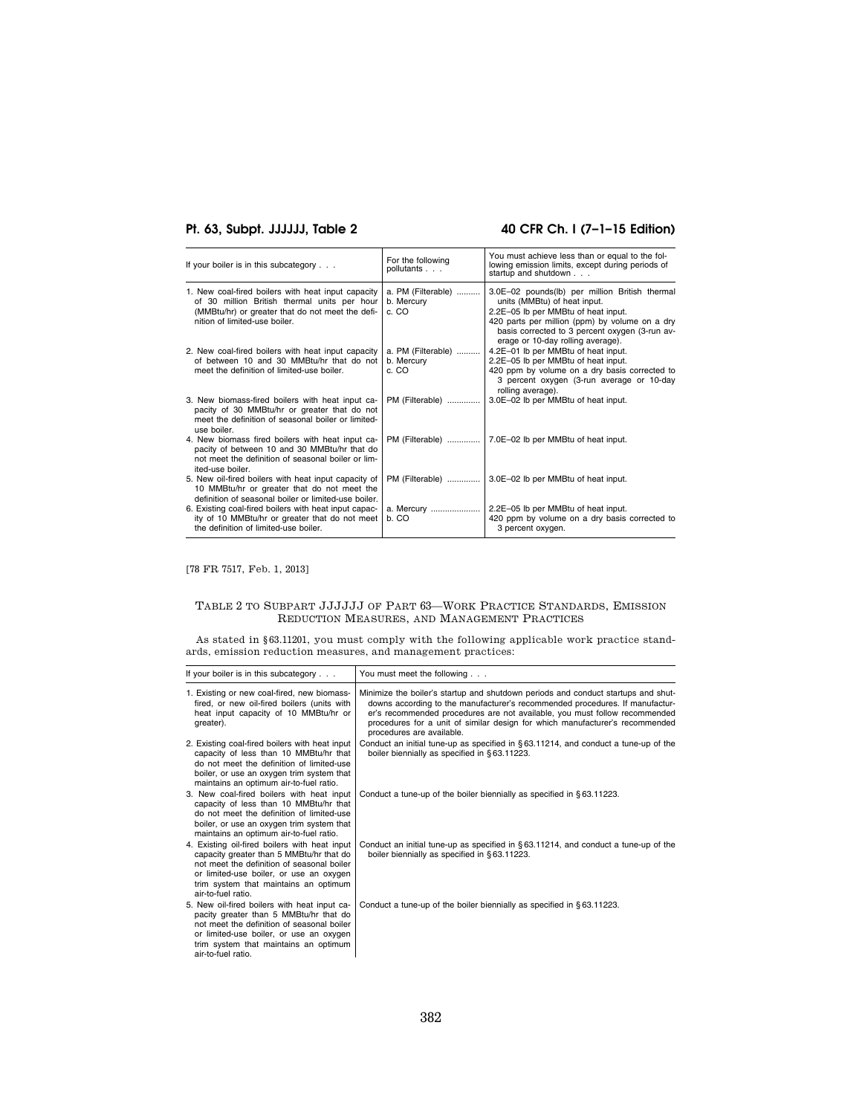# **Pt. 63, Subpt. JJJJJJ, Table 2 40 CFR Ch. I (7–1–15 Edition)**

| If your boiler is in this subcategory                                                                                                                                                                | For the following<br>pollutants           | You must achieve less than or equal to the fol-<br>lowing emission limits, except during periods of<br>startup and shutdown                                                                                                                                    |
|------------------------------------------------------------------------------------------------------------------------------------------------------------------------------------------------------|-------------------------------------------|----------------------------------------------------------------------------------------------------------------------------------------------------------------------------------------------------------------------------------------------------------------|
| 1. New coal-fired boilers with heat input capacity<br>of 30 million British thermal units per hour<br>(MMB <sub>tu</sub> /hr) or greater that do not meet the defi-<br>nition of limited-use boiler. | a. PM (Filterable)<br>b. Mercury<br>c. CO | 3.0E-02 pounds(lb) per million British thermal<br>units (MMBtu) of heat input.<br>2.2E-05 lb per MMBtu of heat input.<br>420 parts per million (ppm) by volume on a dry<br>basis corrected to 3 percent oxygen (3-run av-<br>erage or 10-day rolling average). |
| 2. New coal-fired boilers with heat input capacity                                                                                                                                                   | a. PM (Filterable)                        | 4.2E-01 lb per MMBtu of heat input.                                                                                                                                                                                                                            |
| of between 10 and 30 MMBtu/hr that do not                                                                                                                                                            | b. Mercury                                | 2.2E-05 lb per MMBtu of heat input.                                                                                                                                                                                                                            |
| meet the definition of limited-use boiler.                                                                                                                                                           | c. CO                                     | 420 ppm by volume on a dry basis corrected to<br>3 percent oxygen (3-run average or 10-day<br>rolling average).                                                                                                                                                |
| 3. New biomass-fired boilers with heat input ca-<br>pacity of 30 MMBtu/hr or greater that do not<br>meet the definition of seasonal boiler or limited-<br>use boiler.                                | PM (Filterable)                           | 3.0E-02 lb per MMBtu of heat input.                                                                                                                                                                                                                            |
| 4. New biomass fired boilers with heat input ca-<br>pacity of between 10 and 30 MMBtu/hr that do<br>not meet the definition of seasonal boiler or lim-<br>ited-use boiler.                           |                                           | PM (Filterable)    7.0E-02 lb per MMBtu of heat input.                                                                                                                                                                                                         |
| 5. New oil-fired boilers with heat input capacity of<br>10 MMBtu/hr or greater that do not meet the<br>definition of seasonal boiler or limited-use boiler.                                          | PM (Filterable)                           | 3.0E-02 lb per MMBtu of heat input.                                                                                                                                                                                                                            |
| 6. Existing coal-fired boilers with heat input capac-<br>ity of 10 MMBtu/hr or greater that do not meet<br>the definition of limited-use boiler.                                                     | a. Mercury<br>b. CO                       | 2.2E-05 lb per MMBtu of heat input.<br>420 ppm by volume on a dry basis corrected to<br>3 percent oxygen.                                                                                                                                                      |

[78 FR 7517, Feb. 1, 2013]

# TABLE 2 TO SUBPART JJJJJJ OF PART 63—WORK PRACTICE STANDARDS, EMISSION REDUCTION MEASURES, AND MANAGEMENT PRACTICES

As stated in §63.11201, you must comply with the following applicable work practice standards, emission reduction measures, and management practices:

| If your boiler is in this subcategory                                                                                                                                                                                                             | You must meet the following                                                                                                                                                                                                                                                                                                                                  |
|---------------------------------------------------------------------------------------------------------------------------------------------------------------------------------------------------------------------------------------------------|--------------------------------------------------------------------------------------------------------------------------------------------------------------------------------------------------------------------------------------------------------------------------------------------------------------------------------------------------------------|
| 1. Existing or new coal-fired, new biomass-<br>fired, or new oil-fired boilers (units with<br>heat input capacity of 10 MMBtu/hr or<br>greater).                                                                                                  | Minimize the boiler's startup and shutdown periods and conduct startups and shut-<br>downs according to the manufacturer's recommended procedures. If manufactur-<br>er's recommended procedures are not available, you must follow recommended<br>procedures for a unit of similar design for which manufacturer's recommended<br>procedures are available. |
| 2. Existing coal-fired boilers with heat input<br>capacity of less than 10 MMBtu/hr that<br>do not meet the definition of limited-use<br>boiler, or use an oxygen trim system that<br>maintains an optimum air-to-fuel ratio.                     | Conduct an initial tune-up as specified in $\S 63.11214$ , and conduct a tune-up of the<br>boiler biennially as specified in §63.11223.                                                                                                                                                                                                                      |
| 3. New coal-fired boilers with heat input<br>capacity of less than 10 MMBtu/hr that<br>do not meet the definition of limited-use<br>boiler, or use an oxygen trim system that<br>maintains an optimum air-to-fuel ratio.                          | Conduct a tune-up of the boiler biennially as specified in §63.11223.                                                                                                                                                                                                                                                                                        |
| 4. Existing oil-fired boilers with heat input<br>capacity greater than 5 MMBtu/hr that do<br>not meet the definition of seasonal boiler<br>or limited-use boiler, or use an oxygen<br>trim system that maintains an optimum<br>air-to-fuel ratio. | Conduct an initial tune-up as specified in $\S 63.11214$ , and conduct a tune-up of the<br>boiler biennially as specified in §63.11223.                                                                                                                                                                                                                      |
| 5. New oil-fired boilers with heat input ca-<br>pacity greater than 5 MMBtu/hr that do<br>not meet the definition of seasonal boiler<br>or limited-use boiler, or use an oxygen<br>trim system that maintains an optimum<br>air-to-fuel ratio.    | Conduct a tune-up of the boiler biennially as specified in §63.11223.                                                                                                                                                                                                                                                                                        |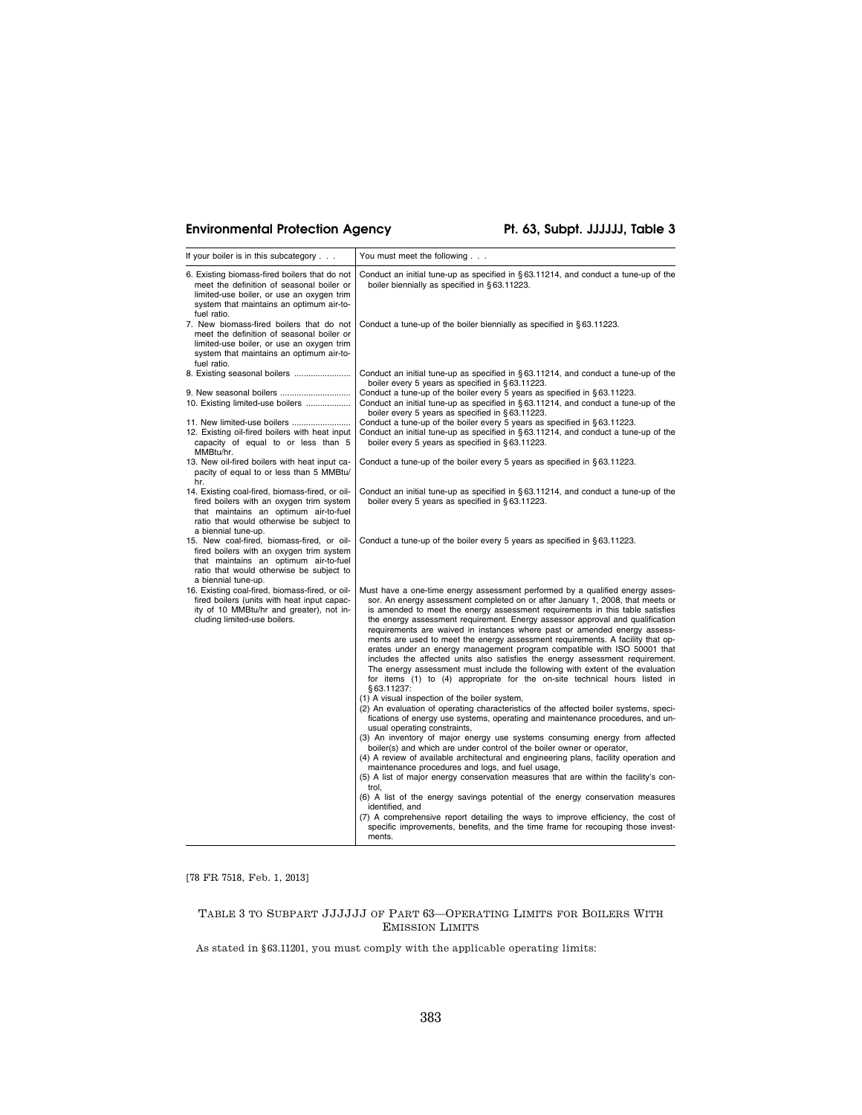# **Environmental Protection Agency Pt. 63, Subpt. JJJJJJ, Table 3**

| If your boiler is in this subcategory                                                                                                                                                                   | You must meet the following                                                                                                                                                                                                                                                                                                                                                                                                                                                                                                                                                                                                                                                                                                                                                                                                                                                                  |
|---------------------------------------------------------------------------------------------------------------------------------------------------------------------------------------------------------|----------------------------------------------------------------------------------------------------------------------------------------------------------------------------------------------------------------------------------------------------------------------------------------------------------------------------------------------------------------------------------------------------------------------------------------------------------------------------------------------------------------------------------------------------------------------------------------------------------------------------------------------------------------------------------------------------------------------------------------------------------------------------------------------------------------------------------------------------------------------------------------------|
| 6. Existing biomass-fired boilers that do not<br>meet the definition of seasonal boiler or<br>limited-use boiler, or use an oxygen trim<br>system that maintains an optimum air-to-<br>fuel ratio.      | Conduct an initial tune-up as specified in $\S 63.11214$ , and conduct a tune-up of the<br>boiler biennially as specified in §63.11223.                                                                                                                                                                                                                                                                                                                                                                                                                                                                                                                                                                                                                                                                                                                                                      |
| 7. New biomass-fired boilers that do not<br>meet the definition of seasonal boiler or<br>limited-use boiler, or use an oxygen trim<br>system that maintains an optimum air-to-<br>fuel ratio.           | Conduct a tune-up of the boiler biennially as specified in $\S 63.11223$ .                                                                                                                                                                                                                                                                                                                                                                                                                                                                                                                                                                                                                                                                                                                                                                                                                   |
| 8. Existing seasonal boilers<br>9. New seasonal boilers                                                                                                                                                 | Conduct an initial tune-up as specified in $\S 63.11214$ , and conduct a tune-up of the<br>boiler every 5 years as specified in §63.11223.<br>Conduct a tune-up of the boiler every 5 years as specified in $\S 63.11223$ .                                                                                                                                                                                                                                                                                                                                                                                                                                                                                                                                                                                                                                                                  |
| 10. Existing limited-use boilers                                                                                                                                                                        | Conduct an initial tune-up as specified in $\S 63.11214$ , and conduct a tune-up of the<br>boiler every 5 years as specified in §63.11223.                                                                                                                                                                                                                                                                                                                                                                                                                                                                                                                                                                                                                                                                                                                                                   |
| 11. New limited-use boilers<br>12. Existing oil-fired boilers with heat input<br>capacity of equal to or less than 5<br>MMBtu/hr.                                                                       | Conduct a tune-up of the boiler every 5 years as specified in §63.11223.<br>Conduct an initial tune-up as specified in §63.11214, and conduct a tune-up of the<br>boiler every 5 years as specified in §63.11223.                                                                                                                                                                                                                                                                                                                                                                                                                                                                                                                                                                                                                                                                            |
| 13. New oil-fired boilers with heat input ca-<br>pacity of equal to or less than 5 MMBtu/<br>hr.                                                                                                        | Conduct a tune-up of the boiler every 5 years as specified in $\S 63.11223$ .                                                                                                                                                                                                                                                                                                                                                                                                                                                                                                                                                                                                                                                                                                                                                                                                                |
| 14. Existing coal-fired, biomass-fired, or oil-<br>fired boilers with an oxygen trim system<br>that maintains an optimum air-to-fuel<br>ratio that would otherwise be subject to<br>a biennial tune-up. | Conduct an initial tune-up as specified in $\S 63.11214$ , and conduct a tune-up of the<br>boiler every 5 years as specified in §63.11223.                                                                                                                                                                                                                                                                                                                                                                                                                                                                                                                                                                                                                                                                                                                                                   |
| 15. New coal-fired, biomass-fired, or oil-<br>fired boilers with an oxygen trim system<br>that maintains an optimum air-to-fuel<br>ratio that would otherwise be subject to<br>a biennial tune-up.      | Conduct a tune-up of the boiler every 5 years as specified in $\S 63.11223$ .                                                                                                                                                                                                                                                                                                                                                                                                                                                                                                                                                                                                                                                                                                                                                                                                                |
| 16. Existing coal-fired, biomass-fired, or oil-<br>fired boilers (units with heat input capac-<br>ity of 10 MMBtu/hr and greater), not in-<br>cluding limited-use boilers.                              | Must have a one-time energy assessment performed by a qualified energy asses-<br>sor. An energy assessment completed on or after January 1, 2008, that meets or<br>is amended to meet the energy assessment requirements in this table satisfies<br>the energy assessment requirement. Energy assessor approval and qualification<br>requirements are waived in instances where past or amended energy assess-<br>ments are used to meet the energy assessment requirements. A facility that op-<br>erates under an energy management program compatible with ISO 50001 that<br>includes the affected units also satisfies the energy assessment requirement.<br>The energy assessment must include the following with extent of the evaluation<br>for items (1) to (4) appropriate for the on-site technical hours listed in<br>§63.11237:<br>(1) A visual inspection of the boiler system, |
|                                                                                                                                                                                                         | (2) An evaluation of operating characteristics of the affected boiler systems, speci-<br>fications of energy use systems, operating and maintenance procedures, and un-<br>usual operating constraints,                                                                                                                                                                                                                                                                                                                                                                                                                                                                                                                                                                                                                                                                                      |
|                                                                                                                                                                                                         | (3) An inventory of major energy use systems consuming energy from affected<br>boiler(s) and which are under control of the boiler owner or operator,<br>(4) A review of available architectural and engineering plans, facility operation and                                                                                                                                                                                                                                                                                                                                                                                                                                                                                                                                                                                                                                               |
|                                                                                                                                                                                                         | maintenance procedures and logs, and fuel usage,<br>(5) A list of major energy conservation measures that are within the facility's con-<br>trol,                                                                                                                                                                                                                                                                                                                                                                                                                                                                                                                                                                                                                                                                                                                                            |
|                                                                                                                                                                                                         | (6) A list of the energy savings potential of the energy conservation measures<br>identified, and<br>(7) A comprehensive report detailing the ways to improve efficiency, the cost of                                                                                                                                                                                                                                                                                                                                                                                                                                                                                                                                                                                                                                                                                                        |
|                                                                                                                                                                                                         | specific improvements, benefits, and the time frame for recouping those invest-<br>ments.                                                                                                                                                                                                                                                                                                                                                                                                                                                                                                                                                                                                                                                                                                                                                                                                    |

[78 FR 7518, Feb. 1, 2013]

# TABLE 3 TO SUBPART JJJJJJ OF PART 63—OPERATING LIMITS FOR BOILERS WITH EMISSION LIMITS

As stated in §63.11201, you must comply with the applicable operating limits:  $\,$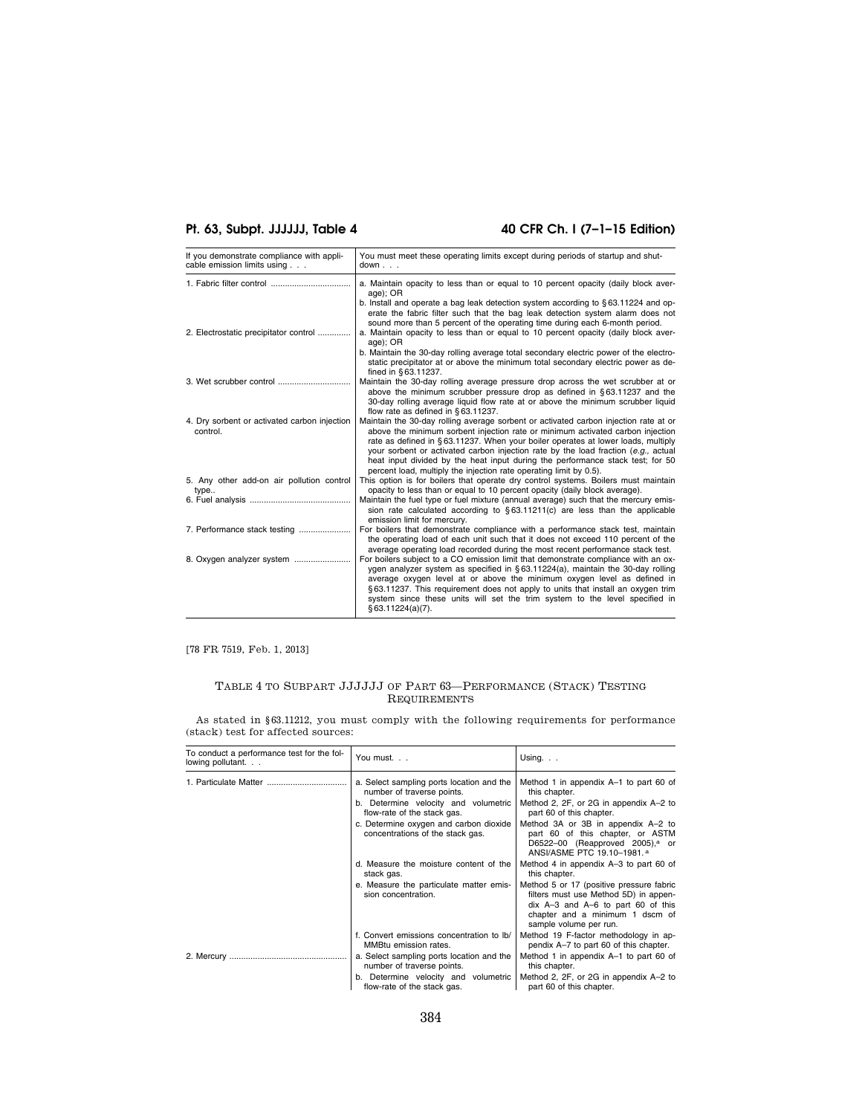# Pt. 63, Subpt. JJJJJJ, Table 4 40 CFR Ch. I (7-1-15 Edition)

| If you demonstrate compliance with appli-<br>cable emission limits using | You must meet these operating limits except during periods of startup and shut-<br>down.                                                                                                                                                                                                                                                                                                                                                                                                                 |
|--------------------------------------------------------------------------|----------------------------------------------------------------------------------------------------------------------------------------------------------------------------------------------------------------------------------------------------------------------------------------------------------------------------------------------------------------------------------------------------------------------------------------------------------------------------------------------------------|
| 1. Fabric filter control                                                 | a. Maintain opacity to less than or equal to 10 percent opacity (daily block aver-<br>age); OR                                                                                                                                                                                                                                                                                                                                                                                                           |
| 2. Electrostatic precipitator control                                    | b. Install and operate a bag leak detection system according to $\S 63.11224$ and op-<br>erate the fabric filter such that the bag leak detection system alarm does not<br>sound more than 5 percent of the operating time during each 6-month period.<br>a. Maintain opacity to less than or equal to 10 percent opacity (daily block aver-<br>age); OR                                                                                                                                                 |
|                                                                          | b. Maintain the 30-day rolling average total secondary electric power of the electro-<br>static precipitator at or above the minimum total secondary electric power as de-<br>fined in §63.11237.                                                                                                                                                                                                                                                                                                        |
|                                                                          | Maintain the 30-day rolling average pressure drop across the wet scrubber at or<br>above the minimum scrubber pressure drop as defined in $\S 63.11237$ and the<br>30-day rolling average liquid flow rate at or above the minimum scrubber liquid<br>flow rate as defined in §63.11237.                                                                                                                                                                                                                 |
| 4. Dry sorbent or activated carbon injection<br>control.                 | Maintain the 30-day rolling average sorbent or activated carbon injection rate at or<br>above the minimum sorbent injection rate or minimum activated carbon injection<br>rate as defined in §63.11237. When your boiler operates at lower loads, multiply<br>your sorbent or activated carbon injection rate by the load fraction (e.g., actual<br>heat input divided by the heat input during the performance stack test; for 50<br>percent load, multiply the injection rate operating limit by 0.5). |
| 5. Any other add-on air pollution control<br>type                        | This option is for boilers that operate dry control systems. Boilers must maintain<br>opacity to less than or equal to 10 percent opacity (daily block average).                                                                                                                                                                                                                                                                                                                                         |
|                                                                          | Maintain the fuel type or fuel mixture (annual average) such that the mercury emis-<br>sion rate calculated according to $§ 63.11211(c)$ are less than the applicable<br>emission limit for mercury.                                                                                                                                                                                                                                                                                                     |
|                                                                          | For boilers that demonstrate compliance with a performance stack test, maintain<br>the operating load of each unit such that it does not exceed 110 percent of the<br>average operating load recorded during the most recent performance stack test.                                                                                                                                                                                                                                                     |
|                                                                          | For boilers subject to a CO emission limit that demonstrate compliance with an ox-<br>ygen analyzer system as specified in §63.11224(a), maintain the 30-day rolling<br>average oxygen level at or above the minimum oxygen level as defined in<br>§63.11237. This requirement does not apply to units that install an oxygen trim<br>system since these units will set the trim system to the level specified in<br>§ 63.11224(a)(7).                                                                   |

[78 FR 7519, Feb. 1, 2013]

# TABLE 4 TO SUBPART JJJJJJ OF PART 63—PERFORMANCE (STACK) TESTING REQUIREMENTS

As stated in §63.11212, you must comply with the following requirements for performance (stack) test for affected sources:

| To conduct a performance test for the fol-<br>lowing pollutant | You must.                                                                                                                                      | Using. $\ldots$                                                                                                                                                                          |
|----------------------------------------------------------------|------------------------------------------------------------------------------------------------------------------------------------------------|------------------------------------------------------------------------------------------------------------------------------------------------------------------------------------------|
|                                                                | a. Select sampling ports location and the<br>number of traverse points.<br>b. Determine velocity and volumetric<br>flow-rate of the stack gas. | Method 1 in appendix A-1 to part 60 of<br>this chapter.<br>Method 2, 2F, or 2G in appendix A-2 to<br>part 60 of this chapter.                                                            |
|                                                                | c. Determine oxygen and carbon dioxide<br>concentrations of the stack gas.                                                                     | Method 3A or 3B in appendix A-2 to<br>part 60 of this chapter, or ASTM<br>D6522-00 (Reapproved 2005), $a$ or<br>ANSI/ASME PTC 19.10-1981. <sup>a</sup>                                   |
|                                                                | d. Measure the moisture content of the<br>stack gas.                                                                                           | Method 4 in appendix A-3 to part 60 of<br>this chapter.                                                                                                                                  |
|                                                                | e. Measure the particulate matter emis-<br>sion concentration.                                                                                 | Method 5 or 17 (positive pressure fabric<br>filters must use Method 5D) in appen-<br>dix $A-3$ and $A-6$ to part 60 of this<br>chapter and a minimum 1 dscm of<br>sample volume per run. |
|                                                                | f. Convert emissions concentration to Ib/<br>MMBtu emission rates.                                                                             | Method 19 F-factor methodology in ap-<br>pendix A-7 to part 60 of this chapter.                                                                                                          |
|                                                                | a. Select sampling ports location and the<br>number of traverse points.                                                                        | Method 1 in appendix A-1 to part 60 of<br>this chapter.                                                                                                                                  |
|                                                                | b. Determine velocity and volumetric<br>flow-rate of the stack gas.                                                                            | Method 2, 2F, or 2G in appendix A-2 to<br>part 60 of this chapter.                                                                                                                       |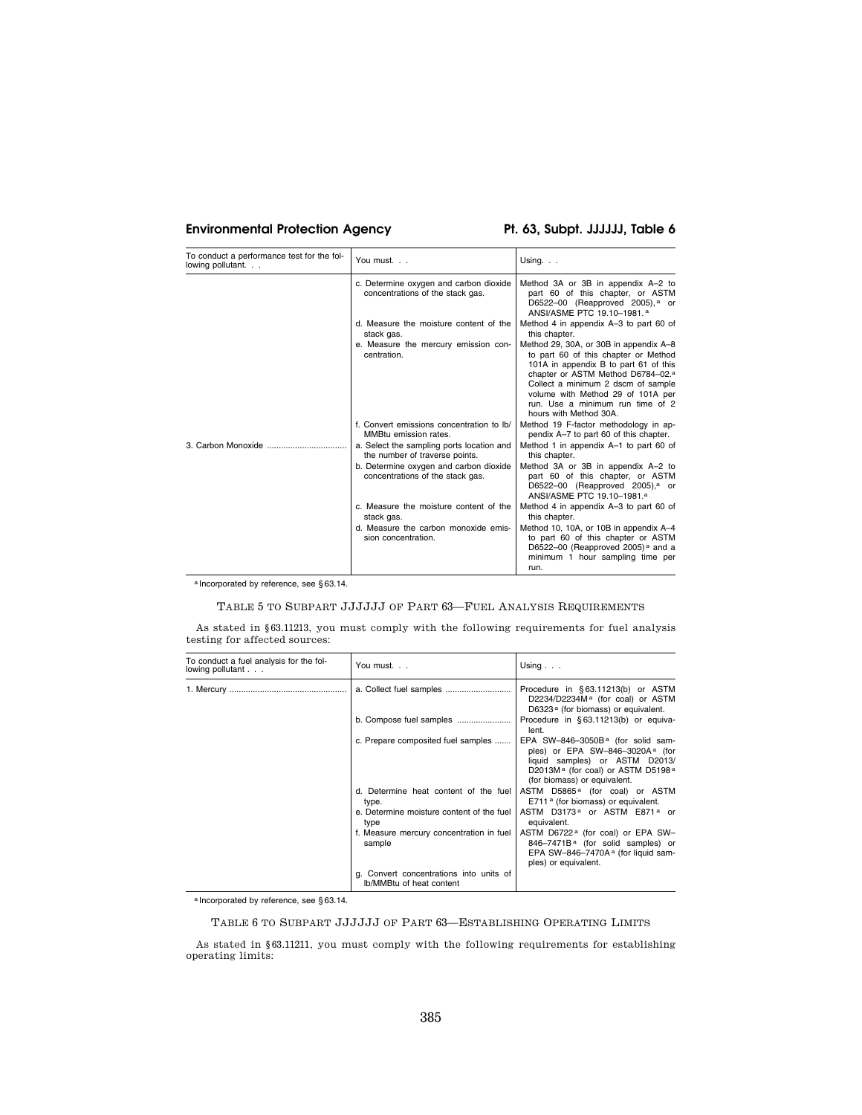# **Environmental Protection Agency Pt. 63, Subpt. JJJJJJ, Table 6**

| To conduct a performance test for the fol-<br>lowing pollutant. | You must.                                                                   | Using. $\ldots$                                                                                                                                                                                                                                                                                                   |
|-----------------------------------------------------------------|-----------------------------------------------------------------------------|-------------------------------------------------------------------------------------------------------------------------------------------------------------------------------------------------------------------------------------------------------------------------------------------------------------------|
|                                                                 | c. Determine oxygen and carbon dioxide<br>concentrations of the stack gas.  | Method 3A or 3B in appendix A-2 to<br>part 60 of this chapter, or ASTM<br>D6522-00 (Reapproved 2005), $a$ or<br>ANSI/ASME PTC 19.10-1981. <sup>a</sup>                                                                                                                                                            |
|                                                                 | d. Measure the moisture content of the<br>stack gas.                        | Method 4 in appendix A-3 to part 60 of<br>this chapter.                                                                                                                                                                                                                                                           |
|                                                                 | e. Measure the mercury emission con-<br>centration.                         | Method 29, 30A, or 30B in appendix A-8<br>to part 60 of this chapter or Method<br>101A in appendix B to part 61 of this<br>chapter or ASTM Method D6784-02. <sup>a</sup><br>Collect a minimum 2 dscm of sample<br>volume with Method 29 of 101A per<br>run. Use a minimum run time of 2<br>hours with Method 30A. |
|                                                                 | f. Convert emissions concentration to lb/<br>MMBtu emission rates.          | Method 19 F-factor methodology in ap-<br>pendix A-7 to part 60 of this chapter.                                                                                                                                                                                                                                   |
| 3. Carbon Monoxide                                              | a. Select the sampling ports location and<br>the number of traverse points. | Method 1 in appendix A-1 to part 60 of<br>this chapter.                                                                                                                                                                                                                                                           |
|                                                                 | b. Determine oxygen and carbon dioxide<br>concentrations of the stack gas.  | Method 3A or 3B in appendix A-2 to<br>part 60 of this chapter, or ASTM<br>D6522-00 (Reapproved 2005), <sup>a</sup> or<br>ANSI/ASME PTC 19.10-1981. <sup>a</sup>                                                                                                                                                   |
|                                                                 | c. Measure the moisture content of the<br>stack gas.                        | Method 4 in appendix A-3 to part 60 of<br>this chapter.                                                                                                                                                                                                                                                           |
|                                                                 | d. Measure the carbon monoxide emis-<br>sion concentration.                 | Method 10, 10A, or 10B in appendix A-4<br>to part 60 of this chapter or ASTM<br>D6522-00 (Reapproved 2005) <sup><math>a</math></sup> and a<br>minimum 1 hour sampling time per<br>run.                                                                                                                            |

a Incorporated by reference, see § 63.14.

# TABLE 5 TO SUBPART JJJJJJ OF PART 63—FUEL ANALYSIS REQUIREMENTS

As stated in §63.11213, you must comply with the following requirements for fuel analysis testing for affected sources:

| To conduct a fuel analysis for the fol-<br>lowing pollutant $\ldots$ | You must.                                                           | Using $\ldots$                                                                                                                                                                                                              |
|----------------------------------------------------------------------|---------------------------------------------------------------------|-----------------------------------------------------------------------------------------------------------------------------------------------------------------------------------------------------------------------------|
|                                                                      |                                                                     | Procedure in §63.11213(b) or ASTM<br>D2234/D2234M <sup>a</sup> (for coal) or ASTM<br>D6323 <sup>a</sup> (for biomass) or equivalent.                                                                                        |
|                                                                      |                                                                     | Procedure in §63.11213(b) or equiva-<br>lent.                                                                                                                                                                               |
|                                                                      | c. Prepare composited fuel samples                                  | EPA SW-846-3050B <sup>a</sup> (for solid sam-<br>ples) or EPA SW-846-3020A <sup>a</sup> (for<br>liquid samples) or ASTM D2013/<br>D2013M <sup>a</sup> (for coal) or ASTM D5198 <sup>a</sup><br>(for biomass) or equivalent. |
|                                                                      | d. Determine heat content of the fuel<br>type.                      | ASTM D5865 <sup>a</sup> (for coal) or ASTM<br>E711 <sup>a</sup> (for biomass) or equivalent.                                                                                                                                |
|                                                                      | e. Determine moisture content of the fuel<br>type                   | ASTM D3173 <sup>a</sup> or ASTM E871 <sup>a</sup> or<br>equivalent.                                                                                                                                                         |
|                                                                      | f. Measure mercury concentration in fuel<br>sample                  | ASTM D6722 <sup>a</sup> (for coal) or EPA SW-<br>846-7471B <sup>a</sup> (for solid samples) or<br>EPA SW-846-7470A <sup>a</sup> (for liquid sam-<br>ples) or equivalent.                                                    |
|                                                                      | g. Convert concentrations into units of<br>Ib/MMBtu of heat content |                                                                                                                                                                                                                             |

a Incorporated by reference, see § 63.14.

# TABLE 6 TO SUBPART JJJJJJ OF PART 63—ESTABLISHING OPERATING LIMITS

As stated in §63.11211, you must comply with the following requirements for establishing operating limits: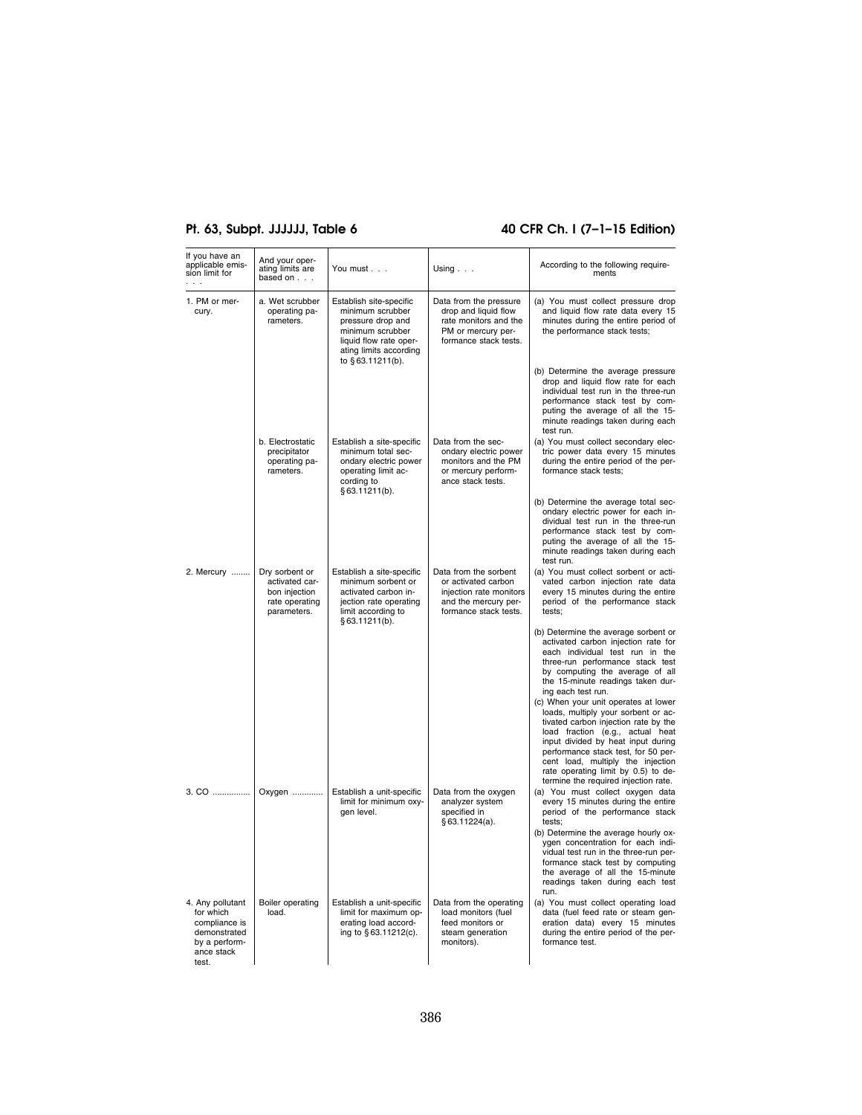# **Pt. 63, Subpt. JJJJJJ, Table 6 40 CFR Ch. I (7–1–15 Edition)**

| If you have an<br>applicable emis-<br>sion limit for                                                   | And your oper-<br>ating limits are<br>based on                                     | You must                                                                                                                                                     | Using                                                                                                                    | According to the following require-<br>ments                                                                                                                                                                                                                                                                                                             |
|--------------------------------------------------------------------------------------------------------|------------------------------------------------------------------------------------|--------------------------------------------------------------------------------------------------------------------------------------------------------------|--------------------------------------------------------------------------------------------------------------------------|----------------------------------------------------------------------------------------------------------------------------------------------------------------------------------------------------------------------------------------------------------------------------------------------------------------------------------------------------------|
| 1. PM or mer-<br>cury.                                                                                 | a. Wet scrubber<br>operating pa-<br>rameters.                                      | Establish site-specific<br>minimum scrubber<br>pressure drop and<br>minimum scrubber<br>liquid flow rate oper-<br>ating limits according<br>to §63.11211(b). | Data from the pressure<br>drop and liquid flow<br>rate monitors and the<br>PM or mercury per-<br>formance stack tests.   | (a) You must collect pressure drop<br>and liquid flow rate data every 15<br>minutes during the entire period of<br>the performance stack tests;                                                                                                                                                                                                          |
|                                                                                                        |                                                                                    |                                                                                                                                                              |                                                                                                                          | (b) Determine the average pressure<br>drop and liquid flow rate for each<br>individual test run in the three-run<br>performance stack test by com-<br>puting the average of all the 15-<br>minute readings taken during each<br>test run.                                                                                                                |
|                                                                                                        | b. Electrostatic<br>precipitator<br>operating pa-<br>rameters.                     | Establish a site-specific<br>minimum total sec-<br>ondary electric power<br>operating limit ac-<br>cording to<br>§ 63.11211(b).                              | Data from the sec-<br>ondary electric power<br>monitors and the PM<br>or mercury perform-<br>ance stack tests.           | (a) You must collect secondary elec-<br>tric power data every 15 minutes<br>during the entire period of the per-<br>formance stack tests;                                                                                                                                                                                                                |
|                                                                                                        |                                                                                    |                                                                                                                                                              |                                                                                                                          | (b) Determine the average total sec-<br>ondary electric power for each in-<br>dividual test run in the three-run<br>performance stack test by com-<br>puting the average of all the 15-<br>minute readings taken during each<br>test run.                                                                                                                |
| 2. Mercury                                                                                             | Dry sorbent or<br>activated car-<br>bon injection<br>rate operating<br>parameters. | Establish a site-specific<br>minimum sorbent or<br>activated carbon in-<br>jection rate operating<br>limit according to<br>§ 63.11211(b).                    | Data from the sorbent<br>or activated carbon<br>injection rate monitors<br>and the mercury per-<br>formance stack tests. | (a) You must collect sorbent or acti-<br>vated carbon injection rate data<br>every 15 minutes during the entire<br>period of the performance stack<br>tests:                                                                                                                                                                                             |
|                                                                                                        |                                                                                    |                                                                                                                                                              |                                                                                                                          | (b) Determine the average sorbent or<br>activated carbon injection rate for<br>each individual test run in the<br>three-run performance stack test<br>by computing the average of all<br>the 15-minute readings taken dur-<br>ing each test run.                                                                                                         |
|                                                                                                        |                                                                                    |                                                                                                                                                              |                                                                                                                          | (c) When your unit operates at lower<br>loads, multiply your sorbent or ac-<br>tivated carbon injection rate by the<br>load fraction (e.g., actual heat<br>input divided by heat input during<br>performance stack test, for 50 per-<br>cent load, multiply the injection<br>rate operating limit by 0.5) to de-<br>termine the required injection rate. |
|                                                                                                        | 3. CO    Oxygen                                                                    | Establish a unit-specific<br>limit for minimum oxy-<br>gen level.                                                                                            | Data from the oxygen<br>analyzer system<br>specified in<br>§ 63.11224(a).                                                | (a) You must collect oxygen data<br>every 15 minutes during the entire<br>period of the performance stack<br>tests:<br>(b) Determine the average hourly ox-<br>ygen concentration for each indi-<br>vidual test run in the three-run per-<br>formance stack test by computing<br>the average of all the 15-minute<br>readings taken during each test     |
| 4. Any pollutant<br>for which<br>compliance is<br>demonstrated<br>by a perform-<br>ance stack<br>test. | Boiler operating<br>load.                                                          | Establish a unit-specific<br>limit for maximum op-<br>erating load accord-<br>ing to §63.11212(c).                                                           | Data from the operating<br>load monitors (fuel<br>feed monitors or<br>steam generation<br>monitors).                     | run.<br>(a) You must collect operating load<br>data (fuel feed rate or steam gen-<br>eration data) every 15 minutes<br>during the entire period of the per-<br>formance test.                                                                                                                                                                            |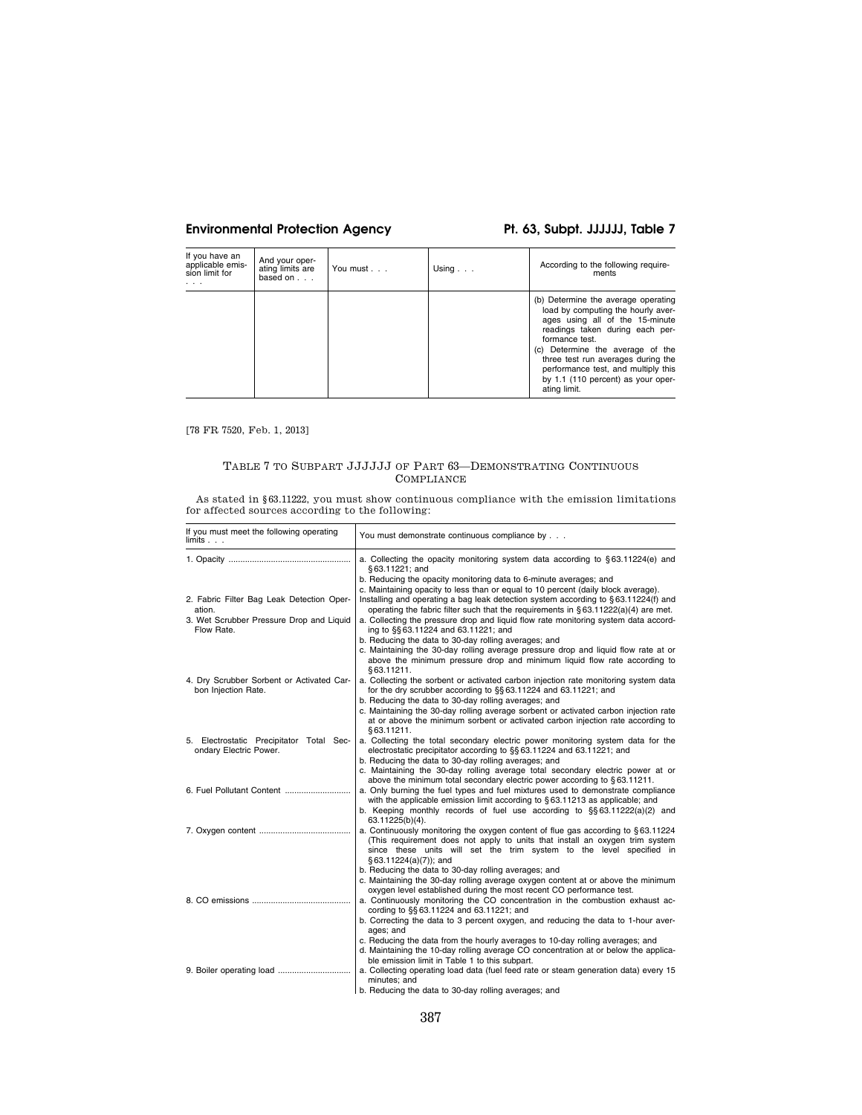# **Environmental Protection Agency Pt. 63, Subpt. JJJJJJ, Table 7**

| If you have an<br>applicable emis-<br>sion limit for<br>. | And your oper-<br>ating limits are<br>based on $\ldots$ | You must | Using $\ldots$ | According to the following require-<br>ments                                                                                                                                                                                                                                                                                             |
|-----------------------------------------------------------|---------------------------------------------------------|----------|----------------|------------------------------------------------------------------------------------------------------------------------------------------------------------------------------------------------------------------------------------------------------------------------------------------------------------------------------------------|
|                                                           |                                                         |          |                | (b) Determine the average operating<br>load by computing the hourly aver-<br>ages using all of the 15-minute<br>readings taken during each per-<br>formance test.<br>(c) Determine the average of the<br>three test run averages during the<br>performance test, and multiply this<br>by 1.1 (110 percent) as your oper-<br>ating limit. |

[78 FR 7520, Feb. 1, 2013]

# TABLE 7 TO SUBPART JJJJJJ OF PART 63—DEMONSTRATING CONTINUOUS COMPLIANCE

As stated in §63.11222, you must show continuous compliance with the emission limitations for affected sources according to the following:

| If you must meet the following operating<br>limits. .                                                         | You must demonstrate continuous compliance by                                                                                                                                                                                                                                                                                                                                                                                                                                                                                                                                                                               |
|---------------------------------------------------------------------------------------------------------------|-----------------------------------------------------------------------------------------------------------------------------------------------------------------------------------------------------------------------------------------------------------------------------------------------------------------------------------------------------------------------------------------------------------------------------------------------------------------------------------------------------------------------------------------------------------------------------------------------------------------------------|
|                                                                                                               | a. Collecting the opacity monitoring system data according to §63.11224(e) and<br>§63.11221; and<br>b. Reducing the opacity monitoring data to 6-minute averages; and                                                                                                                                                                                                                                                                                                                                                                                                                                                       |
| 2. Fabric Filter Bag Leak Detection Oper-<br>ation.<br>3. Wet Scrubber Pressure Drop and Liquid<br>Flow Rate. | c. Maintaining opacity to less than or equal to 10 percent (daily block average).<br>Installing and operating a bag leak detection system according to §63.11224(f) and<br>operating the fabric filter such that the requirements in $\S 63.11222(a)(4)$ are met.<br>a. Collecting the pressure drop and liquid flow rate monitoring system data accord-<br>ing to §§ 63.11224 and 63.11221; and<br>b. Reducing the data to 30-day rolling averages; and<br>c. Maintaining the 30-day rolling average pressure drop and liquid flow rate at or<br>above the minimum pressure drop and minimum liquid flow rate according to |
| 4. Dry Scrubber Sorbent or Activated Car-<br>bon Injection Rate.                                              | §63.11211.<br>a. Collecting the sorbent or activated carbon injection rate monitoring system data<br>for the dry scrubber according to §§63.11224 and 63.11221; and<br>b. Reducing the data to 30-day rolling averages; and<br>c. Maintaining the 30-day rolling average sorbent or activated carbon injection rate<br>at or above the minimum sorbent or activated carbon injection rate according to                                                                                                                                                                                                                      |
| 5. Electrostatic Precipitator Total Sec-<br>ondary Electric Power.                                            | \$63.11211.<br>a. Collecting the total secondary electric power monitoring system data for the<br>electrostatic precipitator according to §§ 63.11224 and 63.11221; and<br>b. Reducing the data to 30-day rolling averages; and<br>c. Maintaining the 30-day rolling average total secondary electric power at or                                                                                                                                                                                                                                                                                                           |
|                                                                                                               | above the minimum total secondary electric power according to §63.11211.<br>a. Only burning the fuel types and fuel mixtures used to demonstrate compliance<br>with the applicable emission limit according to $\S 63.11213$ as applicable; and<br>b. Keeping monthly records of fuel use according to $\S$ § 63.11222(a)(2) and<br>63.11225(b)(4).                                                                                                                                                                                                                                                                         |
|                                                                                                               | a. Continuously monitoring the oxygen content of flue gas according to $\S 63.11224$<br>(This requirement does not apply to units that install an oxygen trim system<br>since these units will set the trim system to the level specified in<br>§ 63.11224(a)(7)); and<br>b. Reducing the data to 30-day rolling averages; and                                                                                                                                                                                                                                                                                              |
|                                                                                                               | c. Maintaining the 30-day rolling average oxygen content at or above the minimum<br>oxygen level established during the most recent CO performance test.<br>a. Continuously monitoring the CO concentration in the combustion exhaust ac-<br>cording to §§63.11224 and 63.11221; and<br>b. Correcting the data to 3 percent oxygen, and reducing the data to 1-hour aver-<br>ages; and                                                                                                                                                                                                                                      |
|                                                                                                               | c. Reducing the data from the hourly averages to 10-day rolling averages; and<br>d. Maintaining the 10-day rolling average CO concentration at or below the applica-<br>ble emission limit in Table 1 to this subpart.<br>a. Collecting operating load data (fuel feed rate or steam generation data) every 15<br>minutes; and<br>b. Reducing the data to 30-day rolling averages; and                                                                                                                                                                                                                                      |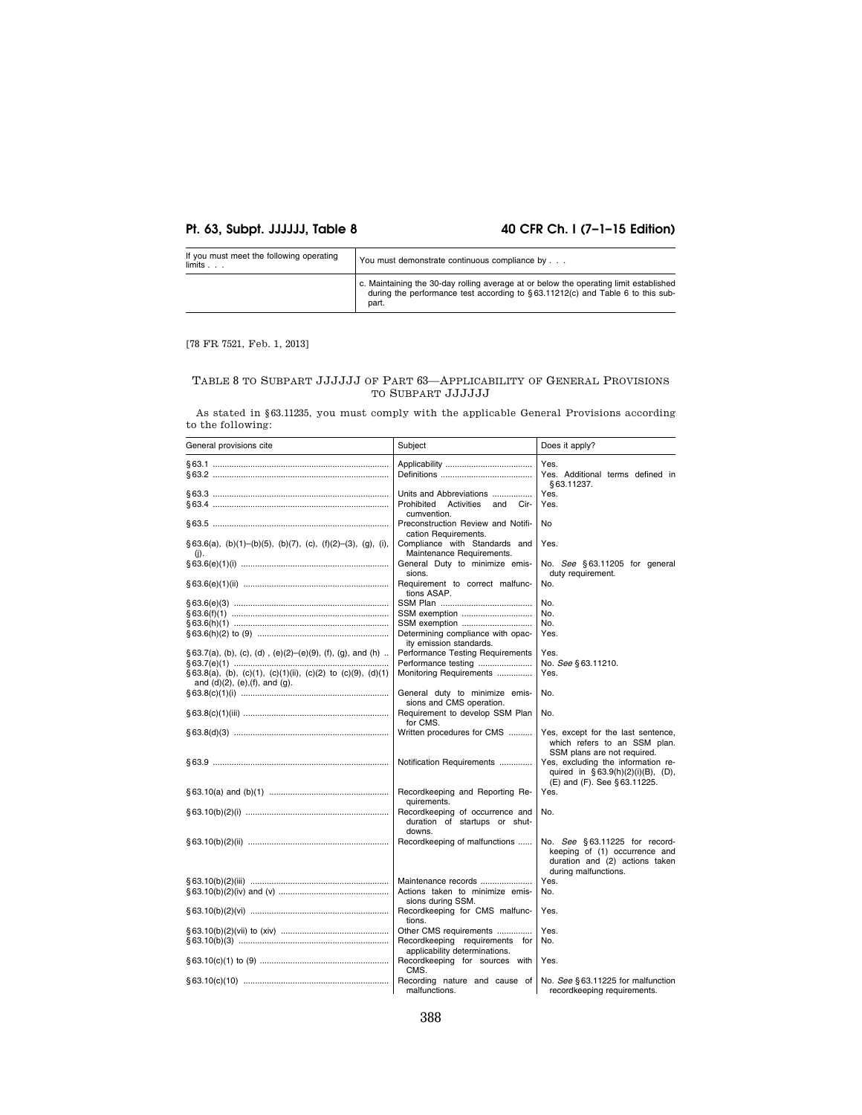# **Pt. 63, Subpt. JJJJJJ, Table 8 40 CFR Ch. I (7–1–15 Edition)**

| If you must meet the following operating<br>limits. . | You must demonstrate continuous compliance by                                                                                                                                    |
|-------------------------------------------------------|----------------------------------------------------------------------------------------------------------------------------------------------------------------------------------|
|                                                       | c. Maintaining the 30-day rolling average at or below the operating limit established<br>during the performance test according to §63.11212(c) and Table 6 to this sub-<br>part. |

# [78 FR 7521, Feb. 1, 2013]

# TABLE 8 TO SUBPART JJJJJJ OF PART 63—APPLICABILITY OF GENERAL PROVISIONS TO SUBPART JJJJJJ

As stated in §63.11235, you must comply with the applicable General Provisions according to the following:

| General provisions cite                                                                                        | Subject                                                                        | Does it apply?                                                                                                           |
|----------------------------------------------------------------------------------------------------------------|--------------------------------------------------------------------------------|--------------------------------------------------------------------------------------------------------------------------|
|                                                                                                                |                                                                                | Yes.<br>Yes. Additional terms defined in<br>§63.11237.                                                                   |
|                                                                                                                | Units and Abbreviations<br>Prohibited<br>Activities<br>and Cir-<br>cumvention. | Yes.<br>Yes.                                                                                                             |
|                                                                                                                | Preconstruction Review and Notifi-<br>cation Requirements.                     | No                                                                                                                       |
| $\S 63.6(a)$ , (b)(1)-(b)(5), (b)(7), (c), (f)(2)-(3), (g), (i),<br>(i).                                       | Compliance with Standards and<br>Maintenance Requirements.                     | Yes.                                                                                                                     |
|                                                                                                                | General Duty to minimize emis-<br>sions.                                       | No. See §63.11205 for general<br>duty requirement.                                                                       |
|                                                                                                                | Requirement to correct malfunc-<br>tions ASAP.                                 | No.                                                                                                                      |
|                                                                                                                |                                                                                | No.                                                                                                                      |
|                                                                                                                | SSM exemption                                                                  | No.                                                                                                                      |
|                                                                                                                | SSM exemption                                                                  | No.                                                                                                                      |
|                                                                                                                | Determining compliance with opac-<br>ity emission standards.                   | Yes.                                                                                                                     |
| $\S$ 63.7(a), (b), (c), (d), (e)(2)–(e)(9), (f), (g), and (h).                                                 | Performance Testing Requirements                                               | Yes.                                                                                                                     |
|                                                                                                                | Performance testing                                                            | No. See §63.11210.                                                                                                       |
| $\S 63.8(a)$ , (b), (c)(1), (c)(1)(ii), (c)(2) to (c)(9), (d)(1)<br>and $(d)(2)$ , $(e)$ , $(f)$ , and $(g)$ . | Monitoring Requirements                                                        | Yes.                                                                                                                     |
|                                                                                                                | General duty to minimize emis-<br>sions and CMS operation.                     | No.                                                                                                                      |
|                                                                                                                | Requirement to develop SSM Plan<br>for CMS.                                    | No.                                                                                                                      |
|                                                                                                                | Written procedures for CMS                                                     | Yes, except for the last sentence.<br>which refers to an SSM plan.<br>SSM plans are not required.                        |
|                                                                                                                | Notification Requirements                                                      | Yes, excluding the information re-<br>quired in §63.9(h)(2)(i)(B), (D),<br>(E) and (F). See §63.11225.                   |
|                                                                                                                | Recordkeeping and Reporting Re-<br>quirements.                                 | Yes.                                                                                                                     |
|                                                                                                                | Recordkeeping of occurrence and<br>duration of startups or shut-<br>downs.     | No.                                                                                                                      |
|                                                                                                                | Recordkeeping of malfunctions                                                  | No. See §63.11225 for record-<br>keeping of (1) occurrence and<br>duration and (2) actions taken<br>during malfunctions. |
|                                                                                                                | Maintenance records                                                            | Yes.                                                                                                                     |
|                                                                                                                | Actions taken to minimize emis-<br>sions during SSM.                           | No.                                                                                                                      |
|                                                                                                                | Recordkeeping for CMS malfunc-<br>tions.                                       | Yes.                                                                                                                     |
|                                                                                                                | Other CMS requirements                                                         | Yes.                                                                                                                     |
|                                                                                                                | Recordkeeping requirements for<br>applicability determinations.                | No.                                                                                                                      |
|                                                                                                                | Recordkeeping for sources with<br>CMS.                                         | Yes.                                                                                                                     |
|                                                                                                                | Recording nature and cause of<br>malfunctions.                                 | No. See § 63.11225 for malfunction<br>recordkeeping requirements.                                                        |